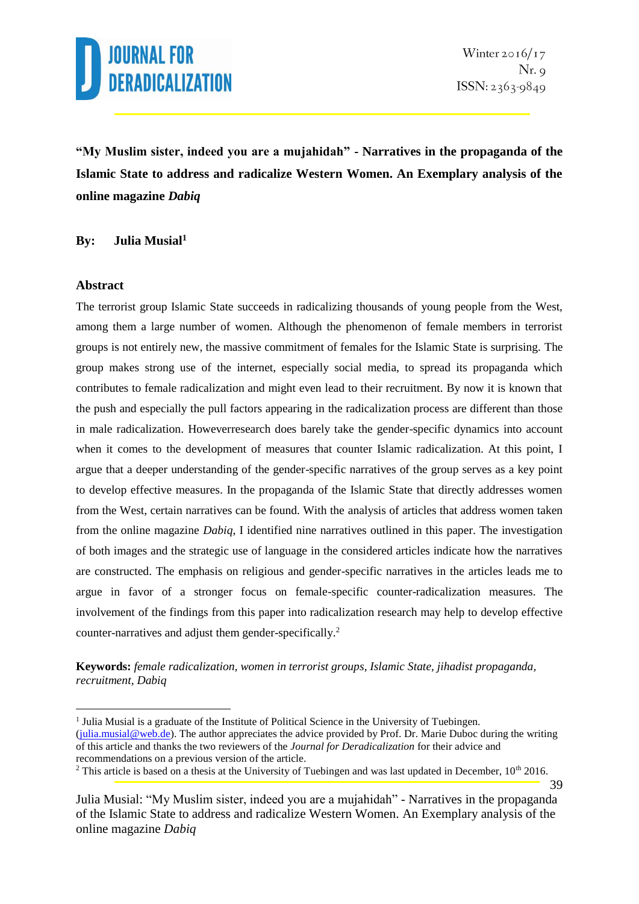

**"My Muslim sister, indeed you are a mujahidah" - Narratives in the propaganda of the Islamic State to address and radicalize Western Women. An Exemplary analysis of the online magazine** *Dabiq*

#### **By: Julia Musial<sup>1</sup>**

#### **Abstract**

1

The terrorist group Islamic State succeeds in radicalizing thousands of young people from the West, among them a large number of women. Although the phenomenon of female members in terrorist groups is not entirely new, the massive commitment of females for the Islamic State is surprising. The group makes strong use of the internet, especially social media, to spread its propaganda which contributes to female radicalization and might even lead to their recruitment. By now it is known that the push and especially the pull factors appearing in the radicalization process are different than those in male radicalization. Howeverresearch does barely take the gender-specific dynamics into account when it comes to the development of measures that counter Islamic radicalization. At this point, I argue that a deeper understanding of the gender-specific narratives of the group serves as a key point to develop effective measures. In the propaganda of the Islamic State that directly addresses women from the West, certain narratives can be found. With the analysis of articles that address women taken from the online magazine *Dabiq*, I identified nine narratives outlined in this paper. The investigation of both images and the strategic use of language in the considered articles indicate how the narratives are constructed. The emphasis on religious and gender-specific narratives in the articles leads me to argue in favor of a stronger focus on female-specific counter-radicalization measures. The involvement of the findings from this paper into radicalization research may help to develop effective counter-narratives and adjust them gender-specifically.<sup>2</sup>

**Keywords:** *female radicalization, women in terrorist groups, Islamic State, jihadist propaganda, recruitment, Dabiq*

<sup>2</sup> This article is based on a thesis at the University of Tuebingen and was last updated in December,  $10<sup>th</sup>$  2016.

<sup>&</sup>lt;sup>1</sup> Julia Musial is a graduate of the Institute of Political Science in the University of Tuebingen. [\(julia.musial@web.de\)](mailto:julia.musial@web.de). The author appreciates the advice provided by Prof. Dr. Marie Duboc during the writing of this article and thanks the two reviewers of the *Journal for Deradicalization* for their advice and recommendations on a previous version of the article.

Julia Musial: "My Muslim sister, indeed you are a mujahidah" - Narratives in the propaganda of the Islamic State to address and radicalize Western Women. An Exemplary analysis of the online magazine *Dabiq*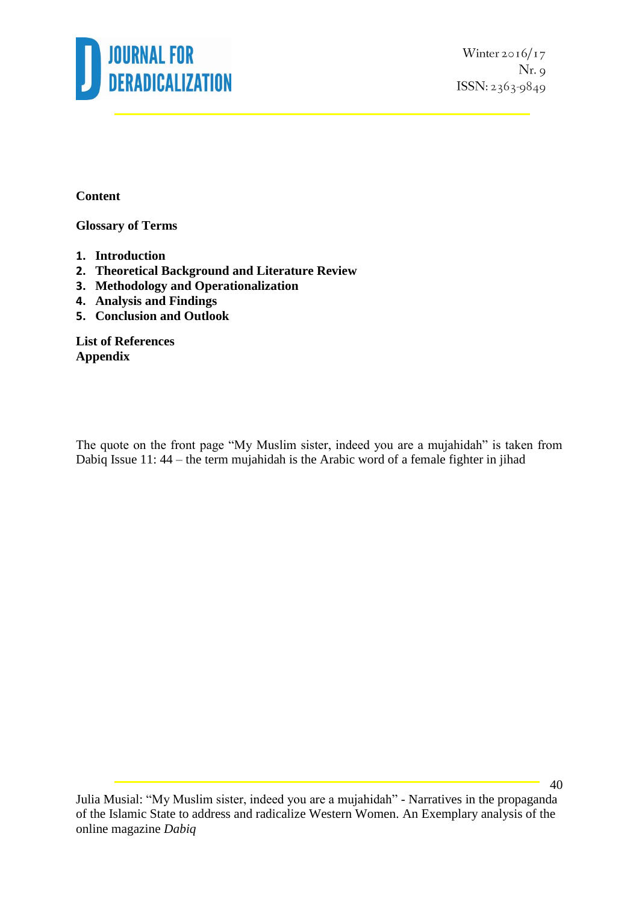

Winter  $2016/17$  $Nr.9$ ISSN: 2363-9849

**Content**

**Glossary of Terms**

- **1. Introduction**
- **2. Theoretical Background and Literature Review**
- **3. Methodology and Operationalization**
- **4. Analysis and Findings**
- **5. Conclusion and Outlook**

**List of References Appendix**

The quote on the front page "My Muslim sister, indeed you are a mujahidah" is taken from Dabiq Issue 11: 44 – the term mujahidah is the Arabic word of a female fighter in jihad

Julia Musial: "My Muslim sister, indeed you are a mujahidah" - Narratives in the propaganda of the Islamic State to address and radicalize Western Women. An Exemplary analysis of the online magazine *Dabiq*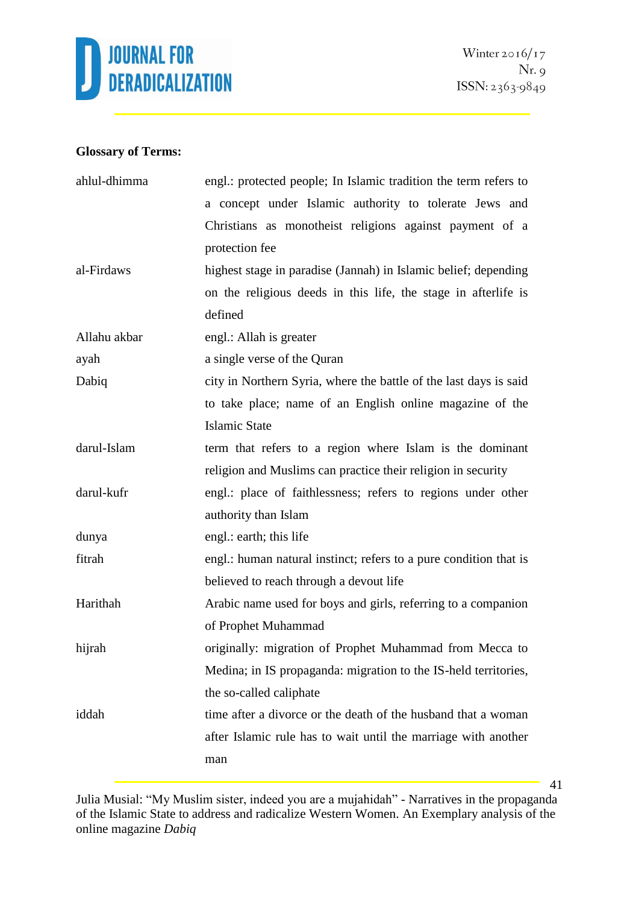

### **Glossary of Terms:**

| ahlul-dhimma | engl.: protected people; In Islamic tradition the term refers to  |  |  |
|--------------|-------------------------------------------------------------------|--|--|
|              | a concept under Islamic authority to tolerate Jews and            |  |  |
|              | Christians as monotheist religions against payment of a           |  |  |
|              | protection fee                                                    |  |  |
| al-Firdaws   | highest stage in paradise (Jannah) in Islamic belief; depending   |  |  |
|              | on the religious deeds in this life, the stage in afterlife is    |  |  |
|              | defined                                                           |  |  |
| Allahu akbar | engl.: Allah is greater                                           |  |  |
| ayah         | a single verse of the Quran                                       |  |  |
| Dabiq        | city in Northern Syria, where the battle of the last days is said |  |  |
|              | to take place; name of an English online magazine of the          |  |  |
|              | <b>Islamic State</b>                                              |  |  |
| darul-Islam  | term that refers to a region where Islam is the dominant          |  |  |
|              | religion and Muslims can practice their religion in security      |  |  |
| darul-kufr   | engl.: place of faithlessness; refers to regions under other      |  |  |
|              | authority than Islam                                              |  |  |
| dunya        | engl.: earth; this life                                           |  |  |
| fitrah       | engl.: human natural instinct; refers to a pure condition that is |  |  |
|              | believed to reach through a devout life                           |  |  |
| Harithah     | Arabic name used for boys and girls, referring to a companion     |  |  |
|              | of Prophet Muhammad                                               |  |  |
| hijrah       | originally: migration of Prophet Muhammad from Mecca to           |  |  |
|              | Medina; in IS propaganda: migration to the IS-held territories,   |  |  |
|              | the so-called caliphate                                           |  |  |
| iddah        | time after a divorce or the death of the husband that a woman     |  |  |
|              | after Islamic rule has to wait until the marriage with another    |  |  |
|              | man                                                               |  |  |
|              |                                                                   |  |  |

Julia Musial: "My Muslim sister, indeed you are a mujahidah" - Narratives in the propaganda of the Islamic State to address and radicalize Western Women. An Exemplary analysis of the online magazine *Dabiq*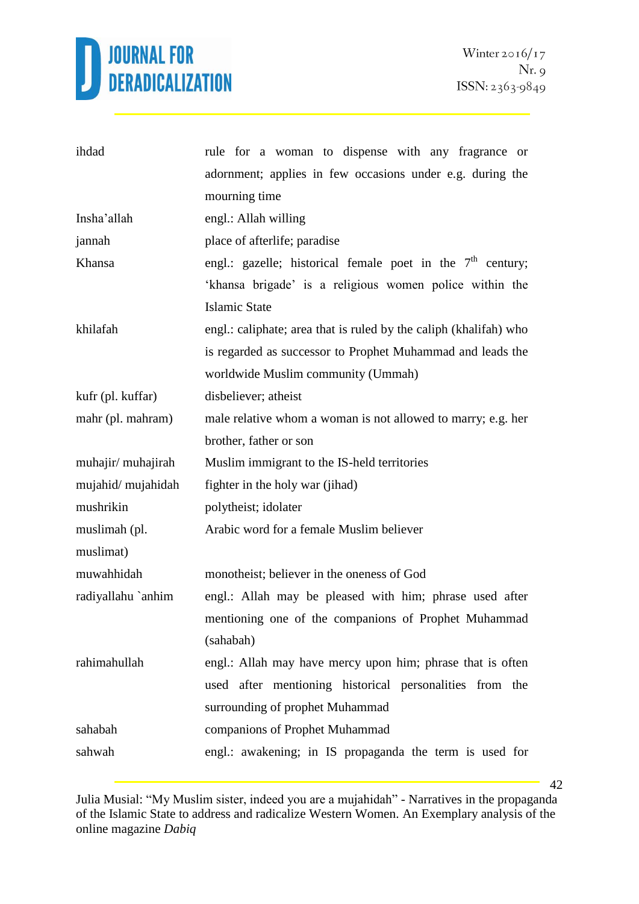

| ihdad              | rule for a woman to dispense with any fragrance or                |  |  |
|--------------------|-------------------------------------------------------------------|--|--|
|                    | adornment; applies in few occasions under e.g. during the         |  |  |
|                    | mourning time                                                     |  |  |
| Insha'allah        | engl.: Allah willing                                              |  |  |
| jannah             | place of afterlife; paradise                                      |  |  |
| Khansa             | engl.: gazelle; historical female poet in the $7th$ century;      |  |  |
|                    | 'khansa brigade' is a religious women police within the           |  |  |
|                    | <b>Islamic State</b>                                              |  |  |
| khilafah           | engl.: caliphate; area that is ruled by the caliph (khalifah) who |  |  |
|                    | is regarded as successor to Prophet Muhammad and leads the        |  |  |
|                    | worldwide Muslim community (Ummah)                                |  |  |
| kufr (pl. kuffar)  | disbeliever; atheist                                              |  |  |
| mahr (pl. mahram)  | male relative whom a woman is not allowed to marry; e.g. her      |  |  |
|                    | brother, father or son                                            |  |  |
| muhajir/ muhajirah | Muslim immigrant to the IS-held territories                       |  |  |
| mujahid/mujahidah  | fighter in the holy war (jihad)                                   |  |  |
| mushrikin          | polytheist; idolater                                              |  |  |
| muslimah (pl.      | Arabic word for a female Muslim believer                          |  |  |
| muslimat)          |                                                                   |  |  |
| muwahhidah         | monotheist; believer in the oneness of God                        |  |  |
| radiyallahu `anhim | engl.: Allah may be pleased with him; phrase used after           |  |  |
|                    | mentioning one of the companions of Prophet Muhammad              |  |  |
|                    | (sahabah)                                                         |  |  |
| rahimahullah       | engl.: Allah may have mercy upon him; phrase that is often        |  |  |
|                    | used after mentioning historical personalities from the           |  |  |
|                    | surrounding of prophet Muhammad                                   |  |  |
| sahabah            | companions of Prophet Muhammad                                    |  |  |
| sahwah             | engl.: awakening; in IS propaganda the term is used for           |  |  |

Julia Musial: "My Muslim sister, indeed you are a mujahidah" - Narratives in the propaganda of the Islamic State to address and radicalize Western Women. An Exemplary analysis of the online magazine *Dabiq*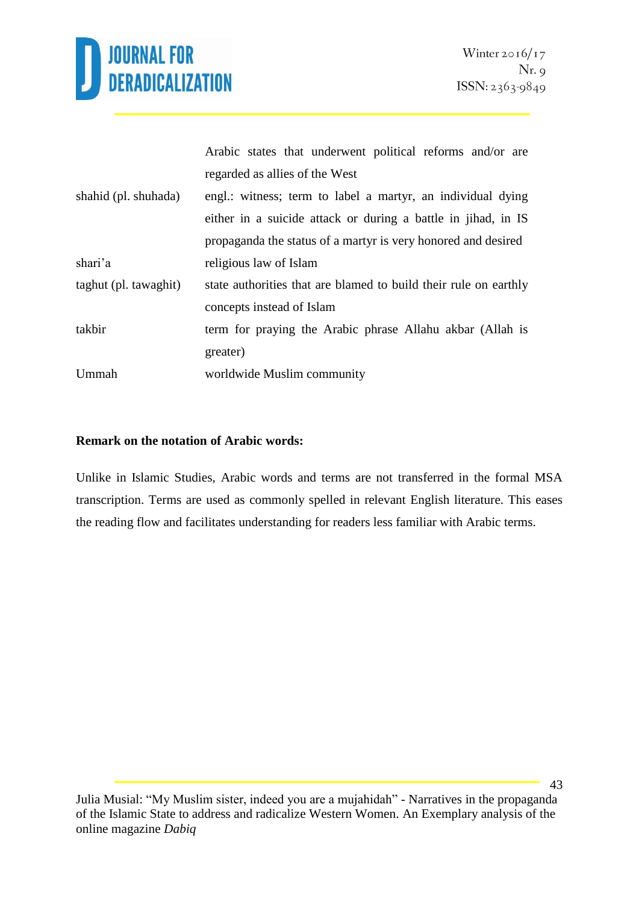

|                       | Arabic states that underwent political reforms and/or are        |  |  |
|-----------------------|------------------------------------------------------------------|--|--|
|                       | regarded as allies of the West                                   |  |  |
| shahid (pl. shuhada)  | engl.: witness; term to label a martyr, an individual dying      |  |  |
|                       | either in a suicide attack or during a battle in jihad, in IS    |  |  |
|                       | propaganda the status of a martyr is very honored and desired    |  |  |
| shari'a               | religious law of Islam                                           |  |  |
| taghut (pl. tawaghit) | state authorities that are blamed to build their rule on earthly |  |  |
|                       | concepts instead of Islam                                        |  |  |
| takbir                | term for praying the Arabic phrase Allahu akbar (Allah is        |  |  |
|                       | greater)                                                         |  |  |
| Ummah                 | worldwide Muslim community                                       |  |  |
|                       |                                                                  |  |  |

### **Remark on the notation of Arabic words:**

Unlike in Islamic Studies, Arabic words and terms are not transferred in the formal MSA transcription. Terms are used as commonly spelled in relevant English literature. This eases the reading flow and facilitates understanding for readers less familiar with Arabic terms.

Julia Musial: "My Muslim sister, indeed you are a mujahidah" - Narratives in the propaganda of the Islamic State to address and radicalize Western Women. An Exemplary analysis of the online magazine *Dabiq*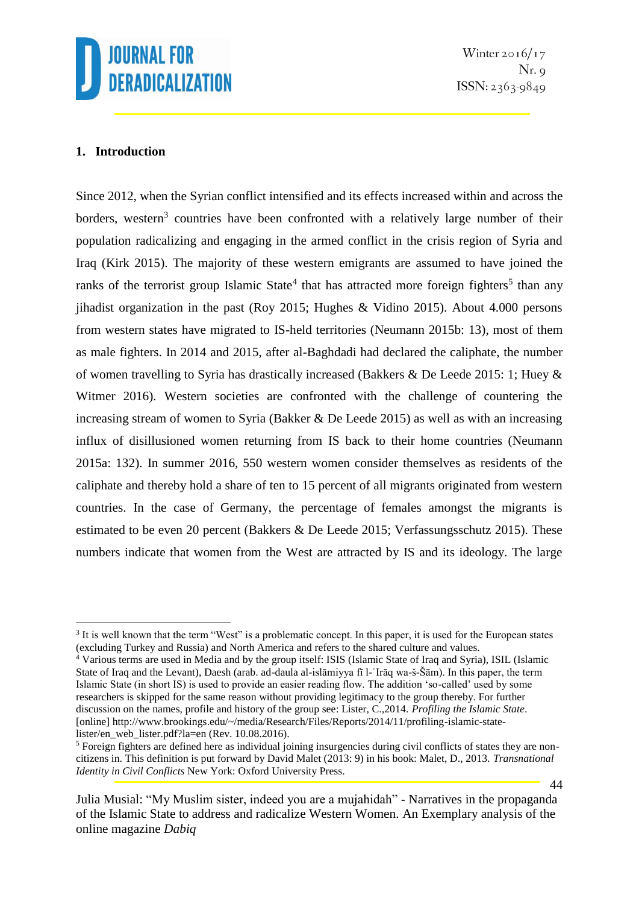

### **1. Introduction**

<u>.</u>

Since 2012, when the Syrian conflict intensified and its effects increased within and across the borders, western<sup>3</sup> countries have been confronted with a relatively large number of their population radicalizing and engaging in the armed conflict in the crisis region of Syria and Iraq (Kirk 2015). The majority of these western emigrants are assumed to have joined the ranks of the terrorist group Islamic State<sup>4</sup> that has attracted more foreign fighters<sup>5</sup> than any jihadist organization in the past (Roy 2015; Hughes & Vidino 2015). About 4.000 persons from western states have migrated to IS-held territories (Neumann 2015b: 13), most of them as male fighters. In 2014 and 2015, after al-Baghdadi had declared the caliphate, the number of women travelling to Syria has drastically increased (Bakkers & De Leede 2015: 1; Huey & Witmer 2016). Western societies are confronted with the challenge of countering the increasing stream of women to Syria (Bakker & De Leede 2015) as well as with an increasing influx of disillusioned women returning from IS back to their home countries (Neumann 2015a: 132). In summer 2016, 550 western women consider themselves as residents of the caliphate and thereby hold a share of ten to 15 percent of all migrants originated from western countries. In the case of Germany, the percentage of females amongst the migrants is estimated to be even 20 percent (Bakkers  $\&$  De Leede 2015; Verfassungsschutz 2015). These numbers indicate that women from the West are attracted by IS and its ideology. The large

<sup>&</sup>lt;sup>3</sup> It is well known that the term "West" is a problematic concept. In this paper, it is used for the European states (excluding Turkey and Russia) and North America and refers to the shared culture and values.

<sup>4</sup> Various terms are used in Media and by the group itself: ISIS (Islamic State of Iraq and Syria), ISIL (Islamic State of Iraq and the Levant), Daesh (arab. ad-daula al-islāmiyya fī l-ʿIrāq wa-š-Šām). In this paper, the term Islamic State (in short IS) is used to provide an easier reading flow. The addition 'so-called' used by some researchers is skipped for the same reason without providing legitimacy to the group thereby. For further discussion on the names, profile and history of the group see: Lister, C.,2014. *Profiling the Islamic State*. [online] http://www.brookings.edu/~/media/Research/Files/Reports/2014/11/profiling-islamic-statelister/en\_web\_lister.pdf?la=en (Rev. 10.08.2016).

<sup>&</sup>lt;sup>5</sup> Foreign fighters are defined here as individual joining insurgencies during civil conflicts of states they are noncitizens in. This definition is put forward by David Malet (2013: 9) in his book: Malet, D., 2013. *Transnational Identity in Civil Conflicts* New York: Oxford University Press.

Julia Musial: "My Muslim sister, indeed you are a mujahidah" - Narratives in the propaganda of the Islamic State to address and radicalize Western Women. An Exemplary analysis of the online magazine *Dabiq*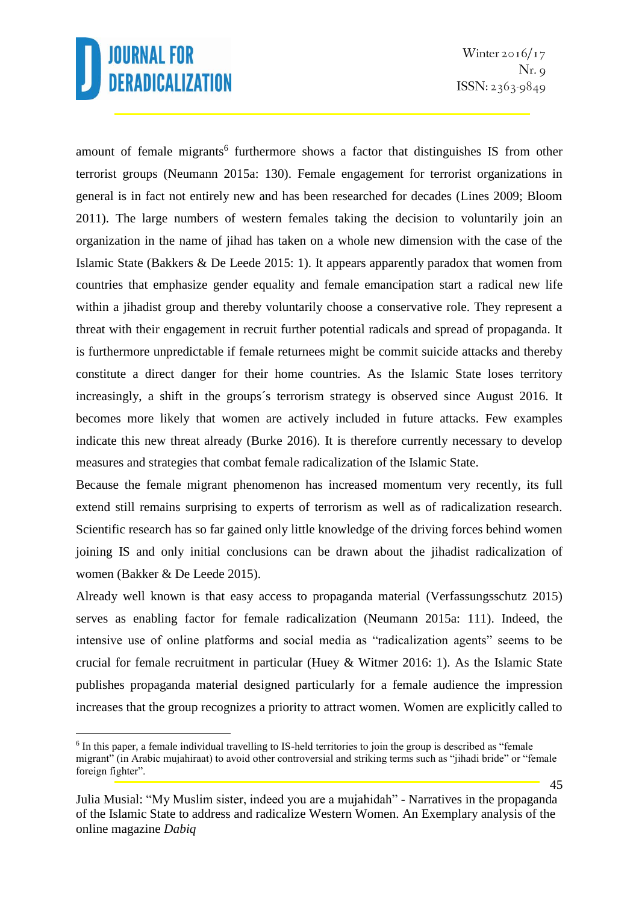amount of female migrants<sup>6</sup> furthermore shows a factor that distinguishes IS from other terrorist groups (Neumann 2015a: 130). Female engagement for terrorist organizations in general is in fact not entirely new and has been researched for decades (Lines 2009; Bloom 2011). The large numbers of western females taking the decision to voluntarily join an organization in the name of jihad has taken on a whole new dimension with the case of the Islamic State (Bakkers & De Leede 2015: 1). It appears apparently paradox that women from countries that emphasize gender equality and female emancipation start a radical new life within a jihadist group and thereby voluntarily choose a conservative role. They represent a threat with their engagement in recruit further potential radicals and spread of propaganda. It is furthermore unpredictable if female returnees might be commit suicide attacks and thereby constitute a direct danger for their home countries. As the Islamic State loses territory increasingly, a shift in the groups´s terrorism strategy is observed since August 2016. It becomes more likely that women are actively included in future attacks. Few examples indicate this new threat already (Burke 2016). It is therefore currently necessary to develop measures and strategies that combat female radicalization of the Islamic State.

Because the female migrant phenomenon has increased momentum very recently, its full extend still remains surprising to experts of terrorism as well as of radicalization research. Scientific research has so far gained only little knowledge of the driving forces behind women joining IS and only initial conclusions can be drawn about the jihadist radicalization of women (Bakker & De Leede 2015).

Already well known is that easy access to propaganda material (Verfassungsschutz 2015) serves as enabling factor for female radicalization (Neumann 2015a: 111). Indeed, the intensive use of online platforms and social media as "radicalization agents" seems to be crucial for female recruitment in particular (Huey & Witmer 2016: 1). As the Islamic State publishes propaganda material designed particularly for a female audience the impression increases that the group recognizes a priority to attract women. Women are explicitly called to

<sup>&</sup>lt;u>.</u> <sup>6</sup> In this paper, a female individual travelling to IS-held territories to join the group is described as "female" migrant" (in Arabic mujahiraat) to avoid other controversial and striking terms such as "jihadi bride" or "female foreign fighter".

Julia Musial: "My Muslim sister, indeed you are a mujahidah" - Narratives in the propaganda of the Islamic State to address and radicalize Western Women. An Exemplary analysis of the online magazine *Dabiq*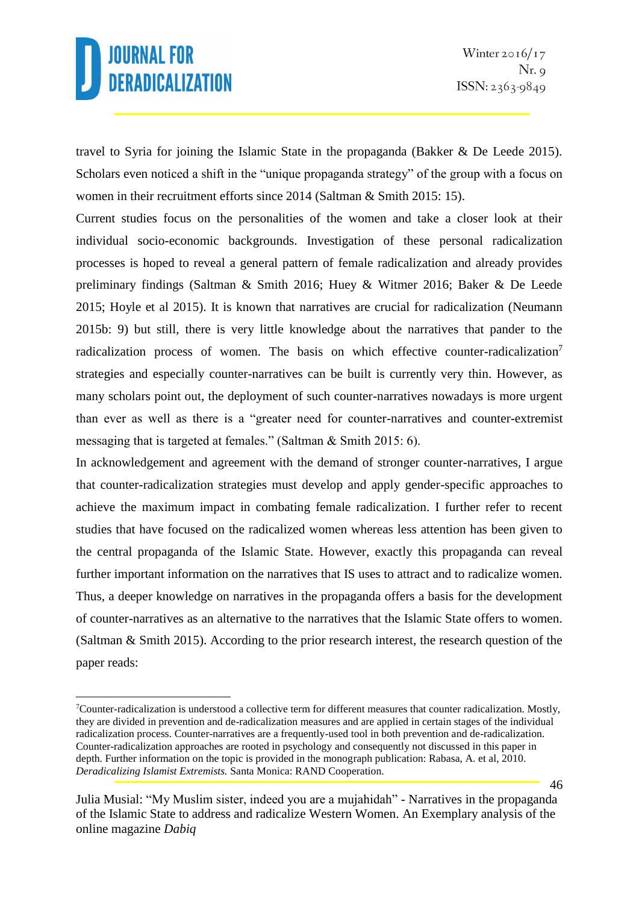travel to Syria for joining the Islamic State in the propaganda (Bakker & De Leede 2015). Scholars even noticed a shift in the "unique propaganda strategy" of the group with a focus on women in their recruitment efforts since 2014 (Saltman & Smith 2015: 15).

Current studies focus on the personalities of the women and take a closer look at their individual socio-economic backgrounds. Investigation of these personal radicalization processes is hoped to reveal a general pattern of female radicalization and already provides preliminary findings (Saltman & Smith 2016; Huey & Witmer 2016; Baker & De Leede 2015; Hoyle et al 2015). It is known that narratives are crucial for radicalization (Neumann 2015b: 9) but still, there is very little knowledge about the narratives that pander to the radicalization process of women. The basis on which effective counter-radicalization<sup>7</sup> strategies and especially counter-narratives can be built is currently very thin. However, as many scholars point out, the deployment of such counter-narratives nowadays is more urgent than ever as well as there is a "greater need for counter-narratives and counter-extremist messaging that is targeted at females." (Saltman & Smith 2015: 6).

In acknowledgement and agreement with the demand of stronger counter-narratives, I argue that counter-radicalization strategies must develop and apply gender-specific approaches to achieve the maximum impact in combating female radicalization. I further refer to recent studies that have focused on the radicalized women whereas less attention has been given to the central propaganda of the Islamic State. However, exactly this propaganda can reveal further important information on the narratives that IS uses to attract and to radicalize women. Thus, a deeper knowledge on narratives in the propaganda offers a basis for the development of counter-narratives as an alternative to the narratives that the Islamic State offers to women. (Saltman & Smith 2015). According to the prior research interest, the research question of the paper reads:

<sup>&</sup>lt;u>.</u> <sup>7</sup>Counter-radicalization is understood a collective term for different measures that counter radicalization. Mostly, they are divided in prevention and de-radicalization measures and are applied in certain stages of the individual radicalization process. Counter-narratives are a frequently-used tool in both prevention and de-radicalization. Counter-radicalization approaches are rooted in psychology and consequently not discussed in this paper in depth. Further information on the topic is provided in the monograph publication: Rabasa, A. et al, 2010. *Deradicalizing Islamist Extremists.* Santa Monica: RAND Cooperation.

Julia Musial: "My Muslim sister, indeed you are a mujahidah" - Narratives in the propaganda of the Islamic State to address and radicalize Western Women. An Exemplary analysis of the online magazine *Dabiq*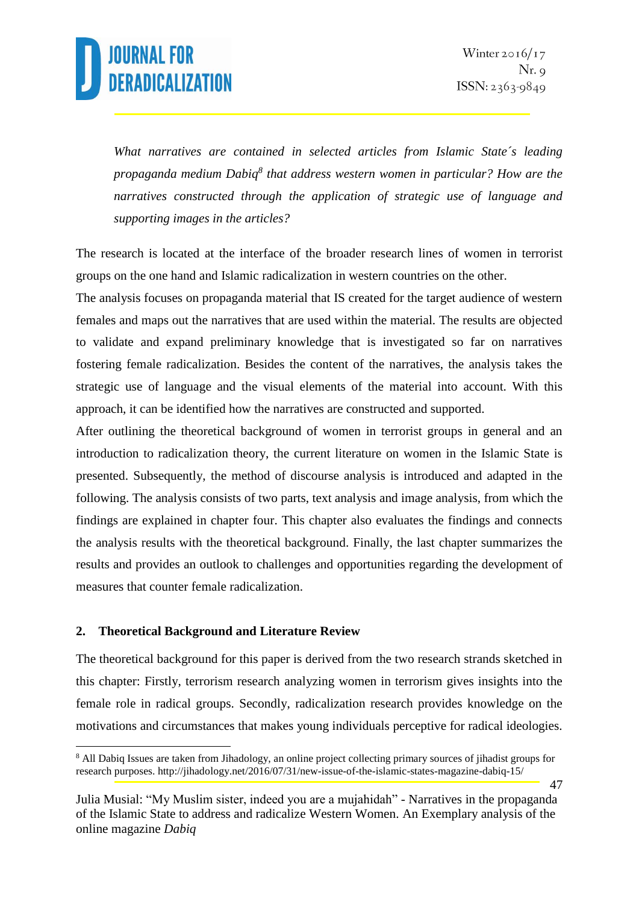

*What narratives are contained in selected articles from Islamic State´s leading propaganda medium Dabiq<sup>8</sup> that address western women in particular? How are the narratives constructed through the application of strategic use of language and supporting images in the articles?*

The research is located at the interface of the broader research lines of women in terrorist groups on the one hand and Islamic radicalization in western countries on the other.

The analysis focuses on propaganda material that IS created for the target audience of western females and maps out the narratives that are used within the material. The results are objected to validate and expand preliminary knowledge that is investigated so far on narratives fostering female radicalization. Besides the content of the narratives, the analysis takes the strategic use of language and the visual elements of the material into account. With this approach, it can be identified how the narratives are constructed and supported.

After outlining the theoretical background of women in terrorist groups in general and an introduction to radicalization theory, the current literature on women in the Islamic State is presented. Subsequently, the method of discourse analysis is introduced and adapted in the following. The analysis consists of two parts, text analysis and image analysis, from which the findings are explained in chapter four. This chapter also evaluates the findings and connects the analysis results with the theoretical background. Finally, the last chapter summarizes the results and provides an outlook to challenges and opportunities regarding the development of measures that counter female radicalization.

#### **2. Theoretical Background and Literature Review**

1

The theoretical background for this paper is derived from the two research strands sketched in this chapter: Firstly, terrorism research analyzing women in terrorism gives insights into the female role in radical groups. Secondly, radicalization research provides knowledge on the motivations and circumstances that makes young individuals perceptive for radical ideologies.

<sup>&</sup>lt;sup>8</sup> All Dabiq Issues are taken from Jihadology, an online project collecting primary sources of jihadist groups for research purposes. http://jihadology.net/2016/07/31/new-issue-of-the-islamic-states-magazine-dabiq-15/

Julia Musial: "My Muslim sister, indeed you are a mujahidah" - Narratives in the propaganda of the Islamic State to address and radicalize Western Women. An Exemplary analysis of the online magazine *Dabiq*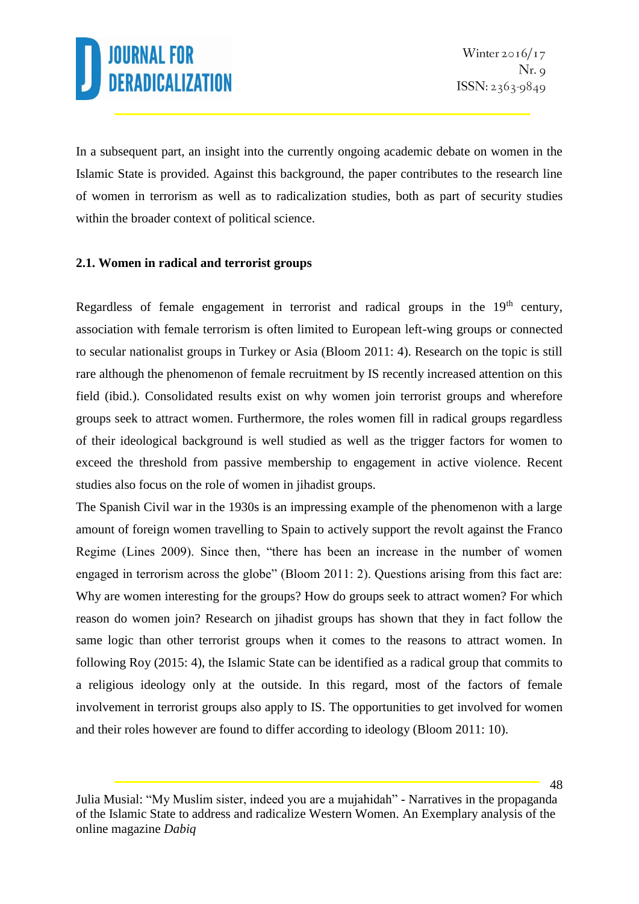In a subsequent part, an insight into the currently ongoing academic debate on women in the Islamic State is provided. Against this background, the paper contributes to the research line of women in terrorism as well as to radicalization studies, both as part of security studies within the broader context of political science.

### **2.1. Women in radical and terrorist groups**

Regardless of female engagement in terrorist and radical groups in the  $19<sup>th</sup>$  century, association with female terrorism is often limited to European left-wing groups or connected to secular nationalist groups in Turkey or Asia (Bloom 2011: 4). Research on the topic is still rare although the phenomenon of female recruitment by IS recently increased attention on this field (ibid.). Consolidated results exist on why women join terrorist groups and wherefore groups seek to attract women. Furthermore, the roles women fill in radical groups regardless of their ideological background is well studied as well as the trigger factors for women to exceed the threshold from passive membership to engagement in active violence. Recent studies also focus on the role of women in jihadist groups.

The Spanish Civil war in the 1930s is an impressing example of the phenomenon with a large amount of foreign women travelling to Spain to actively support the revolt against the Franco Regime (Lines 2009). Since then, "there has been an increase in the number of women engaged in terrorism across the globe" (Bloom 2011: 2). Questions arising from this fact are: Why are women interesting for the groups? How do groups seek to attract women? For which reason do women join? Research on jihadist groups has shown that they in fact follow the same logic than other terrorist groups when it comes to the reasons to attract women. In following Roy (2015: 4), the Islamic State can be identified as a radical group that commits to a religious ideology only at the outside. In this regard, most of the factors of female involvement in terrorist groups also apply to IS. The opportunities to get involved for women and their roles however are found to differ according to ideology (Bloom 2011: 10).

Julia Musial: "My Muslim sister, indeed you are a mujahidah" - Narratives in the propaganda of the Islamic State to address and radicalize Western Women. An Exemplary analysis of the online magazine *Dabiq*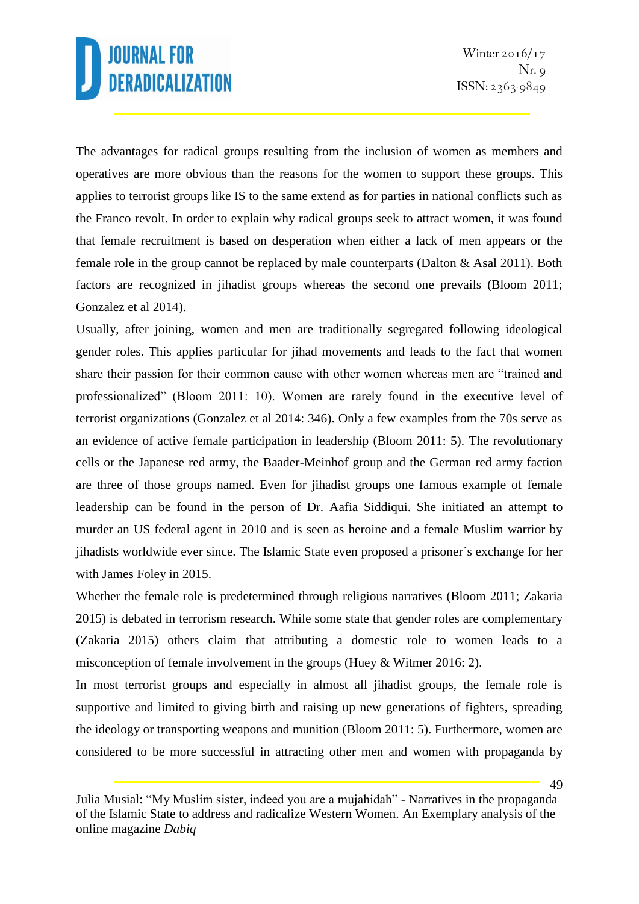The advantages for radical groups resulting from the inclusion of women as members and operatives are more obvious than the reasons for the women to support these groups. This applies to terrorist groups like IS to the same extend as for parties in national conflicts such as the Franco revolt. In order to explain why radical groups seek to attract women, it was found that female recruitment is based on desperation when either a lack of men appears or the female role in the group cannot be replaced by male counterparts (Dalton & Asal 2011). Both factors are recognized in jihadist groups whereas the second one prevails (Bloom 2011; Gonzalez et al 2014).

Usually, after joining, women and men are traditionally segregated following ideological gender roles. This applies particular for jihad movements and leads to the fact that women share their passion for their common cause with other women whereas men are "trained and professionalized" (Bloom 2011: 10). Women are rarely found in the executive level of terrorist organizations (Gonzalez et al 2014: 346). Only a few examples from the 70s serve as an evidence of active female participation in leadership (Bloom 2011: 5). The revolutionary cells or the Japanese red army, the Baader-Meinhof group and the German red army faction are three of those groups named. Even for jihadist groups one famous example of female leadership can be found in the person of Dr. Aafia Siddiqui. She initiated an attempt to murder an US federal agent in 2010 and is seen as heroine and a female Muslim warrior by jihadists worldwide ever since. The Islamic State even proposed a prisoner´s exchange for her with James Foley in 2015.

Whether the female role is predetermined through religious narratives (Bloom 2011; Zakaria 2015) is debated in terrorism research. While some state that gender roles are complementary (Zakaria 2015) others claim that attributing a domestic role to women leads to a misconception of female involvement in the groups (Huey & Witmer 2016: 2).

In most terrorist groups and especially in almost all jihadist groups, the female role is supportive and limited to giving birth and raising up new generations of fighters, spreading the ideology or transporting weapons and munition (Bloom 2011: 5). Furthermore, women are considered to be more successful in attracting other men and women with propaganda by

Julia Musial: "My Muslim sister, indeed you are a mujahidah" - Narratives in the propaganda of the Islamic State to address and radicalize Western Women. An Exemplary analysis of the online magazine *Dabiq*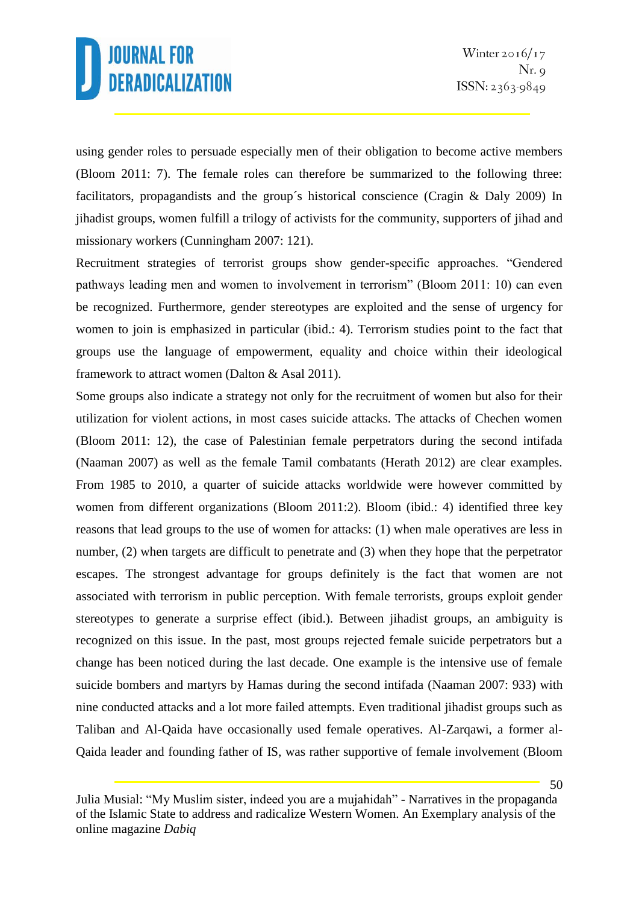using gender roles to persuade especially men of their obligation to become active members (Bloom 2011: 7). The female roles can therefore be summarized to the following three: facilitators, propagandists and the group´s historical conscience (Cragin & Daly 2009) In jihadist groups, women fulfill a trilogy of activists for the community, supporters of jihad and missionary workers (Cunningham 2007: 121).

Recruitment strategies of terrorist groups show gender-specific approaches. "Gendered pathways leading men and women to involvement in terrorism" (Bloom 2011: 10) can even be recognized. Furthermore, gender stereotypes are exploited and the sense of urgency for women to join is emphasized in particular (ibid.: 4). Terrorism studies point to the fact that groups use the language of empowerment, equality and choice within their ideological framework to attract women (Dalton & Asal 2011).

Some groups also indicate a strategy not only for the recruitment of women but also for their utilization for violent actions, in most cases suicide attacks. The attacks of Chechen women (Bloom 2011: 12), the case of Palestinian female perpetrators during the second intifada (Naaman 2007) as well as the female Tamil combatants (Herath 2012) are clear examples. From 1985 to 2010, a quarter of suicide attacks worldwide were however committed by women from different organizations (Bloom 2011:2). Bloom (ibid.: 4) identified three key reasons that lead groups to the use of women for attacks: (1) when male operatives are less in number, (2) when targets are difficult to penetrate and (3) when they hope that the perpetrator escapes. The strongest advantage for groups definitely is the fact that women are not associated with terrorism in public perception. With female terrorists, groups exploit gender stereotypes to generate a surprise effect (ibid.). Between jihadist groups, an ambiguity is recognized on this issue. In the past, most groups rejected female suicide perpetrators but a change has been noticed during the last decade. One example is the intensive use of female suicide bombers and martyrs by Hamas during the second intifada (Naaman 2007: 933) with nine conducted attacks and a lot more failed attempts. Even traditional jihadist groups such as Taliban and Al-Qaida have occasionally used female operatives. Al-Zarqawi, a former al-Qaida leader and founding father of IS, was rather supportive of female involvement (Bloom

Julia Musial: "My Muslim sister, indeed you are a mujahidah" - Narratives in the propaganda of the Islamic State to address and radicalize Western Women. An Exemplary analysis of the online magazine *Dabiq*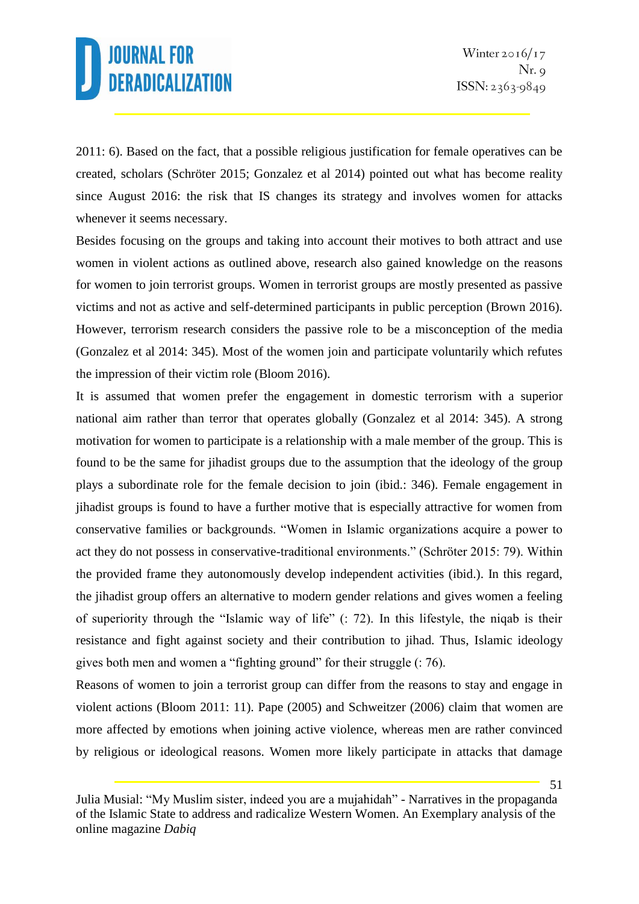2011: 6). Based on the fact, that a possible religious justification for female operatives can be created, scholars (Schröter 2015; Gonzalez et al 2014) pointed out what has become reality since August 2016: the risk that IS changes its strategy and involves women for attacks whenever it seems necessary.

Besides focusing on the groups and taking into account their motives to both attract and use women in violent actions as outlined above, research also gained knowledge on the reasons for women to join terrorist groups. Women in terrorist groups are mostly presented as passive victims and not as active and self-determined participants in public perception (Brown 2016). However, terrorism research considers the passive role to be a misconception of the media (Gonzalez et al 2014: 345). Most of the women join and participate voluntarily which refutes the impression of their victim role (Bloom 2016).

It is assumed that women prefer the engagement in domestic terrorism with a superior national aim rather than terror that operates globally (Gonzalez et al 2014: 345). A strong motivation for women to participate is a relationship with a male member of the group. This is found to be the same for jihadist groups due to the assumption that the ideology of the group plays a subordinate role for the female decision to join (ibid.: 346). Female engagement in jihadist groups is found to have a further motive that is especially attractive for women from conservative families or backgrounds. "Women in Islamic organizations acquire a power to act they do not possess in conservative-traditional environments." (Schröter 2015: 79). Within the provided frame they autonomously develop independent activities (ibid.). In this regard, the jihadist group offers an alternative to modern gender relations and gives women a feeling of superiority through the "Islamic way of life" (: 72). In this lifestyle, the niqab is their resistance and fight against society and their contribution to jihad. Thus, Islamic ideology gives both men and women a "fighting ground" for their struggle (: 76).

Reasons of women to join a terrorist group can differ from the reasons to stay and engage in violent actions (Bloom 2011: 11). Pape (2005) and Schweitzer (2006) claim that women are more affected by emotions when joining active violence, whereas men are rather convinced by religious or ideological reasons. Women more likely participate in attacks that damage

Julia Musial: "My Muslim sister, indeed you are a mujahidah" - Narratives in the propaganda of the Islamic State to address and radicalize Western Women. An Exemplary analysis of the online magazine *Dabiq*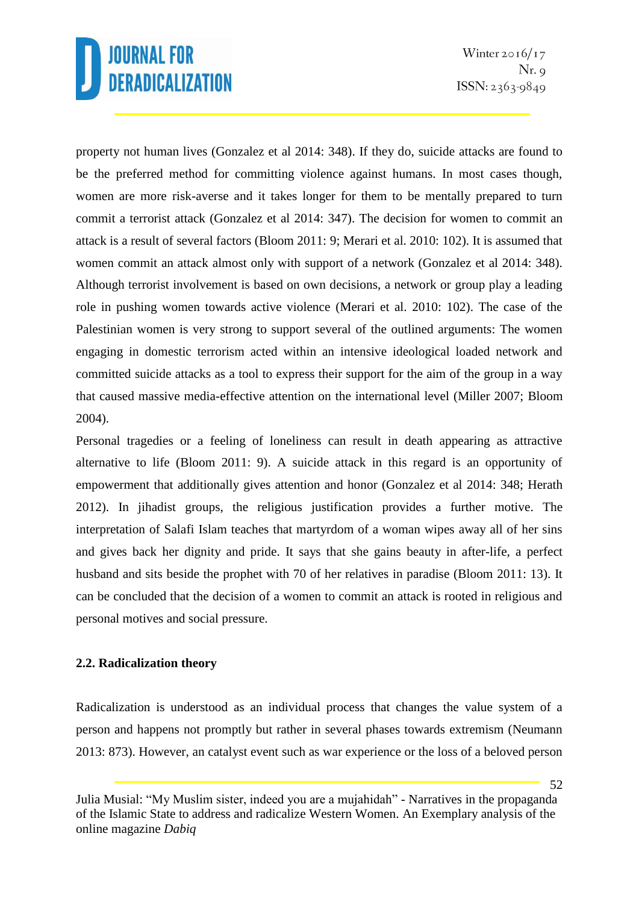property not human lives (Gonzalez et al 2014: 348). If they do, suicide attacks are found to be the preferred method for committing violence against humans. In most cases though, women are more risk-averse and it takes longer for them to be mentally prepared to turn commit a terrorist attack (Gonzalez et al 2014: 347). The decision for women to commit an attack is a result of several factors (Bloom 2011: 9; Merari et al. 2010: 102). It is assumed that women commit an attack almost only with support of a network (Gonzalez et al 2014: 348). Although terrorist involvement is based on own decisions, a network or group play a leading role in pushing women towards active violence (Merari et al. 2010: 102). The case of the Palestinian women is very strong to support several of the outlined arguments: The women engaging in domestic terrorism acted within an intensive ideological loaded network and committed suicide attacks as a tool to express their support for the aim of the group in a way that caused massive media-effective attention on the international level (Miller 2007; Bloom 2004).

Personal tragedies or a feeling of loneliness can result in death appearing as attractive alternative to life (Bloom 2011: 9). A suicide attack in this regard is an opportunity of empowerment that additionally gives attention and honor (Gonzalez et al 2014: 348; Herath 2012). In jihadist groups, the religious justification provides a further motive. The interpretation of Salafi Islam teaches that martyrdom of a woman wipes away all of her sins and gives back her dignity and pride. It says that she gains beauty in after-life, a perfect husband and sits beside the prophet with 70 of her relatives in paradise (Bloom 2011: 13). It can be concluded that the decision of a women to commit an attack is rooted in religious and personal motives and social pressure.

### **2.2. Radicalization theory**

Radicalization is understood as an individual process that changes the value system of a person and happens not promptly but rather in several phases towards extremism (Neumann 2013: 873). However, an catalyst event such as war experience or the loss of a beloved person

Julia Musial: "My Muslim sister, indeed you are a mujahidah" - Narratives in the propaganda of the Islamic State to address and radicalize Western Women. An Exemplary analysis of the online magazine *Dabiq*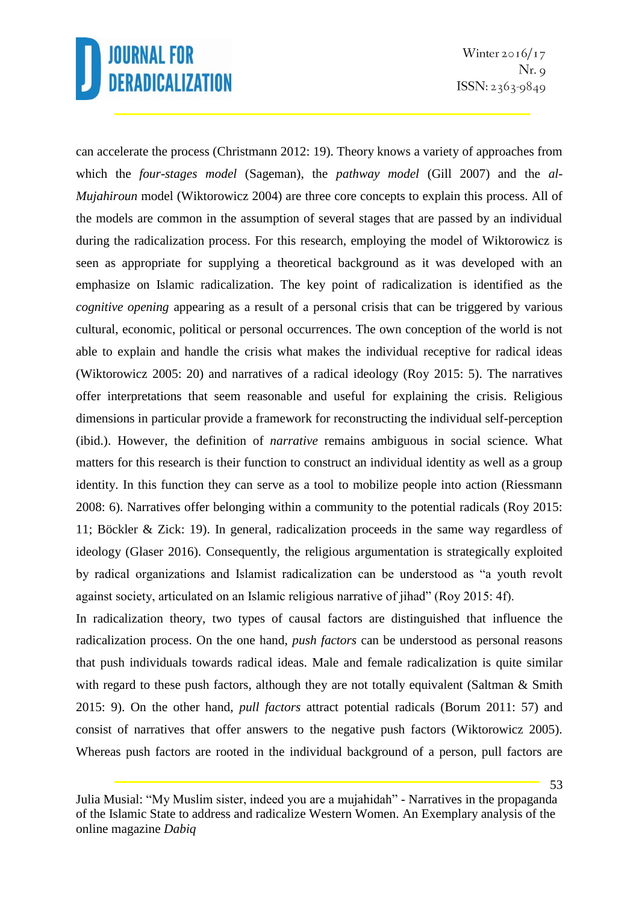Winter  $2016/17$  $Nr. q$  $ISSN: 2363-9849$ 

can accelerate the process (Christmann 2012: 19). Theory knows a variety of approaches from which the *four-stages model* (Sageman), the *pathway model* (Gill 2007) and the *al-Mujahiroun* model (Wiktorowicz 2004) are three core concepts to explain this process. All of the models are common in the assumption of several stages that are passed by an individual during the radicalization process. For this research, employing the model of Wiktorowicz is seen as appropriate for supplying a theoretical background as it was developed with an emphasize on Islamic radicalization. The key point of radicalization is identified as the *cognitive opening* appearing as a result of a personal crisis that can be triggered by various cultural, economic, political or personal occurrences. The own conception of the world is not able to explain and handle the crisis what makes the individual receptive for radical ideas (Wiktorowicz 2005: 20) and narratives of a radical ideology (Roy 2015: 5). The narratives offer interpretations that seem reasonable and useful for explaining the crisis. Religious dimensions in particular provide a framework for reconstructing the individual self-perception (ibid.). However, the definition of *narrative* remains ambiguous in social science. What matters for this research is their function to construct an individual identity as well as a group identity. In this function they can serve as a tool to mobilize people into action (Riessmann 2008: 6). Narratives offer belonging within a community to the potential radicals (Roy 2015: 11; Böckler & Zick: 19). In general, radicalization proceeds in the same way regardless of ideology (Glaser 2016). Consequently, the religious argumentation is strategically exploited by radical organizations and Islamist radicalization can be understood as "a youth revolt against society, articulated on an Islamic religious narrative of jihad" (Roy 2015: 4f).

In radicalization theory, two types of causal factors are distinguished that influence the radicalization process. On the one hand, *push factors* can be understood as personal reasons that push individuals towards radical ideas. Male and female radicalization is quite similar with regard to these push factors, although they are not totally equivalent (Saltman & Smith) 2015: 9). On the other hand, *pull factors* attract potential radicals (Borum 2011: 57) and consist of narratives that offer answers to the negative push factors (Wiktorowicz 2005). Whereas push factors are rooted in the individual background of a person, pull factors are

Julia Musial: "My Muslim sister, indeed you are a mujahidah" - Narratives in the propaganda of the Islamic State to address and radicalize Western Women. An Exemplary analysis of the online magazine *Dabiq*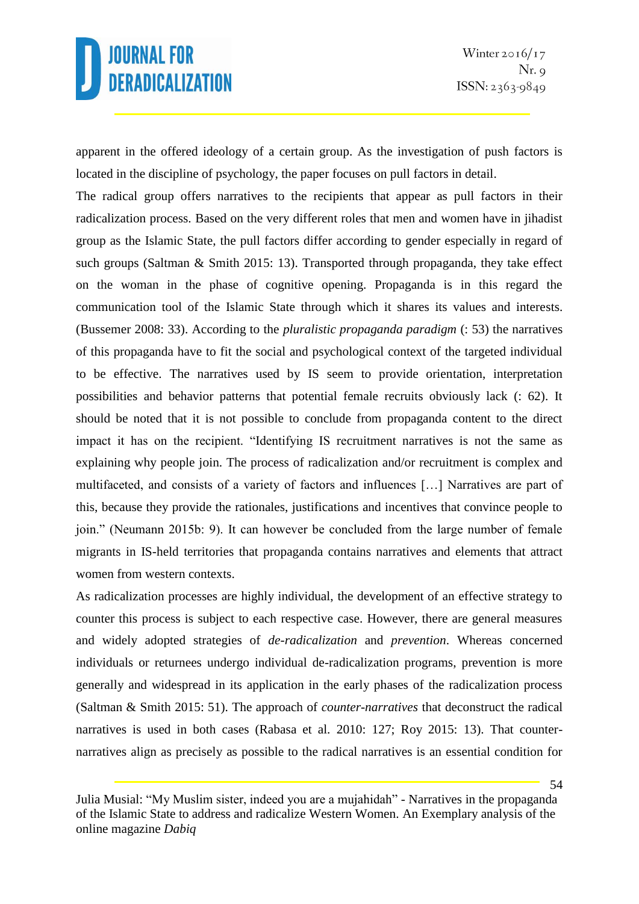apparent in the offered ideology of a certain group. As the investigation of push factors is located in the discipline of psychology, the paper focuses on pull factors in detail.

The radical group offers narratives to the recipients that appear as pull factors in their radicalization process. Based on the very different roles that men and women have in jihadist group as the Islamic State, the pull factors differ according to gender especially in regard of such groups (Saltman & Smith 2015: 13). Transported through propaganda, they take effect on the woman in the phase of cognitive opening. Propaganda is in this regard the communication tool of the Islamic State through which it shares its values and interests. (Bussemer 2008: 33). According to the *pluralistic propaganda paradigm* (: 53) the narratives of this propaganda have to fit the social and psychological context of the targeted individual to be effective. The narratives used by IS seem to provide orientation, interpretation possibilities and behavior patterns that potential female recruits obviously lack (: 62). It should be noted that it is not possible to conclude from propaganda content to the direct impact it has on the recipient. "Identifying IS recruitment narratives is not the same as explaining why people join. The process of radicalization and/or recruitment is complex and multifaceted, and consists of a variety of factors and influences […] Narratives are part of this, because they provide the rationales, justifications and incentives that convince people to join." (Neumann 2015b: 9). It can however be concluded from the large number of female migrants in IS-held territories that propaganda contains narratives and elements that attract women from western contexts.

As radicalization processes are highly individual, the development of an effective strategy to counter this process is subject to each respective case. However, there are general measures and widely adopted strategies of *de-radicalization* and *prevention*. Whereas concerned individuals or returnees undergo individual de-radicalization programs, prevention is more generally and widespread in its application in the early phases of the radicalization process (Saltman & Smith 2015: 51). The approach of *counter-narratives* that deconstruct the radical narratives is used in both cases (Rabasa et al. 2010: 127; Roy 2015: 13). That counternarratives align as precisely as possible to the radical narratives is an essential condition for

Julia Musial: "My Muslim sister, indeed you are a mujahidah" - Narratives in the propaganda of the Islamic State to address and radicalize Western Women. An Exemplary analysis of the online magazine *Dabiq*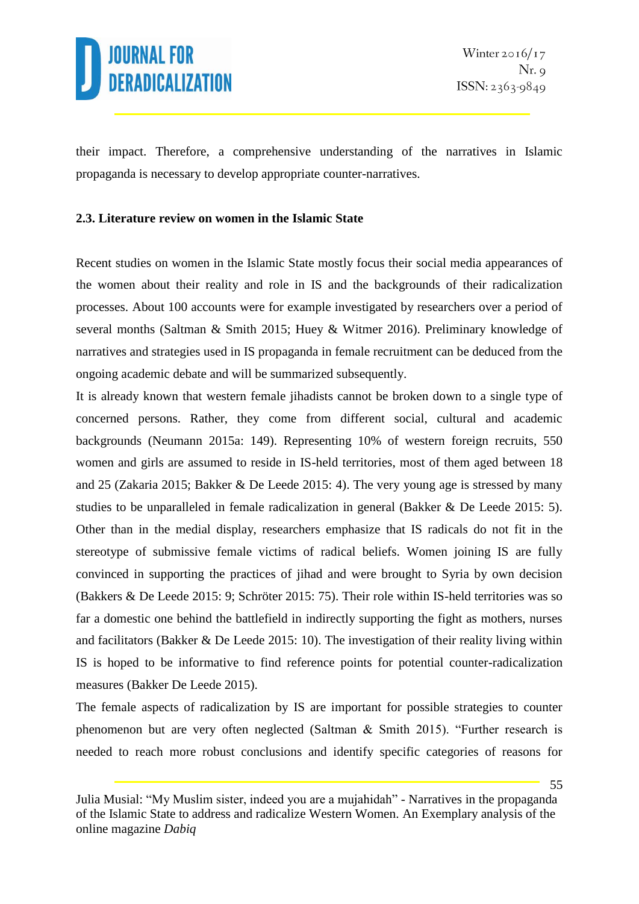

their impact. Therefore, a comprehensive understanding of the narratives in Islamic propaganda is necessary to develop appropriate counter-narratives.

#### **2.3. Literature review on women in the Islamic State**

Recent studies on women in the Islamic State mostly focus their social media appearances of the women about their reality and role in IS and the backgrounds of their radicalization processes. About 100 accounts were for example investigated by researchers over a period of several months (Saltman & Smith 2015; Huey & Witmer 2016). Preliminary knowledge of narratives and strategies used in IS propaganda in female recruitment can be deduced from the ongoing academic debate and will be summarized subsequently.

It is already known that western female jihadists cannot be broken down to a single type of concerned persons. Rather, they come from different social, cultural and academic backgrounds (Neumann 2015a: 149). Representing 10% of western foreign recruits, 550 women and girls are assumed to reside in IS-held territories, most of them aged between 18 and 25 (Zakaria 2015; Bakker & De Leede 2015: 4). The very young age is stressed by many studies to be unparalleled in female radicalization in general (Bakker & De Leede 2015: 5). Other than in the medial display, researchers emphasize that IS radicals do not fit in the stereotype of submissive female victims of radical beliefs. Women joining IS are fully convinced in supporting the practices of jihad and were brought to Syria by own decision (Bakkers & De Leede 2015: 9; Schröter 2015: 75). Their role within IS-held territories was so far a domestic one behind the battlefield in indirectly supporting the fight as mothers, nurses and facilitators (Bakker  $\&$  De Leede 2015: 10). The investigation of their reality living within IS is hoped to be informative to find reference points for potential counter-radicalization measures (Bakker De Leede 2015).

The female aspects of radicalization by IS are important for possible strategies to counter phenomenon but are very often neglected (Saltman & Smith 2015). "Further research is needed to reach more robust conclusions and identify specific categories of reasons for

Julia Musial: "My Muslim sister, indeed you are a mujahidah" - Narratives in the propaganda of the Islamic State to address and radicalize Western Women. An Exemplary analysis of the online magazine *Dabiq*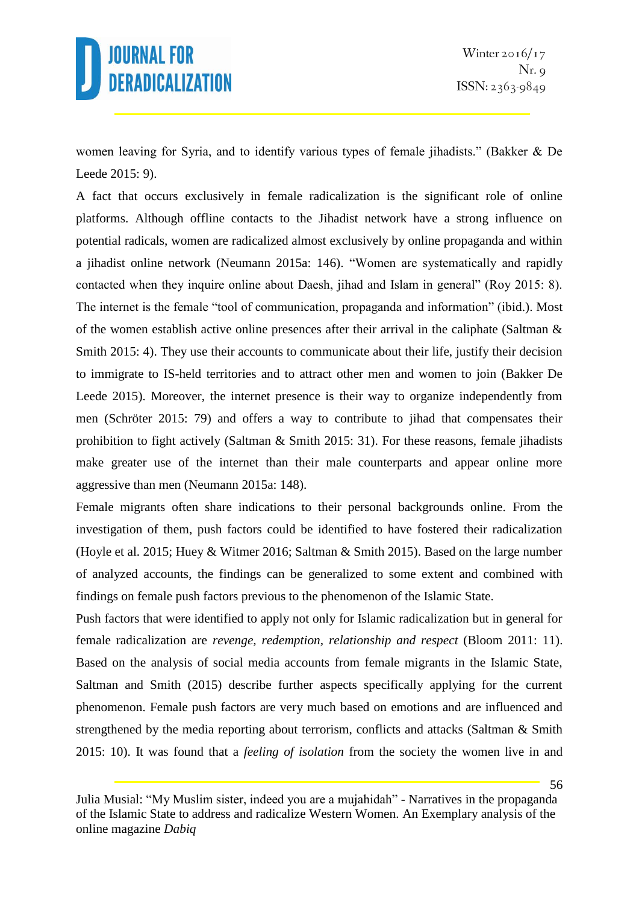women leaving for Syria, and to identify various types of female jihadists." (Bakker & De Leede 2015: 9).

A fact that occurs exclusively in female radicalization is the significant role of online platforms. Although offline contacts to the Jihadist network have a strong influence on potential radicals, women are radicalized almost exclusively by online propaganda and within a jihadist online network (Neumann 2015a: 146). "Women are systematically and rapidly contacted when they inquire online about Daesh, jihad and Islam in general" (Roy 2015: 8). The internet is the female "tool of communication, propaganda and information" (ibid.). Most of the women establish active online presences after their arrival in the caliphate (Saltman & Smith 2015: 4). They use their accounts to communicate about their life, justify their decision to immigrate to IS-held territories and to attract other men and women to join (Bakker De Leede 2015). Moreover, the internet presence is their way to organize independently from men (Schröter 2015: 79) and offers a way to contribute to jihad that compensates their prohibition to fight actively (Saltman & Smith 2015: 31). For these reasons, female jihadists make greater use of the internet than their male counterparts and appear online more aggressive than men (Neumann 2015a: 148).

Female migrants often share indications to their personal backgrounds online. From the investigation of them, push factors could be identified to have fostered their radicalization (Hoyle et al. 2015; Huey & Witmer 2016; Saltman & Smith 2015). Based on the large number of analyzed accounts, the findings can be generalized to some extent and combined with findings on female push factors previous to the phenomenon of the Islamic State.

Push factors that were identified to apply not only for Islamic radicalization but in general for female radicalization are *revenge, redemption, relationship and respect* (Bloom 2011: 11). Based on the analysis of social media accounts from female migrants in the Islamic State, Saltman and Smith (2015) describe further aspects specifically applying for the current phenomenon. Female push factors are very much based on emotions and are influenced and strengthened by the media reporting about terrorism, conflicts and attacks (Saltman & Smith 2015: 10). It was found that a *feeling of isolation* from the society the women live in and

Julia Musial: "My Muslim sister, indeed you are a mujahidah" - Narratives in the propaganda of the Islamic State to address and radicalize Western Women. An Exemplary analysis of the online magazine *Dabiq*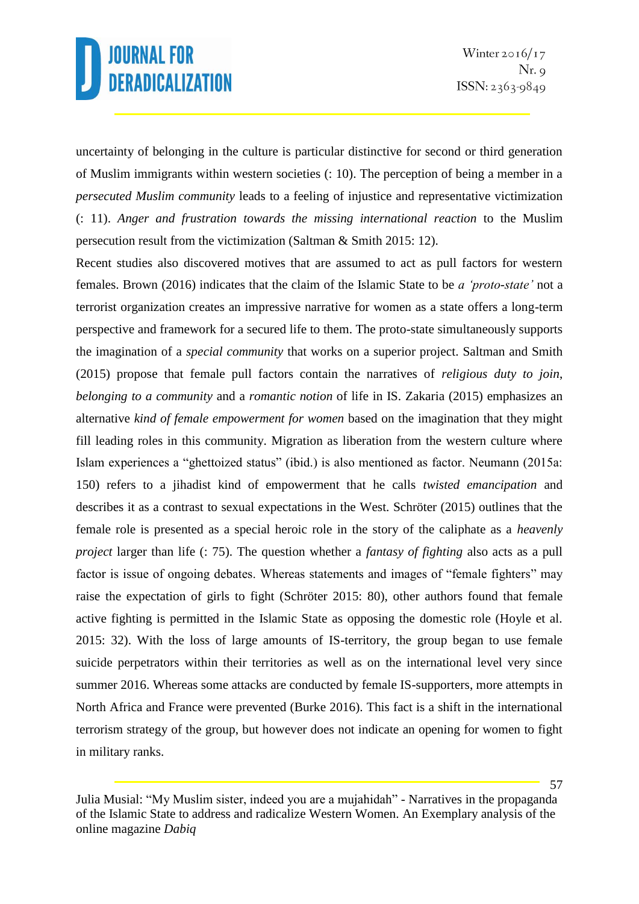uncertainty of belonging in the culture is particular distinctive for second or third generation of Muslim immigrants within western societies (: 10). The perception of being a member in a *persecuted Muslim community* leads to a feeling of injustice and representative victimization (: 11). *Anger and frustration towards the missing international reaction* to the Muslim persecution result from the victimization (Saltman & Smith 2015: 12).

Recent studies also discovered motives that are assumed to act as pull factors for western females. Brown (2016) indicates that the claim of the Islamic State to be *a 'proto-state'* not a terrorist organization creates an impressive narrative for women as a state offers a long-term perspective and framework for a secured life to them. The proto-state simultaneously supports the imagination of a *special community* that works on a superior project. Saltman and Smith (2015) propose that female pull factors contain the narratives of *religious duty to join*, *belonging to a community* and a *romantic notion* of life in IS. Zakaria (2015) emphasizes an alternative *kind of female empowerment for women* based on the imagination that they might fill leading roles in this community. Migration as liberation from the western culture where Islam experiences a "ghettoized status" (ibid.) is also mentioned as factor. Neumann (2015a: 150) refers to a jihadist kind of empowerment that he calls *twisted emancipation* and describes it as a contrast to sexual expectations in the West. Schröter (2015) outlines that the female role is presented as a special heroic role in the story of the caliphate as a *heavenly project* larger than life (: 75). The question whether a *fantasy of fighting* also acts as a pull factor is issue of ongoing debates. Whereas statements and images of "female fighters" may raise the expectation of girls to fight (Schröter 2015: 80), other authors found that female active fighting is permitted in the Islamic State as opposing the domestic role (Hoyle et al. 2015: 32). With the loss of large amounts of IS-territory, the group began to use female suicide perpetrators within their territories as well as on the international level very since summer 2016. Whereas some attacks are conducted by female IS-supporters, more attempts in North Africa and France were prevented (Burke 2016). This fact is a shift in the international terrorism strategy of the group, but however does not indicate an opening for women to fight in military ranks.

Julia Musial: "My Muslim sister, indeed you are a mujahidah" - Narratives in the propaganda of the Islamic State to address and radicalize Western Women. An Exemplary analysis of the online magazine *Dabiq*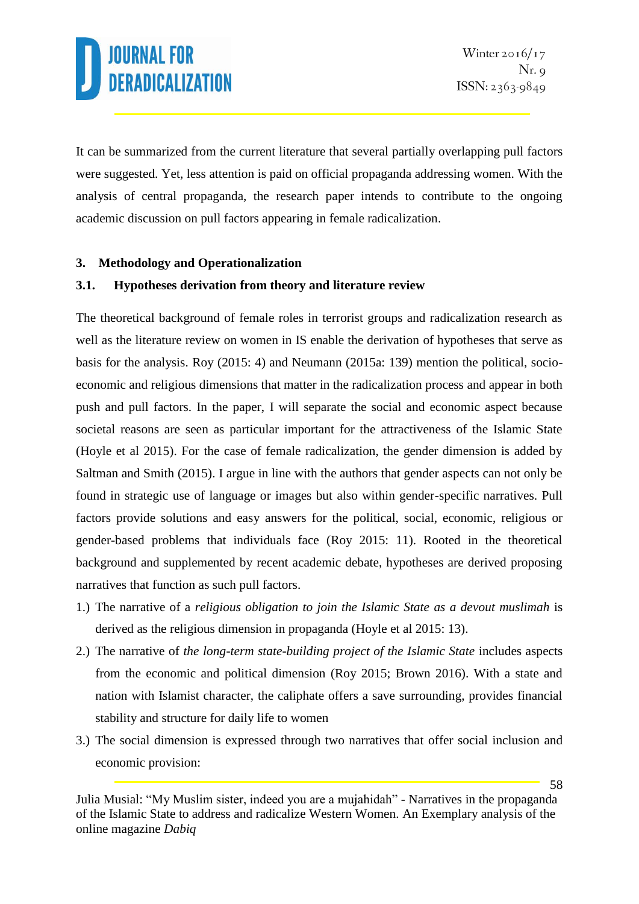It can be summarized from the current literature that several partially overlapping pull factors were suggested. Yet, less attention is paid on official propaganda addressing women. With the analysis of central propaganda, the research paper intends to contribute to the ongoing academic discussion on pull factors appearing in female radicalization.

### **3. Methodology and Operationalization**

### **3.1. Hypotheses derivation from theory and literature review**

The theoretical background of female roles in terrorist groups and radicalization research as well as the literature review on women in IS enable the derivation of hypotheses that serve as basis for the analysis. Roy (2015: 4) and Neumann (2015a: 139) mention the political, socioeconomic and religious dimensions that matter in the radicalization process and appear in both push and pull factors. In the paper, I will separate the social and economic aspect because societal reasons are seen as particular important for the attractiveness of the Islamic State (Hoyle et al 2015). For the case of female radicalization, the gender dimension is added by Saltman and Smith (2015). I argue in line with the authors that gender aspects can not only be found in strategic use of language or images but also within gender-specific narratives. Pull factors provide solutions and easy answers for the political, social, economic, religious or gender-based problems that individuals face (Roy 2015: 11). Rooted in the theoretical background and supplemented by recent academic debate, hypotheses are derived proposing narratives that function as such pull factors.

- 1.) The narrative of a *religious obligation to join the Islamic State as a devout muslimah* is derived as the religious dimension in propaganda (Hoyle et al 2015: 13).
- 2.) The narrative of *the long-term state-building project of the Islamic State* includes aspects from the economic and political dimension (Roy 2015; Brown 2016). With a state and nation with Islamist character, the caliphate offers a save surrounding, provides financial stability and structure for daily life to women
- 3.) The social dimension is expressed through two narratives that offer social inclusion and economic provision:

Julia Musial: "My Muslim sister, indeed you are a mujahidah" - Narratives in the propaganda of the Islamic State to address and radicalize Western Women. An Exemplary analysis of the online magazine *Dabiq*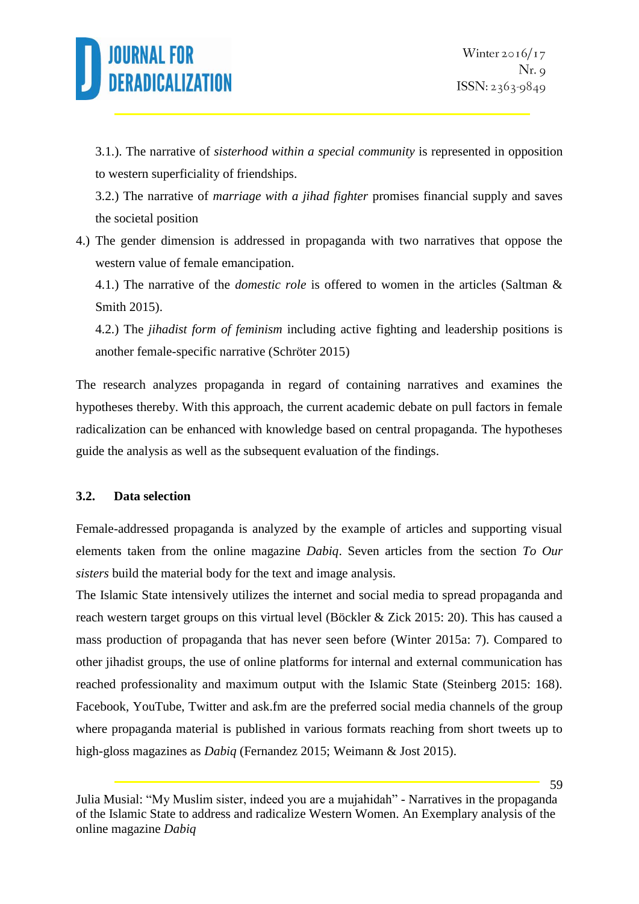

3.1.). The narrative of *sisterhood within a special community* is represented in opposition to western superficiality of friendships.

3.2.) The narrative of *marriage with a jihad fighter* promises financial supply and saves the societal position

4.) The gender dimension is addressed in propaganda with two narratives that oppose the western value of female emancipation.

4.1.) The narrative of the *domestic role* is offered to women in the articles (Saltman & Smith 2015).

4.2.) The *jihadist form of feminism* including active fighting and leadership positions is another female-specific narrative (Schröter 2015)

The research analyzes propaganda in regard of containing narratives and examines the hypotheses thereby. With this approach, the current academic debate on pull factors in female radicalization can be enhanced with knowledge based on central propaganda. The hypotheses guide the analysis as well as the subsequent evaluation of the findings.

### **3.2. Data selection**

Female-addressed propaganda is analyzed by the example of articles and supporting visual elements taken from the online magazine *Dabiq*. Seven articles from the section *To Our sisters* build the material body for the text and image analysis.

The Islamic State intensively utilizes the internet and social media to spread propaganda and reach western target groups on this virtual level (Böckler & Zick 2015: 20). This has caused a mass production of propaganda that has never seen before (Winter 2015a: 7). Compared to other jihadist groups, the use of online platforms for internal and external communication has reached professionality and maximum output with the Islamic State (Steinberg 2015: 168). Facebook, YouTube, Twitter and ask.fm are the preferred social media channels of the group where propaganda material is published in various formats reaching from short tweets up to high-gloss magazines as *Dabiq* (Fernandez 2015; Weimann & Jost 2015).

Julia Musial: "My Muslim sister, indeed you are a mujahidah" - Narratives in the propaganda of the Islamic State to address and radicalize Western Women. An Exemplary analysis of the online magazine *Dabiq*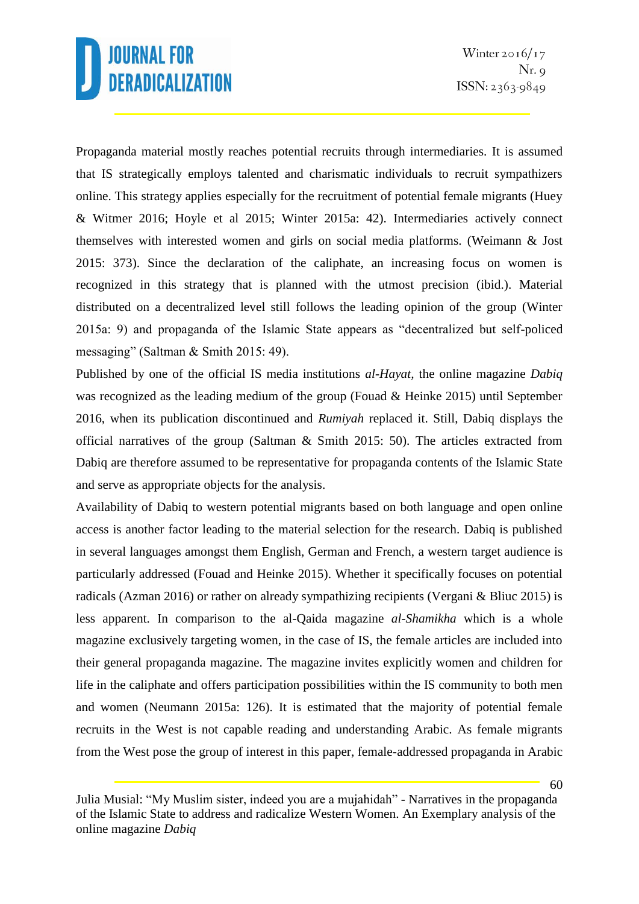Propaganda material mostly reaches potential recruits through intermediaries. It is assumed that IS strategically employs talented and charismatic individuals to recruit sympathizers online. This strategy applies especially for the recruitment of potential female migrants (Huey & Witmer 2016; Hoyle et al 2015; Winter 2015a: 42). Intermediaries actively connect themselves with interested women and girls on social media platforms. (Weimann & Jost 2015: 373). Since the declaration of the caliphate, an increasing focus on women is recognized in this strategy that is planned with the utmost precision (ibid.). Material distributed on a decentralized level still follows the leading opinion of the group (Winter 2015a: 9) and propaganda of the Islamic State appears as "decentralized but self-policed messaging" (Saltman & Smith 2015: 49).

Published by one of the official IS media institutions *al-Hayat,* the online magazine *Dabiq* was recognized as the leading medium of the group (Fouad & Heinke 2015) until September 2016, when its publication discontinued and *Rumiyah* replaced it. Still, Dabiq displays the official narratives of the group (Saltman & Smith 2015: 50). The articles extracted from Dabiq are therefore assumed to be representative for propaganda contents of the Islamic State and serve as appropriate objects for the analysis.

Availability of Dabiq to western potential migrants based on both language and open online access is another factor leading to the material selection for the research. Dabiq is published in several languages amongst them English, German and French, a western target audience is particularly addressed (Fouad and Heinke 2015). Whether it specifically focuses on potential radicals (Azman 2016) or rather on already sympathizing recipients (Vergani & Bliuc 2015) is less apparent. In comparison to the al-Qaida magazine *al-Shamikha* which is a whole magazine exclusively targeting women, in the case of IS, the female articles are included into their general propaganda magazine. The magazine invites explicitly women and children for life in the caliphate and offers participation possibilities within the IS community to both men and women (Neumann 2015a: 126). It is estimated that the majority of potential female recruits in the West is not capable reading and understanding Arabic. As female migrants from the West pose the group of interest in this paper, female-addressed propaganda in Arabic

Julia Musial: "My Muslim sister, indeed you are a mujahidah" - Narratives in the propaganda of the Islamic State to address and radicalize Western Women. An Exemplary analysis of the online magazine *Dabiq*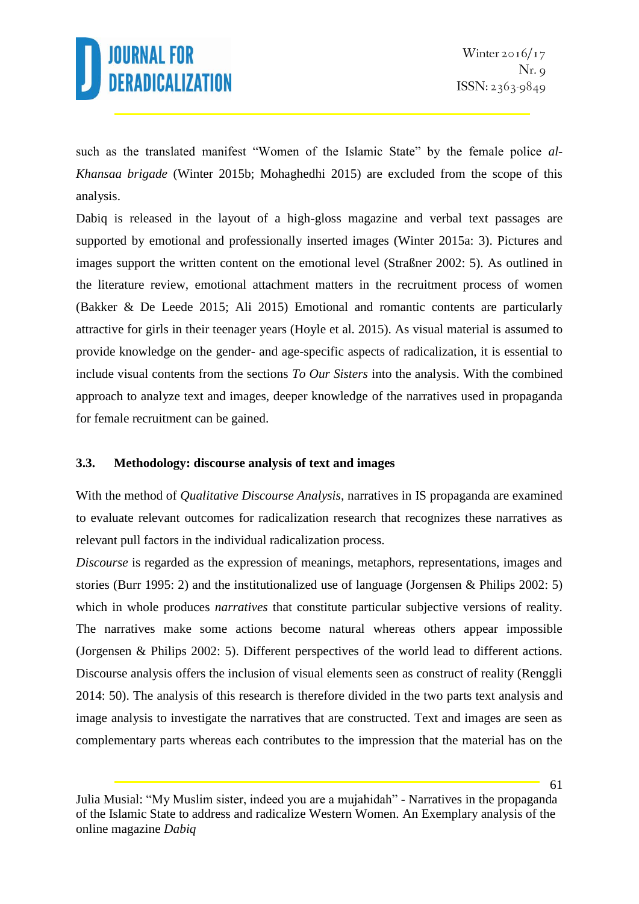

such as the translated manifest "Women of the Islamic State" by the female police *al-Khansaa brigade* (Winter 2015b; Mohaghedhi 2015) are excluded from the scope of this analysis.

Dabiq is released in the layout of a high-gloss magazine and verbal text passages are supported by emotional and professionally inserted images (Winter 2015a: 3). Pictures and images support the written content on the emotional level (Straßner 2002: 5). As outlined in the literature review, emotional attachment matters in the recruitment process of women (Bakker & De Leede 2015; Ali 2015) Emotional and romantic contents are particularly attractive for girls in their teenager years (Hoyle et al. 2015). As visual material is assumed to provide knowledge on the gender- and age-specific aspects of radicalization, it is essential to include visual contents from the sections *To Our Sisters* into the analysis. With the combined approach to analyze text and images, deeper knowledge of the narratives used in propaganda for female recruitment can be gained.

#### **3.3. Methodology: discourse analysis of text and images**

With the method of *Qualitative Discourse Analysis,* narratives in IS propaganda are examined to evaluate relevant outcomes for radicalization research that recognizes these narratives as relevant pull factors in the individual radicalization process.

*Discourse* is regarded as the expression of meanings, metaphors, representations, images and stories (Burr 1995: 2) and the institutionalized use of language (Jorgensen & Philips 2002: 5) which in whole produces *narratives* that constitute particular subjective versions of reality. The narratives make some actions become natural whereas others appear impossible (Jorgensen & Philips 2002: 5). Different perspectives of the world lead to different actions. Discourse analysis offers the inclusion of visual elements seen as construct of reality (Renggli 2014: 50). The analysis of this research is therefore divided in the two parts text analysis and image analysis to investigate the narratives that are constructed. Text and images are seen as complementary parts whereas each contributes to the impression that the material has on the

Julia Musial: "My Muslim sister, indeed you are a mujahidah" - Narratives in the propaganda of the Islamic State to address and radicalize Western Women. An Exemplary analysis of the online magazine *Dabiq*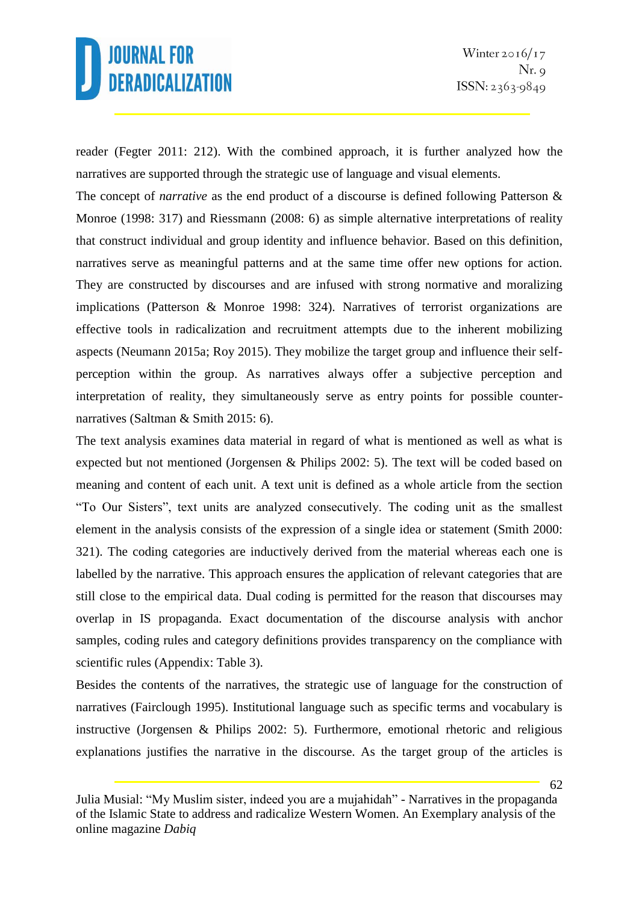reader (Fegter 2011: 212). With the combined approach, it is further analyzed how the narratives are supported through the strategic use of language and visual elements.

The concept of *narrative* as the end product of a discourse is defined following Patterson & Monroe (1998: 317) and Riessmann (2008: 6) as simple alternative interpretations of reality that construct individual and group identity and influence behavior. Based on this definition, narratives serve as meaningful patterns and at the same time offer new options for action. They are constructed by discourses and are infused with strong normative and moralizing implications (Patterson & Monroe 1998: 324). Narratives of terrorist organizations are effective tools in radicalization and recruitment attempts due to the inherent mobilizing aspects (Neumann 2015a; Roy 2015). They mobilize the target group and influence their selfperception within the group. As narratives always offer a subjective perception and interpretation of reality, they simultaneously serve as entry points for possible counternarratives (Saltman & Smith 2015: 6).

The text analysis examines data material in regard of what is mentioned as well as what is expected but not mentioned (Jorgensen & Philips 2002: 5). The text will be coded based on meaning and content of each unit. A text unit is defined as a whole article from the section "To Our Sisters", text units are analyzed consecutively. The coding unit as the smallest element in the analysis consists of the expression of a single idea or statement (Smith 2000: 321). The coding categories are inductively derived from the material whereas each one is labelled by the narrative. This approach ensures the application of relevant categories that are still close to the empirical data. Dual coding is permitted for the reason that discourses may overlap in IS propaganda. Exact documentation of the discourse analysis with anchor samples, coding rules and category definitions provides transparency on the compliance with scientific rules (Appendix: Table 3).

Besides the contents of the narratives, the strategic use of language for the construction of narratives (Fairclough 1995). Institutional language such as specific terms and vocabulary is instructive (Jorgensen & Philips 2002: 5). Furthermore, emotional rhetoric and religious explanations justifies the narrative in the discourse. As the target group of the articles is

Julia Musial: "My Muslim sister, indeed you are a mujahidah" - Narratives in the propaganda of the Islamic State to address and radicalize Western Women. An Exemplary analysis of the online magazine *Dabiq*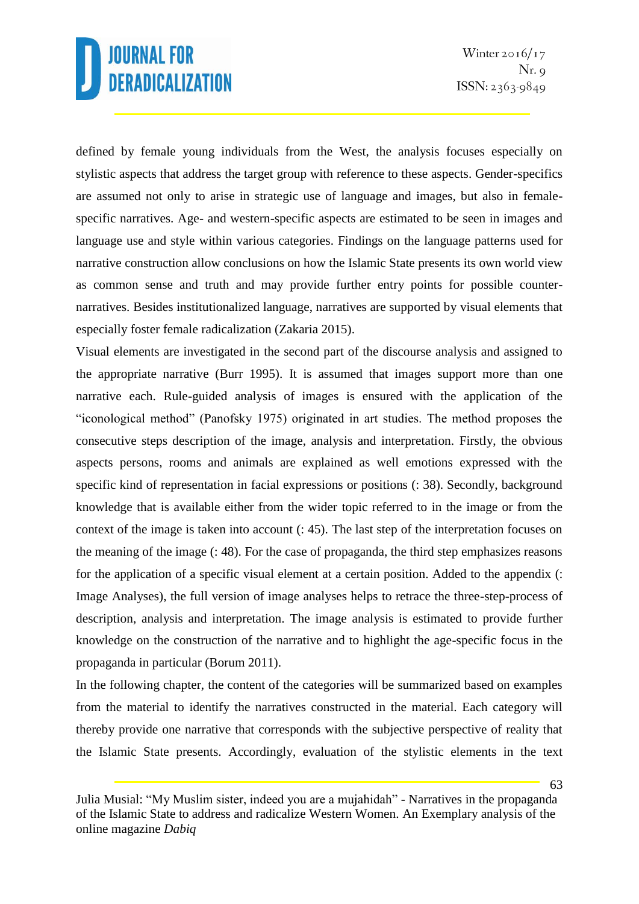defined by female young individuals from the West, the analysis focuses especially on stylistic aspects that address the target group with reference to these aspects. Gender-specifics are assumed not only to arise in strategic use of language and images, but also in femalespecific narratives. Age- and western-specific aspects are estimated to be seen in images and language use and style within various categories. Findings on the language patterns used for narrative construction allow conclusions on how the Islamic State presents its own world view as common sense and truth and may provide further entry points for possible counternarratives. Besides institutionalized language, narratives are supported by visual elements that especially foster female radicalization (Zakaria 2015).

Visual elements are investigated in the second part of the discourse analysis and assigned to the appropriate narrative (Burr 1995). It is assumed that images support more than one narrative each. Rule-guided analysis of images is ensured with the application of the "iconological method" (Panofsky 1975) originated in art studies. The method proposes the consecutive steps description of the image, analysis and interpretation. Firstly, the obvious aspects persons, rooms and animals are explained as well emotions expressed with the specific kind of representation in facial expressions or positions (: 38). Secondly, background knowledge that is available either from the wider topic referred to in the image or from the context of the image is taken into account (: 45). The last step of the interpretation focuses on the meaning of the image (: 48). For the case of propaganda, the third step emphasizes reasons for the application of a specific visual element at a certain position. Added to the appendix (: Image Analyses), the full version of image analyses helps to retrace the three-step-process of description, analysis and interpretation. The image analysis is estimated to provide further knowledge on the construction of the narrative and to highlight the age-specific focus in the propaganda in particular (Borum 2011).

In the following chapter, the content of the categories will be summarized based on examples from the material to identify the narratives constructed in the material. Each category will thereby provide one narrative that corresponds with the subjective perspective of reality that the Islamic State presents. Accordingly, evaluation of the stylistic elements in the text

Julia Musial: "My Muslim sister, indeed you are a mujahidah" - Narratives in the propaganda of the Islamic State to address and radicalize Western Women. An Exemplary analysis of the online magazine *Dabiq*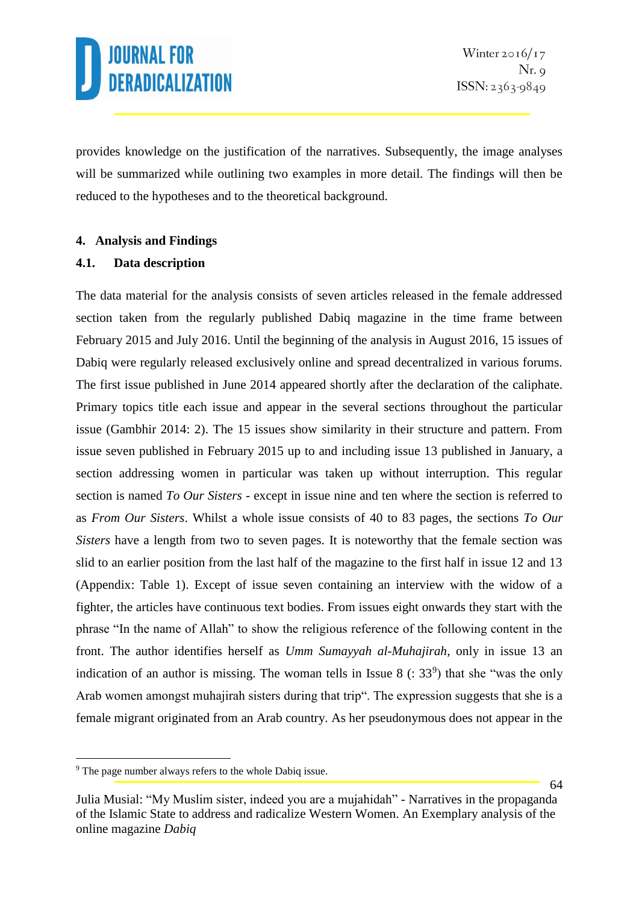provides knowledge on the justification of the narratives. Subsequently, the image analyses will be summarized while outlining two examples in more detail. The findings will then be reduced to the hypotheses and to the theoretical background.

### **4. Analysis and Findings**

### **4.1. Data description**

The data material for the analysis consists of seven articles released in the female addressed section taken from the regularly published Dabiq magazine in the time frame between February 2015 and July 2016. Until the beginning of the analysis in August 2016, 15 issues of Dabiq were regularly released exclusively online and spread decentralized in various forums. The first issue published in June 2014 appeared shortly after the declaration of the caliphate. Primary topics title each issue and appear in the several sections throughout the particular issue (Gambhir 2014: 2). The 15 issues show similarity in their structure and pattern. From issue seven published in February 2015 up to and including issue 13 published in January, a section addressing women in particular was taken up without interruption. This regular section is named *To Our Sisters* - except in issue nine and ten where the section is referred to as *From Our Sisters*. Whilst a whole issue consists of 40 to 83 pages, the sections *To Our Sisters* have a length from two to seven pages. It is noteworthy that the female section was slid to an earlier position from the last half of the magazine to the first half in issue 12 and 13 (Appendix: Table 1). Except of issue seven containing an interview with the widow of a fighter, the articles have continuous text bodies. From issues eight onwards they start with the phrase "In the name of Allah" to show the religious reference of the following content in the front. The author identifies herself as *Umm Sumayyah al-Muhajirah*, only in issue 13 an indication of an author is missing. The woman tells in Issue 8  $(33<sup>9</sup>)$  that she "was the only Arab women amongst muhajirah sisters during that trip". The expression suggests that she is a female migrant originated from an Arab country. As her pseudonymous does not appear in the

<sup>&</sup>lt;sup>9</sup> The page number always refers to the whole Dabiq issue.

Julia Musial: "My Muslim sister, indeed you are a mujahidah" - Narratives in the propaganda of the Islamic State to address and radicalize Western Women. An Exemplary analysis of the online magazine *Dabiq*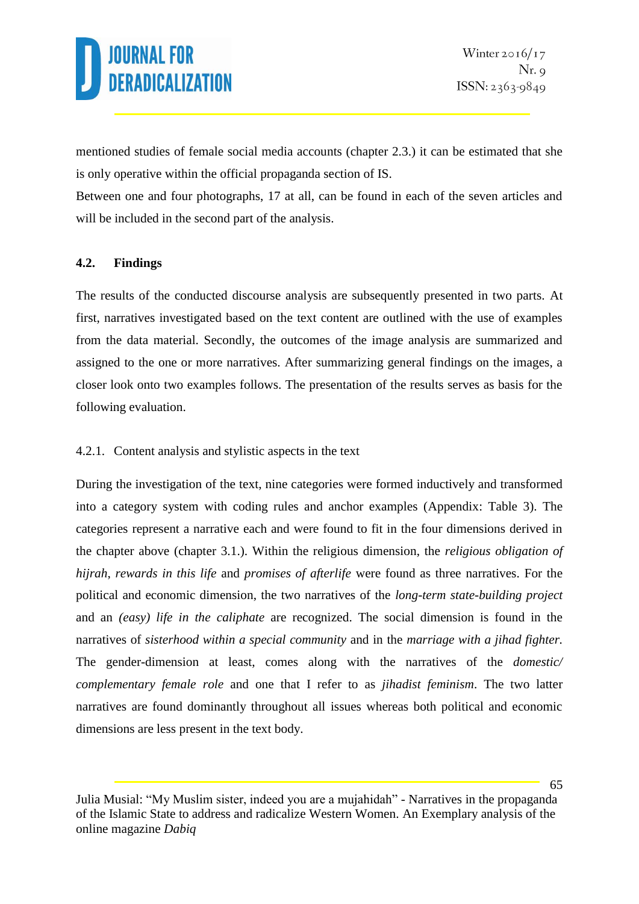mentioned studies of female social media accounts (chapter 2.3.) it can be estimated that she is only operative within the official propaganda section of IS.

Between one and four photographs, 17 at all, can be found in each of the seven articles and will be included in the second part of the analysis.

### **4.2. Findings**

The results of the conducted discourse analysis are subsequently presented in two parts. At first, narratives investigated based on the text content are outlined with the use of examples from the data material. Secondly, the outcomes of the image analysis are summarized and assigned to the one or more narratives. After summarizing general findings on the images, a closer look onto two examples follows. The presentation of the results serves as basis for the following evaluation.

### 4.2.1. Content analysis and stylistic aspects in the text

During the investigation of the text, nine categories were formed inductively and transformed into a category system with coding rules and anchor examples (Appendix: Table 3). The categories represent a narrative each and were found to fit in the four dimensions derived in the chapter above (chapter 3.1.). Within the religious dimension, the *religious obligation of hijrah*, *rewards in this life* and *promises of afterlife* were found as three narratives. For the political and economic dimension, the two narratives of the *long-term state-building project* and an *(easy) life in the caliphate* are recognized. The social dimension is found in the narratives of *sisterhood within a special community* and in the *marriage with a jihad fighter.*  The gender-dimension at least, comes along with the narratives of the *domestic/ complementary female role* and one that I refer to as *jihadist feminism*. The two latter narratives are found dominantly throughout all issues whereas both political and economic dimensions are less present in the text body.

Julia Musial: "My Muslim sister, indeed you are a mujahidah" - Narratives in the propaganda of the Islamic State to address and radicalize Western Women. An Exemplary analysis of the online magazine *Dabiq*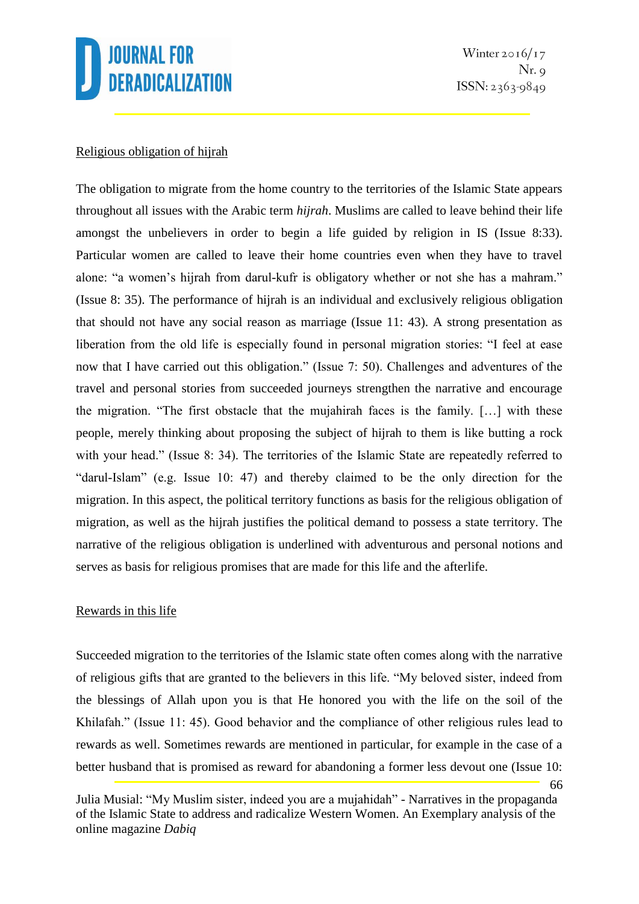

66

#### Religious obligation of hijrah

The obligation to migrate from the home country to the territories of the Islamic State appears throughout all issues with the Arabic term *hijrah*. Muslims are called to leave behind their life amongst the unbelievers in order to begin a life guided by religion in IS (Issue 8:33). Particular women are called to leave their home countries even when they have to travel alone: "a women's hijrah from darul-kufr is obligatory whether or not she has a mahram." (Issue 8: 35). The performance of hijrah is an individual and exclusively religious obligation that should not have any social reason as marriage (Issue 11: 43). A strong presentation as liberation from the old life is especially found in personal migration stories: "I feel at ease now that I have carried out this obligation." (Issue 7: 50). Challenges and adventures of the travel and personal stories from succeeded journeys strengthen the narrative and encourage the migration. "The first obstacle that the mujahirah faces is the family. […] with these people, merely thinking about proposing the subject of hijrah to them is like butting a rock with your head." (Issue 8: 34). The territories of the Islamic State are repeatedly referred to "darul-Islam" (e.g. Issue 10: 47) and thereby claimed to be the only direction for the migration. In this aspect, the political territory functions as basis for the religious obligation of migration, as well as the hijrah justifies the political demand to possess a state territory. The narrative of the religious obligation is underlined with adventurous and personal notions and serves as basis for religious promises that are made for this life and the afterlife.

#### Rewards in this life

Succeeded migration to the territories of the Islamic state often comes along with the narrative of religious gifts that are granted to the believers in this life. "My beloved sister, indeed from the blessings of Allah upon you is that He honored you with the life on the soil of the Khilafah." (Issue 11: 45). Good behavior and the compliance of other religious rules lead to rewards as well. Sometimes rewards are mentioned in particular, for example in the case of a better husband that is promised as reward for abandoning a former less devout one (Issue 10:

Julia Musial: "My Muslim sister, indeed you are a mujahidah" - Narratives in the propaganda of the Islamic State to address and radicalize Western Women. An Exemplary analysis of the online magazine *Dabiq*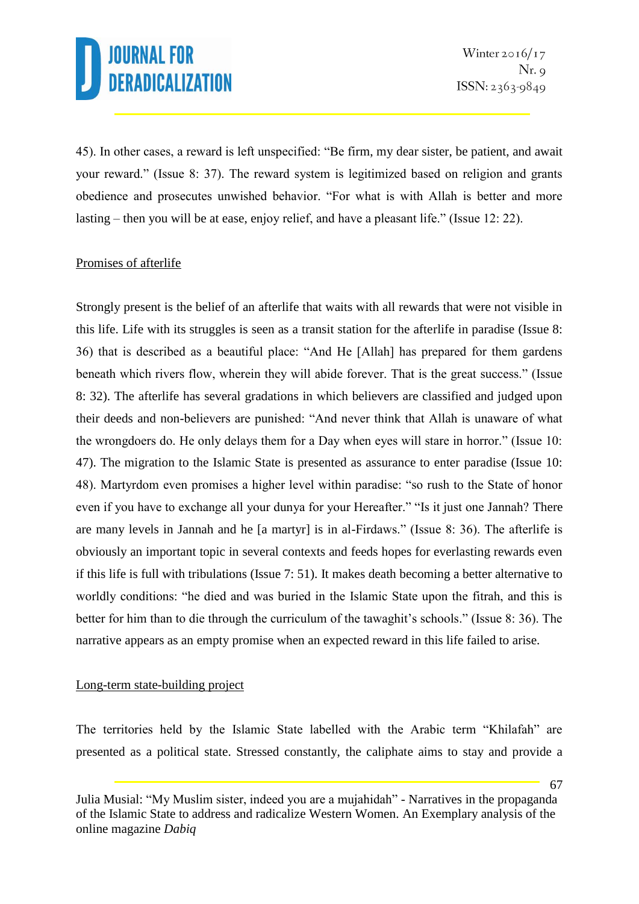45). In other cases, a reward is left unspecified: "Be firm, my dear sister, be patient, and await your reward." (Issue 8: 37). The reward system is legitimized based on religion and grants obedience and prosecutes unwished behavior. "For what is with Allah is better and more lasting – then you will be at ease, enjoy relief, and have a pleasant life." (Issue 12: 22).

### Promises of afterlife

Strongly present is the belief of an afterlife that waits with all rewards that were not visible in this life. Life with its struggles is seen as a transit station for the afterlife in paradise (Issue 8: 36) that is described as a beautiful place: "And He [Allah] has prepared for them gardens beneath which rivers flow, wherein they will abide forever. That is the great success." (Issue 8: 32). The afterlife has several gradations in which believers are classified and judged upon their deeds and non-believers are punished: "And never think that Allah is unaware of what the wrongdoers do. He only delays them for a Day when eyes will stare in horror." (Issue 10: 47). The migration to the Islamic State is presented as assurance to enter paradise (Issue 10: 48). Martyrdom even promises a higher level within paradise: "so rush to the State of honor even if you have to exchange all your dunya for your Hereafter." "Is it just one Jannah? There are many levels in Jannah and he [a martyr] is in al-Firdaws." (Issue 8: 36). The afterlife is obviously an important topic in several contexts and feeds hopes for everlasting rewards even if this life is full with tribulations (Issue 7: 51). It makes death becoming a better alternative to worldly conditions: "he died and was buried in the Islamic State upon the fitrah, and this is better for him than to die through the curriculum of the tawaghit's schools." (Issue 8: 36). The narrative appears as an empty promise when an expected reward in this life failed to arise.

### Long-term state-building project

The territories held by the Islamic State labelled with the Arabic term "Khilafah" are presented as a political state. Stressed constantly, the caliphate aims to stay and provide a

Julia Musial: "My Muslim sister, indeed you are a mujahidah" - Narratives in the propaganda of the Islamic State to address and radicalize Western Women. An Exemplary analysis of the online magazine *Dabiq*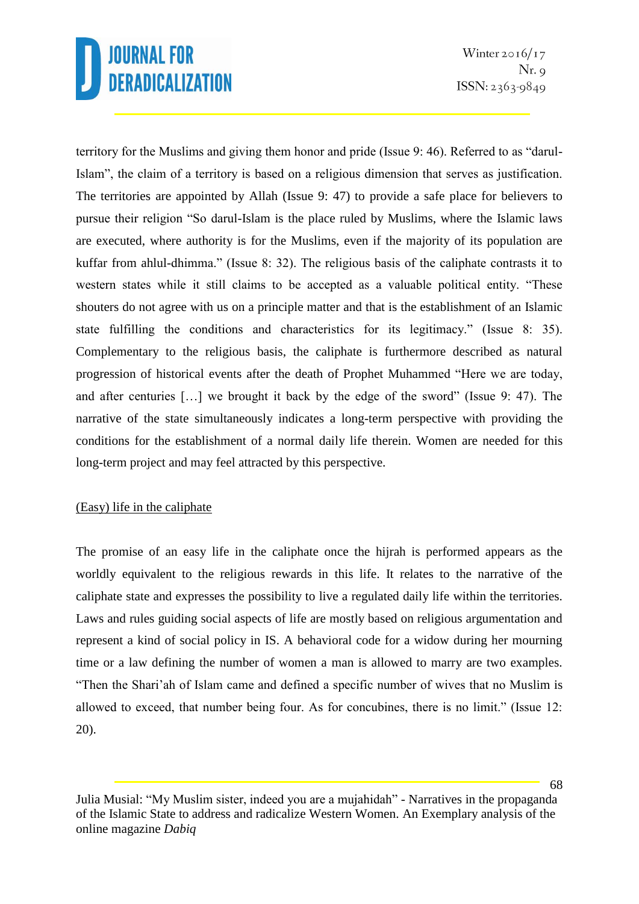territory for the Muslims and giving them honor and pride (Issue 9: 46). Referred to as "darul-Islam", the claim of a territory is based on a religious dimension that serves as justification. The territories are appointed by Allah (Issue 9: 47) to provide a safe place for believers to pursue their religion "So darul-Islam is the place ruled by Muslims, where the Islamic laws are executed, where authority is for the Muslims, even if the majority of its population are kuffar from ahlul-dhimma." (Issue 8: 32). The religious basis of the caliphate contrasts it to western states while it still claims to be accepted as a valuable political entity. "These shouters do not agree with us on a principle matter and that is the establishment of an Islamic state fulfilling the conditions and characteristics for its legitimacy." (Issue 8: 35). Complementary to the religious basis, the caliphate is furthermore described as natural progression of historical events after the death of Prophet Muhammed "Here we are today, and after centuries […] we brought it back by the edge of the sword" (Issue 9: 47). The narrative of the state simultaneously indicates a long-term perspective with providing the conditions for the establishment of a normal daily life therein. Women are needed for this long-term project and may feel attracted by this perspective.

### (Easy) life in the caliphate

The promise of an easy life in the caliphate once the hijrah is performed appears as the worldly equivalent to the religious rewards in this life. It relates to the narrative of the caliphate state and expresses the possibility to live a regulated daily life within the territories. Laws and rules guiding social aspects of life are mostly based on religious argumentation and represent a kind of social policy in IS. A behavioral code for a widow during her mourning time or a law defining the number of women a man is allowed to marry are two examples. "Then the Shari'ah of Islam came and defined a specific number of wives that no Muslim is allowed to exceed, that number being four. As for concubines, there is no limit." (Issue 12: 20).

Julia Musial: "My Muslim sister, indeed you are a mujahidah" - Narratives in the propaganda of the Islamic State to address and radicalize Western Women. An Exemplary analysis of the online magazine *Dabiq*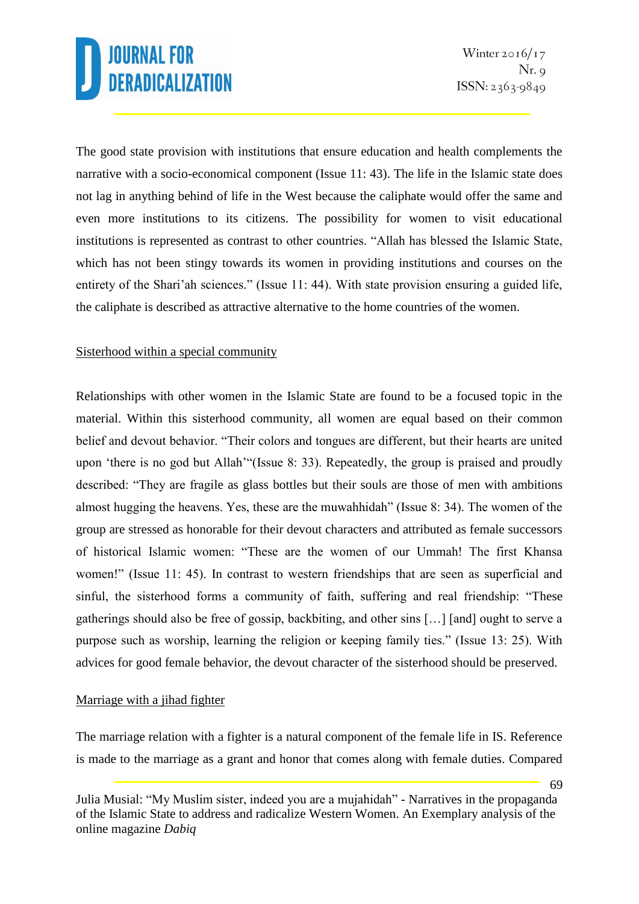The good state provision with institutions that ensure education and health complements the narrative with a socio-economical component (Issue 11: 43). The life in the Islamic state does not lag in anything behind of life in the West because the caliphate would offer the same and even more institutions to its citizens. The possibility for women to visit educational institutions is represented as contrast to other countries. "Allah has blessed the Islamic State, which has not been stingy towards its women in providing institutions and courses on the entirety of the Shari'ah sciences." (Issue 11: 44). With state provision ensuring a guided life, the caliphate is described as attractive alternative to the home countries of the women.

### Sisterhood within a special community

Relationships with other women in the Islamic State are found to be a focused topic in the material. Within this sisterhood community, all women are equal based on their common belief and devout behavior. "Their colors and tongues are different, but their hearts are united upon 'there is no god but Allah'"(Issue 8: 33). Repeatedly, the group is praised and proudly described: "They are fragile as glass bottles but their souls are those of men with ambitions almost hugging the heavens. Yes, these are the muwahhidah" (Issue 8: 34). The women of the group are stressed as honorable for their devout characters and attributed as female successors of historical Islamic women: "These are the women of our Ummah! The first Khansa women!" (Issue 11: 45). In contrast to western friendships that are seen as superficial and sinful, the sisterhood forms a community of faith, suffering and real friendship: "These gatherings should also be free of gossip, backbiting, and other sins […] [and] ought to serve a purpose such as worship, learning the religion or keeping family ties." (Issue 13: 25). With advices for good female behavior, the devout character of the sisterhood should be preserved.

### Marriage with a jihad fighter

The marriage relation with a fighter is a natural component of the female life in IS. Reference is made to the marriage as a grant and honor that comes along with female duties. Compared

Julia Musial: "My Muslim sister, indeed you are a mujahidah" - Narratives in the propaganda of the Islamic State to address and radicalize Western Women. An Exemplary analysis of the online magazine *Dabiq*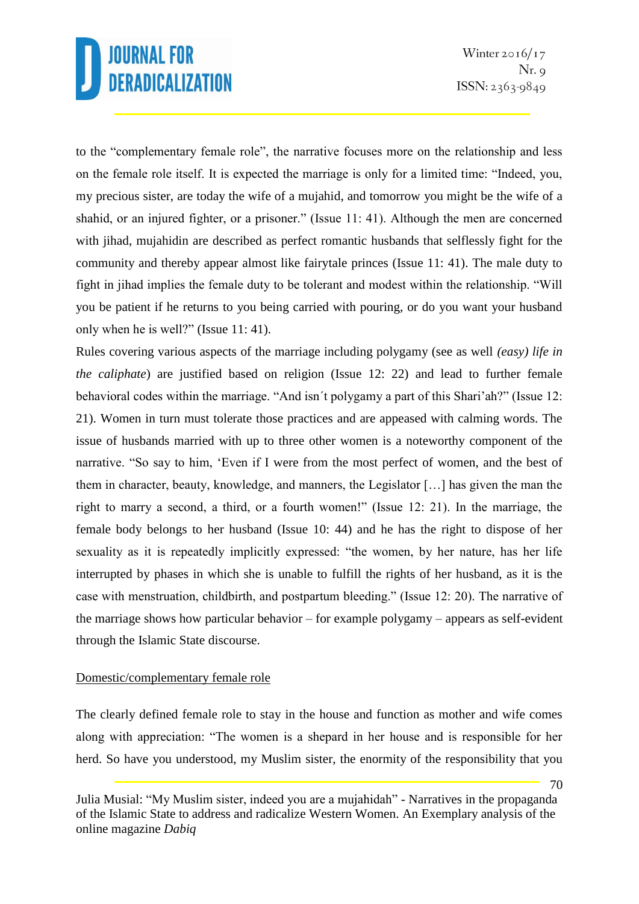to the "complementary female role", the narrative focuses more on the relationship and less on the female role itself. It is expected the marriage is only for a limited time: "Indeed, you, my precious sister, are today the wife of a mujahid, and tomorrow you might be the wife of a shahid, or an injured fighter, or a prisoner." (Issue 11: 41). Although the men are concerned with jihad, mujahidin are described as perfect romantic husbands that selflessly fight for the community and thereby appear almost like fairytale princes (Issue 11: 41). The male duty to fight in jihad implies the female duty to be tolerant and modest within the relationship. "Will you be patient if he returns to you being carried with pouring, or do you want your husband only when he is well?" (Issue 11: 41).

Rules covering various aspects of the marriage including polygamy (see as well *(easy) life in the caliphate*) are justified based on religion (Issue 12: 22) and lead to further female behavioral codes within the marriage. "And isn´t polygamy a part of this Shari'ah?" (Issue 12: 21). Women in turn must tolerate those practices and are appeased with calming words. The issue of husbands married with up to three other women is a noteworthy component of the narrative. "So say to him, 'Even if I were from the most perfect of women, and the best of them in character, beauty, knowledge, and manners, the Legislator […] has given the man the right to marry a second, a third, or a fourth women!" (Issue 12: 21). In the marriage, the female body belongs to her husband (Issue 10: 44) and he has the right to dispose of her sexuality as it is repeatedly implicitly expressed: "the women, by her nature, has her life interrupted by phases in which she is unable to fulfill the rights of her husband, as it is the case with menstruation, childbirth, and postpartum bleeding." (Issue 12: 20). The narrative of the marriage shows how particular behavior – for example polygamy – appears as self-evident through the Islamic State discourse.

#### Domestic/complementary female role

The clearly defined female role to stay in the house and function as mother and wife comes along with appreciation: "The women is a shepard in her house and is responsible for her herd. So have you understood, my Muslim sister, the enormity of the responsibility that you

Julia Musial: "My Muslim sister, indeed you are a mujahidah" - Narratives in the propaganda of the Islamic State to address and radicalize Western Women. An Exemplary analysis of the online magazine *Dabiq*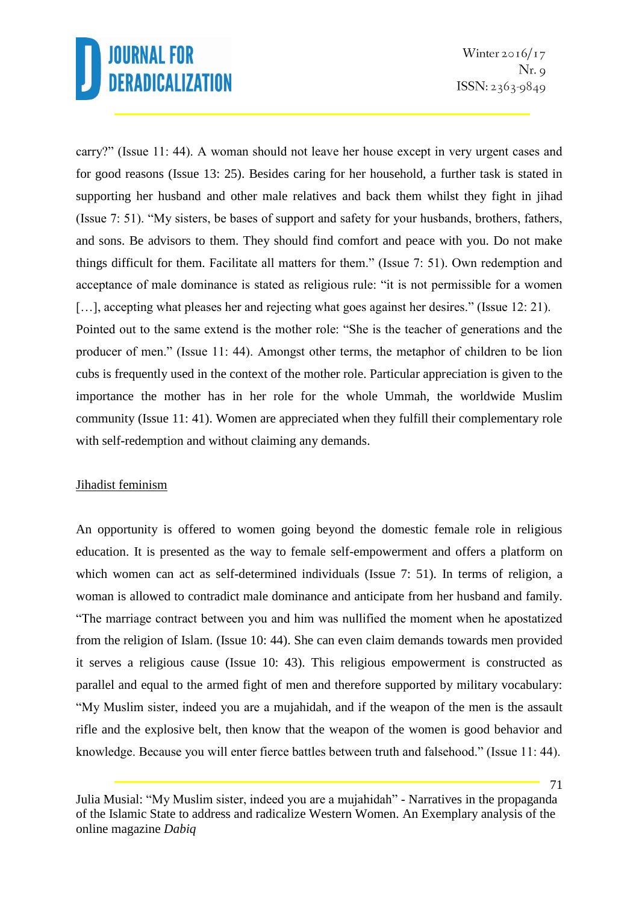carry?" (Issue 11: 44). A woman should not leave her house except in very urgent cases and for good reasons (Issue 13: 25). Besides caring for her household, a further task is stated in supporting her husband and other male relatives and back them whilst they fight in jihad (Issue 7: 51). "My sisters, be bases of support and safety for your husbands, brothers, fathers, and sons. Be advisors to them. They should find comfort and peace with you. Do not make things difficult for them. Facilitate all matters for them." (Issue 7: 51). Own redemption and acceptance of male dominance is stated as religious rule: "it is not permissible for a women [...], accepting what pleases her and rejecting what goes against her desires." (Issue 12: 21). Pointed out to the same extend is the mother role: "She is the teacher of generations and the producer of men." (Issue 11: 44). Amongst other terms, the metaphor of children to be lion cubs is frequently used in the context of the mother role. Particular appreciation is given to the

importance the mother has in her role for the whole Ummah, the worldwide Muslim community (Issue 11: 41). Women are appreciated when they fulfill their complementary role with self-redemption and without claiming any demands.

### Jihadist feminism

An opportunity is offered to women going beyond the domestic female role in religious education. It is presented as the way to female self-empowerment and offers a platform on which women can act as self-determined individuals (Issue 7: 51). In terms of religion, a woman is allowed to contradict male dominance and anticipate from her husband and family. "The marriage contract between you and him was nullified the moment when he apostatized from the religion of Islam. (Issue 10: 44). She can even claim demands towards men provided it serves a religious cause (Issue 10: 43). This religious empowerment is constructed as parallel and equal to the armed fight of men and therefore supported by military vocabulary: "My Muslim sister, indeed you are a mujahidah, and if the weapon of the men is the assault rifle and the explosive belt, then know that the weapon of the women is good behavior and knowledge. Because you will enter fierce battles between truth and falsehood." (Issue 11: 44).

Julia Musial: "My Muslim sister, indeed you are a mujahidah" - Narratives in the propaganda of the Islamic State to address and radicalize Western Women. An Exemplary analysis of the online magazine *Dabiq*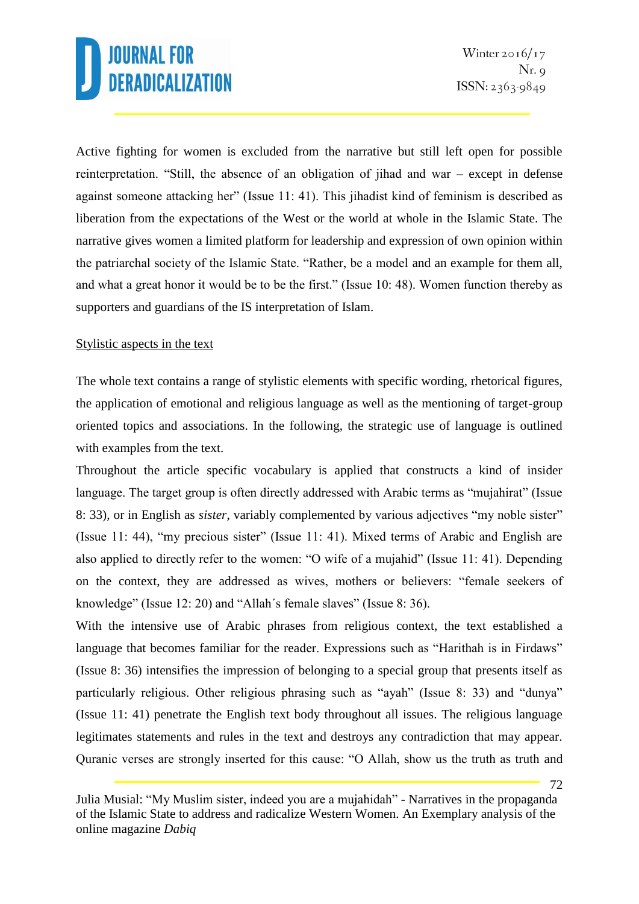Active fighting for women is excluded from the narrative but still left open for possible reinterpretation. "Still, the absence of an obligation of jihad and war – except in defense against someone attacking her" (Issue 11: 41). This jihadist kind of feminism is described as liberation from the expectations of the West or the world at whole in the Islamic State. The narrative gives women a limited platform for leadership and expression of own opinion within the patriarchal society of the Islamic State. "Rather, be a model and an example for them all, and what a great honor it would be to be the first." (Issue 10: 48). Women function thereby as supporters and guardians of the IS interpretation of Islam.

### Stylistic aspects in the text

The whole text contains a range of stylistic elements with specific wording, rhetorical figures, the application of emotional and religious language as well as the mentioning of target-group oriented topics and associations. In the following, the strategic use of language is outlined with examples from the text.

Throughout the article specific vocabulary is applied that constructs a kind of insider language. The target group is often directly addressed with Arabic terms as "mujahirat" (Issue 8: 33), or in English as *sister*, variably complemented by various adjectives "my noble sister" (Issue 11: 44), "my precious sister" (Issue 11: 41). Mixed terms of Arabic and English are also applied to directly refer to the women: "O wife of a mujahid" (Issue 11: 41). Depending on the context, they are addressed as wives, mothers or believers: "female seekers of knowledge" (Issue 12: 20) and "Allah´s female slaves" (Issue 8: 36).

With the intensive use of Arabic phrases from religious context, the text established a language that becomes familiar for the reader. Expressions such as "Harithah is in Firdaws" (Issue 8: 36) intensifies the impression of belonging to a special group that presents itself as particularly religious. Other religious phrasing such as "ayah" (Issue 8: 33) and "dunya" (Issue 11: 41) penetrate the English text body throughout all issues. The religious language legitimates statements and rules in the text and destroys any contradiction that may appear. Quranic verses are strongly inserted for this cause: "O Allah, show us the truth as truth and

Julia Musial: "My Muslim sister, indeed you are a mujahidah" - Narratives in the propaganda of the Islamic State to address and radicalize Western Women. An Exemplary analysis of the online magazine *Dabiq*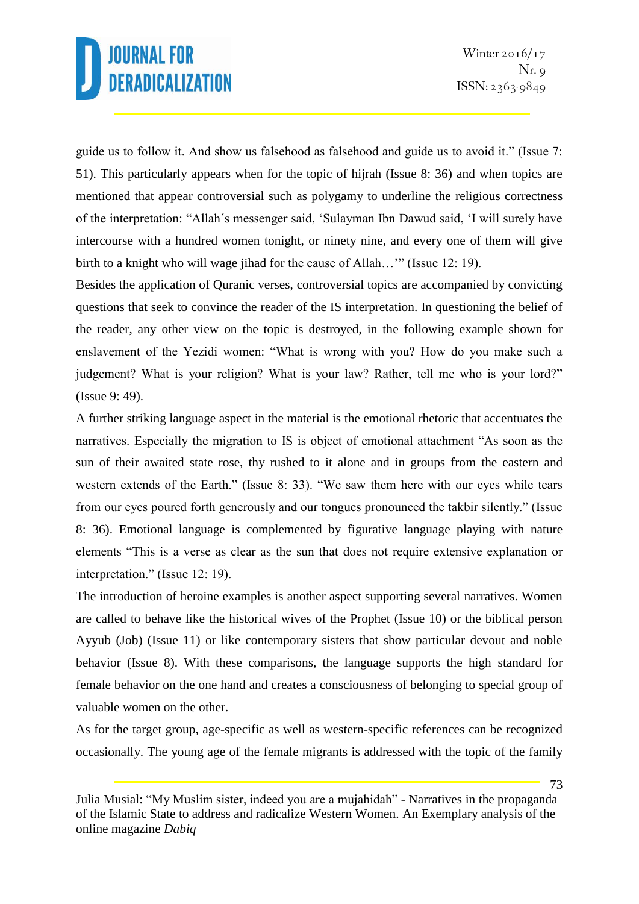guide us to follow it. And show us falsehood as falsehood and guide us to avoid it." (Issue 7: 51). This particularly appears when for the topic of hijrah (Issue 8: 36) and when topics are mentioned that appear controversial such as polygamy to underline the religious correctness of the interpretation: "Allah´s messenger said, 'Sulayman Ibn Dawud said, 'I will surely have intercourse with a hundred women tonight, or ninety nine, and every one of them will give birth to a knight who will wage jihad for the cause of Allah…'" (Issue 12: 19).

Besides the application of Quranic verses, controversial topics are accompanied by convicting questions that seek to convince the reader of the IS interpretation. In questioning the belief of the reader, any other view on the topic is destroyed, in the following example shown for enslavement of the Yezidi women: "What is wrong with you? How do you make such a judgement? What is your religion? What is your law? Rather, tell me who is your lord?" (Issue 9: 49).

A further striking language aspect in the material is the emotional rhetoric that accentuates the narratives. Especially the migration to IS is object of emotional attachment "As soon as the sun of their awaited state rose, thy rushed to it alone and in groups from the eastern and western extends of the Earth." (Issue 8: 33). "We saw them here with our eyes while tears from our eyes poured forth generously and our tongues pronounced the takbir silently." (Issue 8: 36). Emotional language is complemented by figurative language playing with nature elements "This is a verse as clear as the sun that does not require extensive explanation or interpretation." (Issue 12: 19).

The introduction of heroine examples is another aspect supporting several narratives. Women are called to behave like the historical wives of the Prophet (Issue 10) or the biblical person Ayyub (Job) (Issue 11) or like contemporary sisters that show particular devout and noble behavior (Issue 8). With these comparisons, the language supports the high standard for female behavior on the one hand and creates a consciousness of belonging to special group of valuable women on the other.

As for the target group, age-specific as well as western-specific references can be recognized occasionally. The young age of the female migrants is addressed with the topic of the family

Julia Musial: "My Muslim sister, indeed you are a mujahidah" - Narratives in the propaganda of the Islamic State to address and radicalize Western Women. An Exemplary analysis of the online magazine *Dabiq*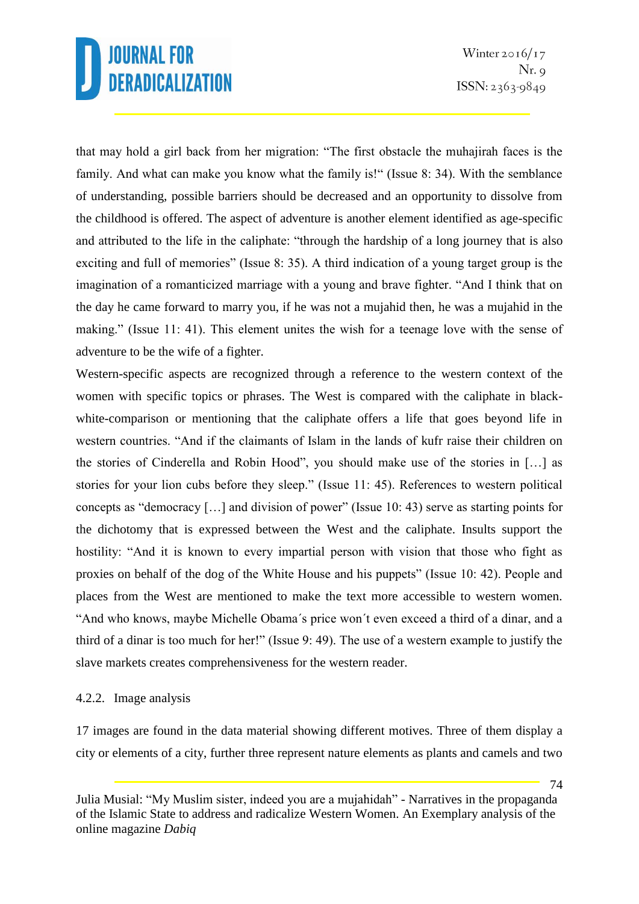that may hold a girl back from her migration: "The first obstacle the muhajirah faces is the family. And what can make you know what the family is!" (Issue 8: 34). With the semblance of understanding, possible barriers should be decreased and an opportunity to dissolve from the childhood is offered. The aspect of adventure is another element identified as age-specific and attributed to the life in the caliphate: "through the hardship of a long journey that is also exciting and full of memories" (Issue 8: 35). A third indication of a young target group is the imagination of a romanticized marriage with a young and brave fighter. "And I think that on the day he came forward to marry you, if he was not a mujahid then, he was a mujahid in the making." (Issue 11: 41). This element unites the wish for a teenage love with the sense of adventure to be the wife of a fighter.

Western-specific aspects are recognized through a reference to the western context of the women with specific topics or phrases. The West is compared with the caliphate in blackwhite-comparison or mentioning that the caliphate offers a life that goes beyond life in western countries. "And if the claimants of Islam in the lands of kufr raise their children on the stories of Cinderella and Robin Hood", you should make use of the stories in […] as stories for your lion cubs before they sleep." (Issue 11: 45). References to western political concepts as "democracy […] and division of power" (Issue 10: 43) serve as starting points for the dichotomy that is expressed between the West and the caliphate. Insults support the hostility: "And it is known to every impartial person with vision that those who fight as proxies on behalf of the dog of the White House and his puppets" (Issue 10: 42). People and places from the West are mentioned to make the text more accessible to western women. "And who knows, maybe Michelle Obama´s price won´t even exceed a third of a dinar, and a third of a dinar is too much for her!" (Issue 9: 49). The use of a western example to justify the slave markets creates comprehensiveness for the western reader.

### 4.2.2. Image analysis

17 images are found in the data material showing different motives. Three of them display a city or elements of a city, further three represent nature elements as plants and camels and two

Julia Musial: "My Muslim sister, indeed you are a mujahidah" - Narratives in the propaganda of the Islamic State to address and radicalize Western Women. An Exemplary analysis of the online magazine *Dabiq*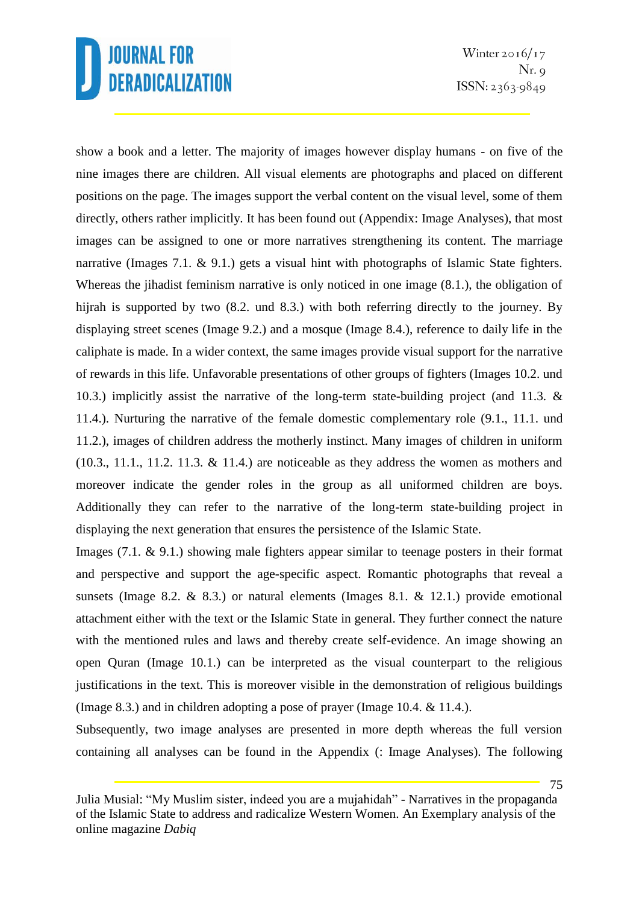Winter  $2016/17$  $Nr. q$  $ISSN: 2363-9849$ 

show a book and a letter. The majority of images however display humans - on five of the nine images there are children. All visual elements are photographs and placed on different positions on the page. The images support the verbal content on the visual level, some of them directly, others rather implicitly. It has been found out (Appendix: Image Analyses), that most images can be assigned to one or more narratives strengthening its content. The marriage narrative (Images 7.1. & 9.1.) gets a visual hint with photographs of Islamic State fighters. Whereas the jihadist feminism narrative is only noticed in one image (8.1.), the obligation of hijrah is supported by two (8.2. und 8.3.) with both referring directly to the journey. By displaying street scenes (Image 9.2.) and a mosque (Image 8.4.), reference to daily life in the caliphate is made. In a wider context, the same images provide visual support for the narrative of rewards in this life. Unfavorable presentations of other groups of fighters (Images 10.2. und 10.3.) implicitly assist the narrative of the long-term state-building project (and 11.3. & 11.4.). Nurturing the narrative of the female domestic complementary role (9.1., 11.1. und 11.2.), images of children address the motherly instinct. Many images of children in uniform  $(10.3., 11.1., 11.2. 11.3. \& 11.4.)$  are noticeable as they address the women as mothers and moreover indicate the gender roles in the group as all uniformed children are boys. Additionally they can refer to the narrative of the long-term state-building project in displaying the next generation that ensures the persistence of the Islamic State.

Images (7.1. & 9.1.) showing male fighters appear similar to teenage posters in their format and perspective and support the age-specific aspect. Romantic photographs that reveal a sunsets (Image 8.2.  $\&$  8.3.) or natural elements (Images 8.1.  $\&$  12.1.) provide emotional attachment either with the text or the Islamic State in general. They further connect the nature with the mentioned rules and laws and thereby create self-evidence. An image showing an open Quran (Image 10.1.) can be interpreted as the visual counterpart to the religious justifications in the text. This is moreover visible in the demonstration of religious buildings (Image 8.3.) and in children adopting a pose of prayer (Image 10.4. & 11.4.).

Subsequently, two image analyses are presented in more depth whereas the full version containing all analyses can be found in the Appendix (: Image Analyses). The following

Julia Musial: "My Muslim sister, indeed you are a mujahidah" - Narratives in the propaganda of the Islamic State to address and radicalize Western Women. An Exemplary analysis of the online magazine *Dabiq*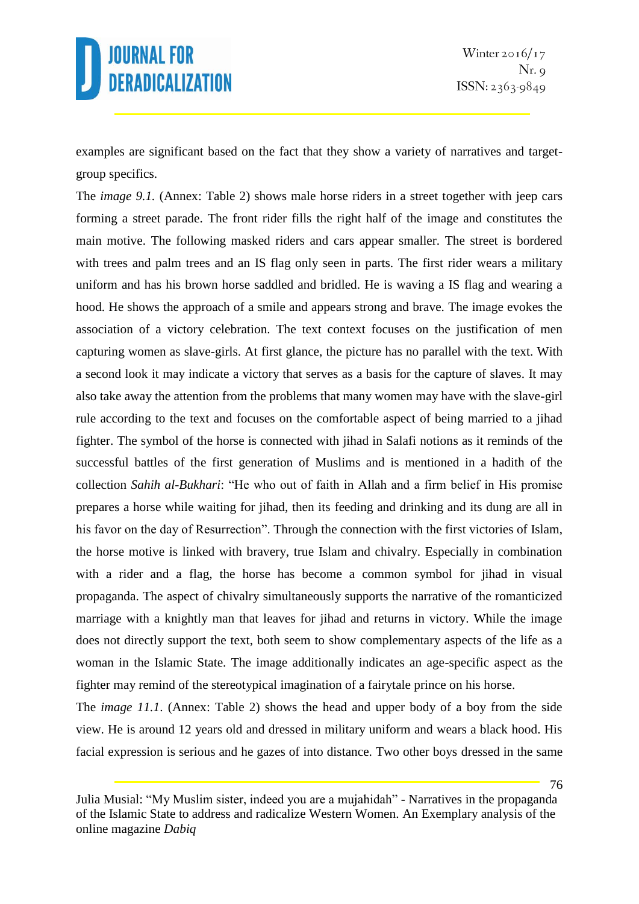examples are significant based on the fact that they show a variety of narratives and targetgroup specifics.

The *image 9.1.* (Annex: Table 2) shows male horse riders in a street together with jeep cars forming a street parade. The front rider fills the right half of the image and constitutes the main motive. The following masked riders and cars appear smaller. The street is bordered with trees and palm trees and an IS flag only seen in parts. The first rider wears a military uniform and has his brown horse saddled and bridled. He is waving a IS flag and wearing a hood. He shows the approach of a smile and appears strong and brave. The image evokes the association of a victory celebration. The text context focuses on the justification of men capturing women as slave-girls. At first glance, the picture has no parallel with the text. With a second look it may indicate a victory that serves as a basis for the capture of slaves. It may also take away the attention from the problems that many women may have with the slave-girl rule according to the text and focuses on the comfortable aspect of being married to a jihad fighter. The symbol of the horse is connected with jihad in Salafi notions as it reminds of the successful battles of the first generation of Muslims and is mentioned in a hadith of the collection *Sahih al-Bukhari*: "He who out of faith in Allah and a firm belief in His promise prepares a horse while waiting for jihad, then its feeding and drinking and its dung are all in his favor on the day of Resurrection". Through the connection with the first victories of Islam, the horse motive is linked with bravery, true Islam and chivalry. Especially in combination with a rider and a flag, the horse has become a common symbol for jihad in visual propaganda. The aspect of chivalry simultaneously supports the narrative of the romanticized marriage with a knightly man that leaves for jihad and returns in victory. While the image does not directly support the text, both seem to show complementary aspects of the life as a woman in the Islamic State. The image additionally indicates an age-specific aspect as the fighter may remind of the stereotypical imagination of a fairytale prince on his horse.

The *image 11.1*. (Annex: Table 2) shows the head and upper body of a boy from the side view. He is around 12 years old and dressed in military uniform and wears a black hood. His facial expression is serious and he gazes of into distance. Two other boys dressed in the same

Julia Musial: "My Muslim sister, indeed you are a mujahidah" - Narratives in the propaganda of the Islamic State to address and radicalize Western Women. An Exemplary analysis of the online magazine *Dabiq*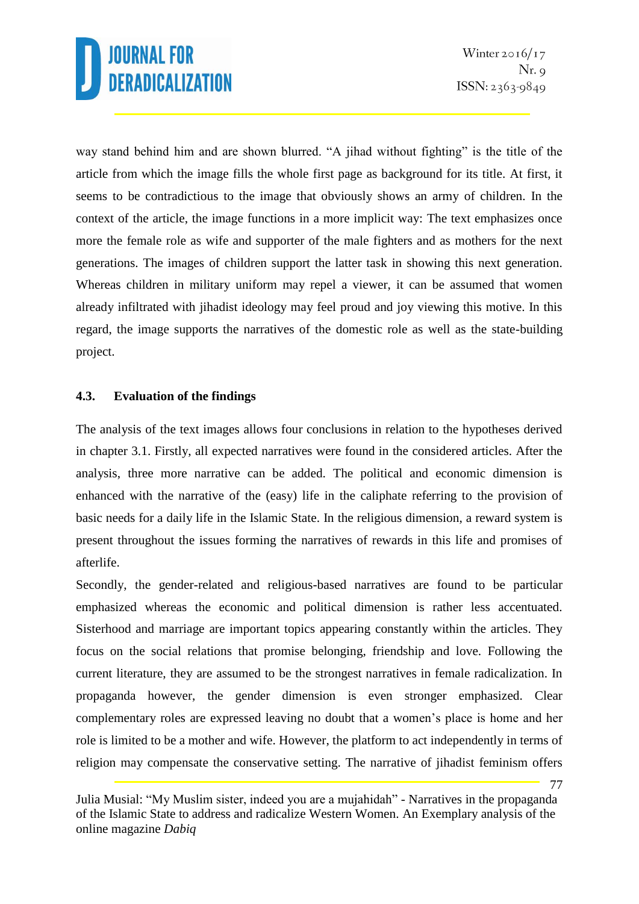77

way stand behind him and are shown blurred. "A jihad without fighting" is the title of the article from which the image fills the whole first page as background for its title. At first, it seems to be contradictious to the image that obviously shows an army of children. In the context of the article, the image functions in a more implicit way: The text emphasizes once more the female role as wife and supporter of the male fighters and as mothers for the next generations. The images of children support the latter task in showing this next generation. Whereas children in military uniform may repel a viewer, it can be assumed that women already infiltrated with jihadist ideology may feel proud and joy viewing this motive. In this regard, the image supports the narratives of the domestic role as well as the state-building project.

### **4.3. Evaluation of the findings**

The analysis of the text images allows four conclusions in relation to the hypotheses derived in chapter 3.1. Firstly, all expected narratives were found in the considered articles. After the analysis, three more narrative can be added. The political and economic dimension is enhanced with the narrative of the (easy) life in the caliphate referring to the provision of basic needs for a daily life in the Islamic State. In the religious dimension, a reward system is present throughout the issues forming the narratives of rewards in this life and promises of afterlife.

Secondly, the gender-related and religious-based narratives are found to be particular emphasized whereas the economic and political dimension is rather less accentuated. Sisterhood and marriage are important topics appearing constantly within the articles. They focus on the social relations that promise belonging, friendship and love. Following the current literature, they are assumed to be the strongest narratives in female radicalization. In propaganda however, the gender dimension is even stronger emphasized. Clear complementary roles are expressed leaving no doubt that a women's place is home and her role is limited to be a mother and wife. However, the platform to act independently in terms of religion may compensate the conservative setting. The narrative of jihadist feminism offers

Julia Musial: "My Muslim sister, indeed you are a mujahidah" - Narratives in the propaganda of the Islamic State to address and radicalize Western Women. An Exemplary analysis of the online magazine *Dabiq*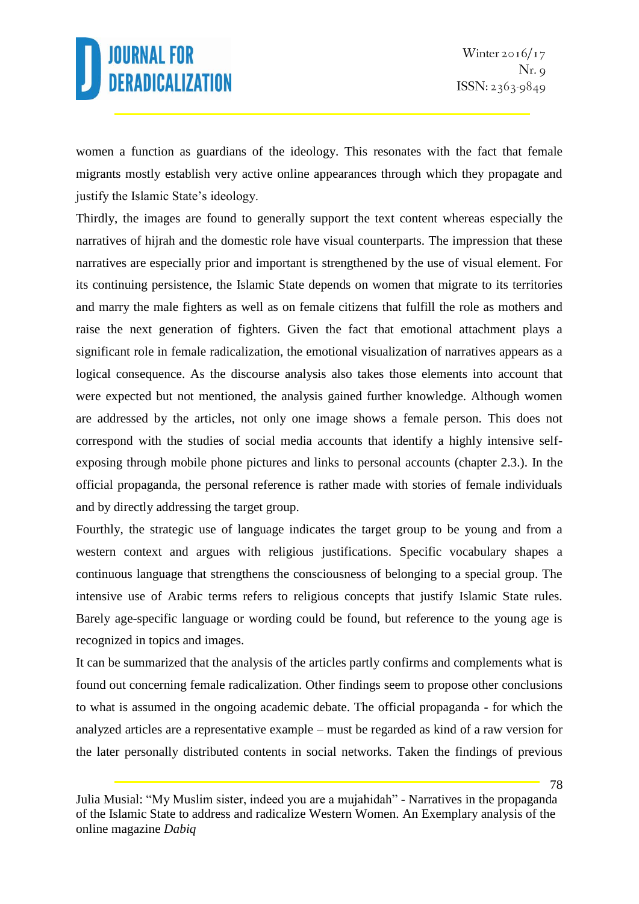women a function as guardians of the ideology. This resonates with the fact that female migrants mostly establish very active online appearances through which they propagate and justify the Islamic State's ideology.

Thirdly, the images are found to generally support the text content whereas especially the narratives of hijrah and the domestic role have visual counterparts. The impression that these narratives are especially prior and important is strengthened by the use of visual element. For its continuing persistence, the Islamic State depends on women that migrate to its territories and marry the male fighters as well as on female citizens that fulfill the role as mothers and raise the next generation of fighters. Given the fact that emotional attachment plays a significant role in female radicalization, the emotional visualization of narratives appears as a logical consequence. As the discourse analysis also takes those elements into account that were expected but not mentioned, the analysis gained further knowledge. Although women are addressed by the articles, not only one image shows a female person. This does not correspond with the studies of social media accounts that identify a highly intensive selfexposing through mobile phone pictures and links to personal accounts (chapter 2.3.). In the official propaganda, the personal reference is rather made with stories of female individuals and by directly addressing the target group.

Fourthly, the strategic use of language indicates the target group to be young and from a western context and argues with religious justifications. Specific vocabulary shapes a continuous language that strengthens the consciousness of belonging to a special group. The intensive use of Arabic terms refers to religious concepts that justify Islamic State rules. Barely age-specific language or wording could be found, but reference to the young age is recognized in topics and images.

It can be summarized that the analysis of the articles partly confirms and complements what is found out concerning female radicalization. Other findings seem to propose other conclusions to what is assumed in the ongoing academic debate. The official propaganda - for which the analyzed articles are a representative example – must be regarded as kind of a raw version for the later personally distributed contents in social networks. Taken the findings of previous

Julia Musial: "My Muslim sister, indeed you are a mujahidah" - Narratives in the propaganda of the Islamic State to address and radicalize Western Women. An Exemplary analysis of the online magazine *Dabiq*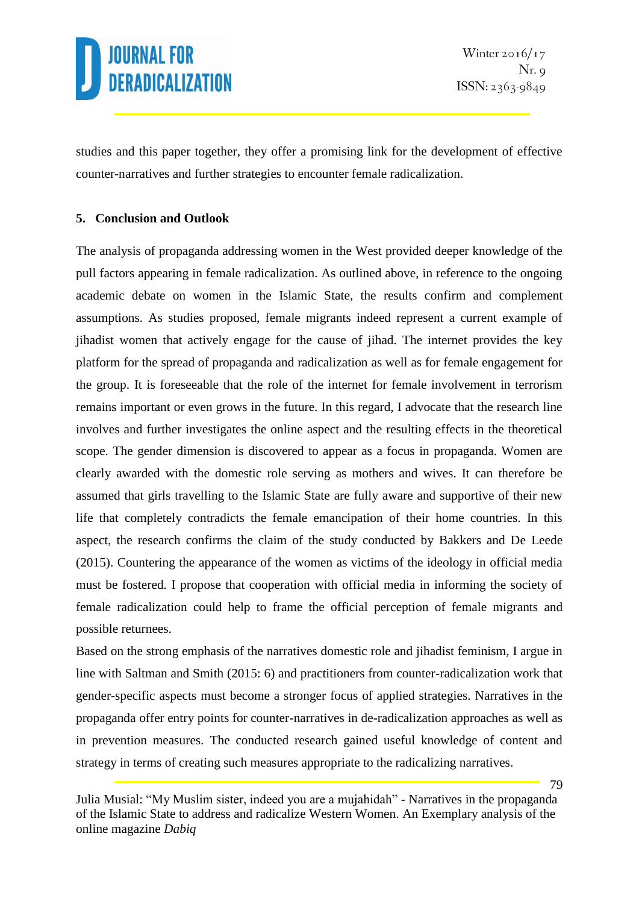studies and this paper together, they offer a promising link for the development of effective counter-narratives and further strategies to encounter female radicalization.

### **5. Conclusion and Outlook**

The analysis of propaganda addressing women in the West provided deeper knowledge of the pull factors appearing in female radicalization. As outlined above, in reference to the ongoing academic debate on women in the Islamic State, the results confirm and complement assumptions. As studies proposed, female migrants indeed represent a current example of jihadist women that actively engage for the cause of jihad. The internet provides the key platform for the spread of propaganda and radicalization as well as for female engagement for the group. It is foreseeable that the role of the internet for female involvement in terrorism remains important or even grows in the future. In this regard, I advocate that the research line involves and further investigates the online aspect and the resulting effects in the theoretical scope. The gender dimension is discovered to appear as a focus in propaganda. Women are clearly awarded with the domestic role serving as mothers and wives. It can therefore be assumed that girls travelling to the Islamic State are fully aware and supportive of their new life that completely contradicts the female emancipation of their home countries. In this aspect, the research confirms the claim of the study conducted by Bakkers and De Leede (2015). Countering the appearance of the women as victims of the ideology in official media must be fostered. I propose that cooperation with official media in informing the society of female radicalization could help to frame the official perception of female migrants and possible returnees.

Based on the strong emphasis of the narratives domestic role and jihadist feminism, I argue in line with Saltman and Smith (2015: 6) and practitioners from counter-radicalization work that gender-specific aspects must become a stronger focus of applied strategies. Narratives in the propaganda offer entry points for counter-narratives in de-radicalization approaches as well as in prevention measures. The conducted research gained useful knowledge of content and strategy in terms of creating such measures appropriate to the radicalizing narratives.

Julia Musial: "My Muslim sister, indeed you are a mujahidah" - Narratives in the propaganda of the Islamic State to address and radicalize Western Women. An Exemplary analysis of the online magazine *Dabiq*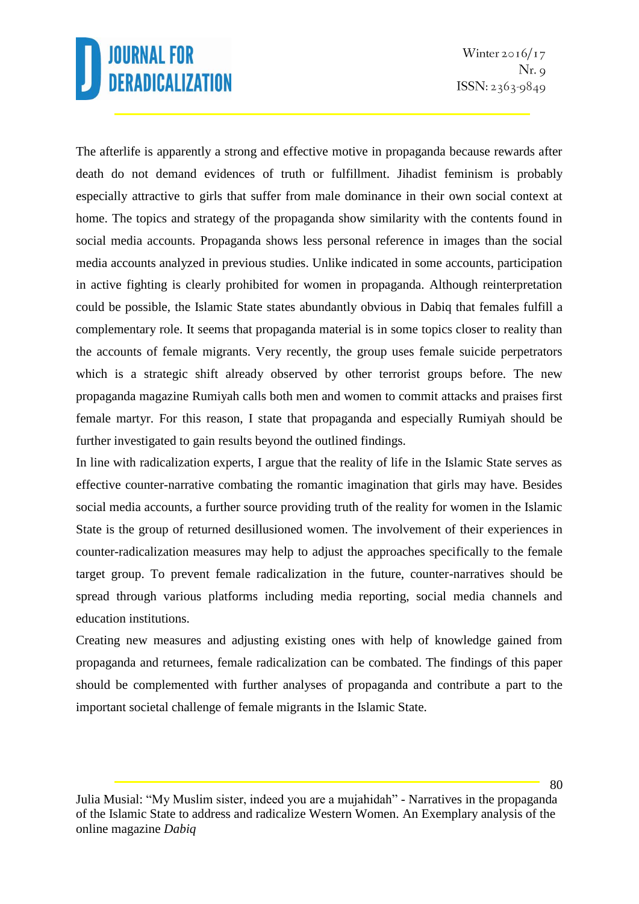Winter  $2016/17$  $Nr. q$  $ISSN: 2363-9849$ 

The afterlife is apparently a strong and effective motive in propaganda because rewards after death do not demand evidences of truth or fulfillment. Jihadist feminism is probably especially attractive to girls that suffer from male dominance in their own social context at home. The topics and strategy of the propaganda show similarity with the contents found in social media accounts. Propaganda shows less personal reference in images than the social media accounts analyzed in previous studies. Unlike indicated in some accounts, participation in active fighting is clearly prohibited for women in propaganda. Although reinterpretation could be possible, the Islamic State states abundantly obvious in Dabiq that females fulfill a complementary role. It seems that propaganda material is in some topics closer to reality than the accounts of female migrants. Very recently, the group uses female suicide perpetrators which is a strategic shift already observed by other terrorist groups before. The new propaganda magazine Rumiyah calls both men and women to commit attacks and praises first female martyr. For this reason, I state that propaganda and especially Rumiyah should be further investigated to gain results beyond the outlined findings.

In line with radicalization experts, I argue that the reality of life in the Islamic State serves as effective counter-narrative combating the romantic imagination that girls may have. Besides social media accounts, a further source providing truth of the reality for women in the Islamic State is the group of returned desillusioned women. The involvement of their experiences in counter-radicalization measures may help to adjust the approaches specifically to the female target group. To prevent female radicalization in the future, counter-narratives should be spread through various platforms including media reporting, social media channels and education institutions.

Creating new measures and adjusting existing ones with help of knowledge gained from propaganda and returnees, female radicalization can be combated. The findings of this paper should be complemented with further analyses of propaganda and contribute a part to the important societal challenge of female migrants in the Islamic State.

Julia Musial: "My Muslim sister, indeed you are a mujahidah" - Narratives in the propaganda of the Islamic State to address and radicalize Western Women. An Exemplary analysis of the online magazine *Dabiq*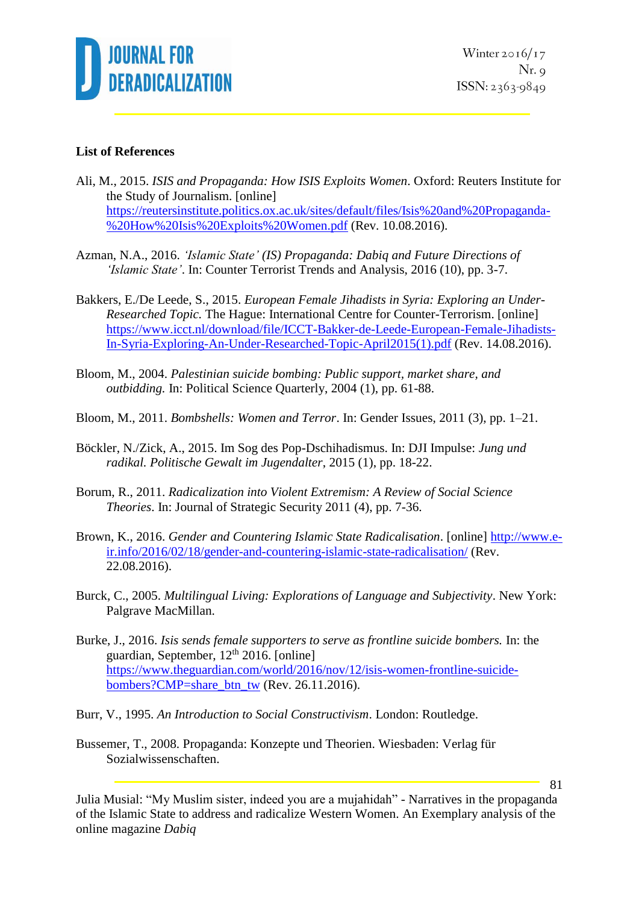

### **List of References**

- Ali, M., 2015. *ISIS and Propaganda: How ISIS Exploits Women*. Oxford: Reuters Institute for the Study of Journalism. [online] [https://reutersinstitute.politics.ox.ac.uk/sites/default/files/Isis%20and%20Propaganda-](https://reutersinstitute.politics.ox.ac.uk/sites/default/files/Isis%20and%20Propaganda-%20How%20Isis%20Exploits%20Women.pdf) [%20How%20Isis%20Exploits%20Women.pdf](https://reutersinstitute.politics.ox.ac.uk/sites/default/files/Isis%20and%20Propaganda-%20How%20Isis%20Exploits%20Women.pdf) (Rev. 10.08.2016).
- Azman, N.A., 2016. *'Islamic State' (IS) Propaganda: Dabiq and Future Directions of 'Islamic State'*. In: Counter Terrorist Trends and Analysis, 2016 (10), pp. 3-7.
- Bakkers, E./De Leede, S., 2015. *European Female Jihadists in Syria: Exploring an Under-Researched Topic.* The Hague: International Centre for Counter-Terrorism. [online] [https://www.icct.nl/download/file/ICCT-Bakker-de-Leede-European-Female-Jihadists-](https://www.icct.nl/download/file/ICCT-Bakker-de-Leede-European-Female-Jihadists-In-Syria-Exploring-An-Under-Researched-Topic-April2015(1).pdf)[In-Syria-Exploring-An-Under-Researched-Topic-April2015\(1\).pdf](https://www.icct.nl/download/file/ICCT-Bakker-de-Leede-European-Female-Jihadists-In-Syria-Exploring-An-Under-Researched-Topic-April2015(1).pdf) (Rev. 14.08.2016).
- Bloom, M., 2004. *Palestinian suicide bombing: Public support, market share, and outbidding.* In: Political Science Quarterly, 2004 (1), pp. 61-88.
- Bloom, M., 2011. *Bombshells: Women and Terror*. In: Gender Issues, 2011 (3), pp. 1–21.
- Böckler, N./Zick, A., 2015. Im Sog des Pop-Dschihadismus. In: DJI Impulse: *Jung und radikal. Politische Gewalt im Jugendalter*, 2015 (1), pp. 18-22.
- Borum, R., 2011. *Radicalization into Violent Extremism: A Review of Social Science Theories*. In: Journal of Strategic Security 2011 (4), pp. 7-36.
- Brown, K., 2016. *Gender and Countering Islamic State Radicalisation*. [online] [http://www.e](http://www.e-ir.info/2016/02/18/gender-and-countering-islamic-state-radicalisation/)[ir.info/2016/02/18/gender-and-countering-islamic-state-radicalisation/](http://www.e-ir.info/2016/02/18/gender-and-countering-islamic-state-radicalisation/) (Rev. 22.08.2016).
- Burck, C., 2005. *Multilingual Living: Explorations of Language and Subjectivity*. New York: Palgrave MacMillan.
- Burke, J., 2016. *Isis sends female supporters to serve as frontline suicide bombers.* In: the guardian, September,  $12<sup>th</sup> 2016$ . [online] [https://www.theguardian.com/world/2016/nov/12/isis-women-frontline-suicide](https://www.theguardian.com/world/2016/nov/12/isis-women-frontline-suicide-bombers?CMP=share_btn_tw)[bombers?CMP=share\\_btn\\_tw](https://www.theguardian.com/world/2016/nov/12/isis-women-frontline-suicide-bombers?CMP=share_btn_tw) (Rev. 26.11.2016).
- Burr, V., 1995. *An Introduction to Social Constructivism*. London: Routledge.
- Bussemer, T., 2008. Propaganda: Konzepte und Theorien. Wiesbaden: Verlag für Sozialwissenschaften.

Julia Musial: "My Muslim sister, indeed you are a mujahidah" - Narratives in the propaganda of the Islamic State to address and radicalize Western Women. An Exemplary analysis of the online magazine *Dabiq*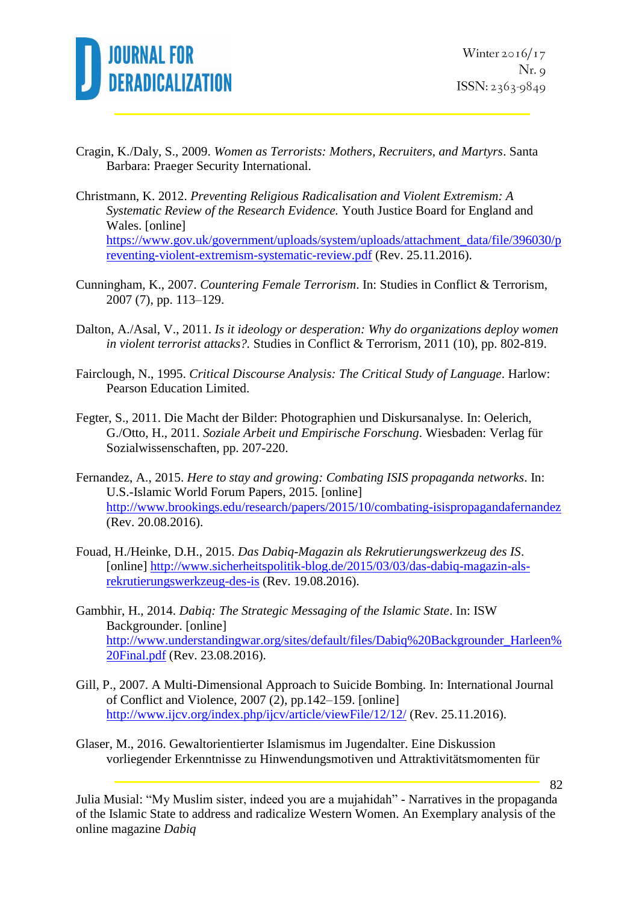

82

- Cragin, K./Daly, S., 2009. *Women as Terrorists: Mothers, Recruiters, and Martyrs*. Santa Barbara: Praeger Security International.
- Christmann, K. 2012. *Preventing Religious Radicalisation and Violent Extremism: A Systematic Review of the Research Evidence.* Youth Justice Board for England and Wales. [online] [https://www.gov.uk/government/uploads/system/uploads/attachment\\_data/file/396030/p](https://www.gov.uk/government/uploads/system/uploads/attachment_data/file/396030/preventing-violent-extremism-systematic-review.pdf) [reventing-violent-extremism-systematic-review.pdf](https://www.gov.uk/government/uploads/system/uploads/attachment_data/file/396030/preventing-violent-extremism-systematic-review.pdf) (Rev. 25.11.2016).
- Cunningham, K., 2007. *Countering Female Terrorism*. In: Studies in Conflict & Terrorism, 2007 (7), pp. 113–129.
- Dalton, A./Asal, V., 2011. *Is it ideology or desperation: Why do organizations deploy women in violent terrorist attacks?.* Studies in Conflict & Terrorism, 2011 (10), pp. 802-819.
- Fairclough, N., 1995. *Critical Discourse Analysis: The Critical Study of Language*. Harlow: Pearson Education Limited.
- Fegter, S., 2011. Die Macht der Bilder: Photographien und Diskursanalyse. In: Oelerich, G./Otto, H., 2011. *Soziale Arbeit und Empirische Forschung*. Wiesbaden: Verlag für Sozialwissenschaften, pp. 207-220.
- Fernandez, A., 2015. *Here to stay and growing: Combating ISIS propaganda networks*. In: U.S.-Islamic World Forum Papers, 2015. [online] <http://www.brookings.edu/research/papers/2015/10/combating-isispropagandafernandez> (Rev. 20.08.2016).
- Fouad, H./Heinke, D.H., 2015. *Das Dabiq-Magazin als Rekrutierungswerkzeug des IS*. [online] [http://www.sicherheitspolitik-blog.de/2015/03/03/das-dabiq-magazin-als](http://www.sicherheitspolitik-blog.de/2015/03/03/das-dabiq-magazin-als-rekrutierungswerkzeug-des-is)[rekrutierungswerkzeug-des-is](http://www.sicherheitspolitik-blog.de/2015/03/03/das-dabiq-magazin-als-rekrutierungswerkzeug-des-is) (Rev. 19.08.2016).
- Gambhir, H., 2014. *Dabiq: The Strategic Messaging of the Islamic State*. In: ISW Backgrounder. [online] [http://www.understandingwar.org/sites/default/files/Dabiq%20Backgrounder\\_Harleen%](http://www.understandingwar.org/sites/default/files/Dabiq%20Backgrounder_Harleen%20Final.pdf) [20Final.pdf](http://www.understandingwar.org/sites/default/files/Dabiq%20Backgrounder_Harleen%20Final.pdf) (Rev. 23.08.2016).
- Gill, P., 2007. A Multi-Dimensional Approach to Suicide Bombing. In: International Journal of Conflict and Violence, 2007 (2), pp.142–159. [online] <http://www.ijcv.org/index.php/ijcv/article/viewFile/12/12/> (Rev. 25.11.2016).
- Glaser, M., 2016. Gewaltorientierter Islamismus im Jugendalter. Eine Diskussion vorliegender Erkenntnisse zu Hinwendungsmotiven und Attraktivitätsmomenten für

Julia Musial: "My Muslim sister, indeed you are a mujahidah" - Narratives in the propaganda of the Islamic State to address and radicalize Western Women. An Exemplary analysis of the online magazine *Dabiq*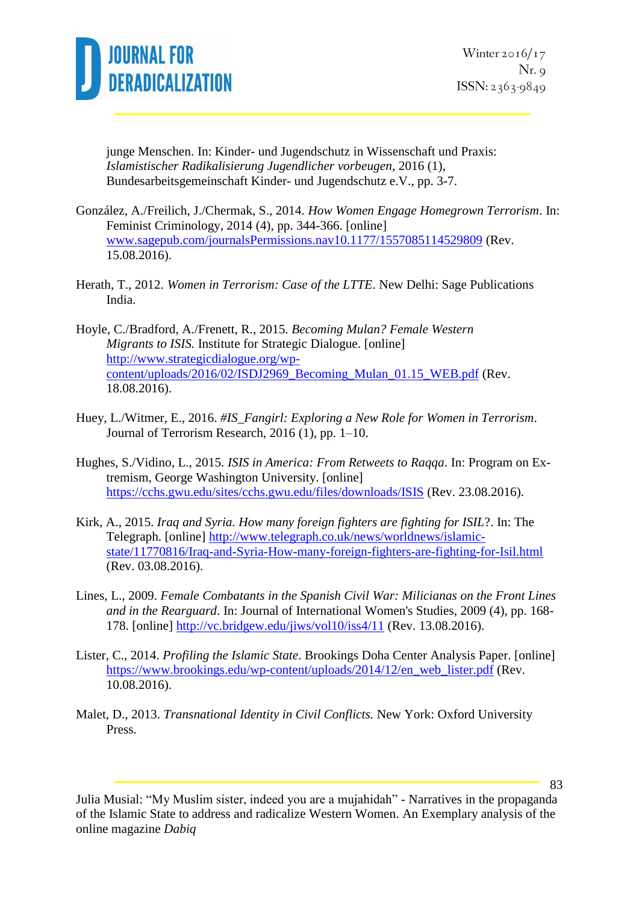

83

junge Menschen. In: Kinder- und Jugendschutz in Wissenschaft und Praxis: *Islamistischer Radikalisierung Jugendlicher vorbeugen*, 2016 (1), Bundesarbeitsgemeinschaft Kinder- und Jugendschutz e.V., pp. 3-7.

- González, A./Freilich, J./Chermak, S., 2014. *How Women Engage Homegrown Terrorism*. In: Feminist Criminology, 2014 (4), pp. 344-366. [online] [www.sagepub.com/journalsPermissions.nav10.1177/1557085114529809](http://www.sagepub.com/journalsPermissions.nav10.1177/1557085114529809) (Rev. 15.08.2016).
- Herath, T., 2012. *Women in Terrorism: Case of the LTTE*. New Delhi: Sage Publications India.
- Hoyle, C./Bradford, A./Frenett, R., 2015. *Becoming Mulan? Female Western Migrants to ISIS.* Institute for Strategic Dialogue. [online] [http://www.strategicdialogue.org/wp](http://www.strategicdialogue.org/wp-content/uploads/2016/02/ISDJ2969_Becoming_Mulan_01.15_WEB.pdf)[content/uploads/2016/02/ISDJ2969\\_Becoming\\_Mulan\\_01.15\\_WEB.pdf](http://www.strategicdialogue.org/wp-content/uploads/2016/02/ISDJ2969_Becoming_Mulan_01.15_WEB.pdf) (Rev. 18.08.2016).
- Huey, L./Witmer, E., 2016. *#IS\_Fangirl: Exploring a New Role for Women in Terrorism*. Journal of Terrorism Research, 2016 (1), pp. 1–10.
- Hughes, S./Vidino, L., 2015. *ISIS in America: From Retweets to Raqqa*. In: Program on Extremism, George Washington University. [online] <https://cchs.gwu.edu/sites/cchs.gwu.edu/files/downloads/ISIS> (Rev. 23.08.2016).
- Kirk, A., 2015. *Iraq and Syria. How many foreign fighters are fighting for ISIL*?. In: The Telegraph. [online] [http://www.telegraph.co.uk/news/worldnews/islamic](http://www.telegraph.co.uk/news/worldnews/islamic-state/11770816/Iraq-and-Syria-How-many-foreign-fighters-are-fighting-for-Isil.html)[state/11770816/Iraq-and-Syria-How-many-foreign-fighters-are-fighting-for-Isil.html](http://www.telegraph.co.uk/news/worldnews/islamic-state/11770816/Iraq-and-Syria-How-many-foreign-fighters-are-fighting-for-Isil.html) (Rev. 03.08.2016).
- Lines, L., 2009. *Female Combatants in the Spanish Civil War: Milicianas on the Front Lines and in the Rearguard*. In: Journal of International Women's Studies, 2009 (4), pp. 168- 178. [online]<http://vc.bridgew.edu/jiws/vol10/iss4/11> (Rev. 13.08.2016).
- Lister, C., 2014. *Profiling the Islamic State*. Brookings Doha Center Analysis Paper. [online] [https://www.brookings.edu/wp-content/uploads/2014/12/en\\_web\\_lister.pdf](https://www.brookings.edu/wp-content/uploads/2014/12/en_web_lister.pdf) (Rev. 10.08.2016).
- Malet, D., 2013. *Transnational Identity in Civil Conflicts.* New York: Oxford University Press.

Julia Musial: "My Muslim sister, indeed you are a mujahidah" - Narratives in the propaganda of the Islamic State to address and radicalize Western Women. An Exemplary analysis of the online magazine *Dabiq*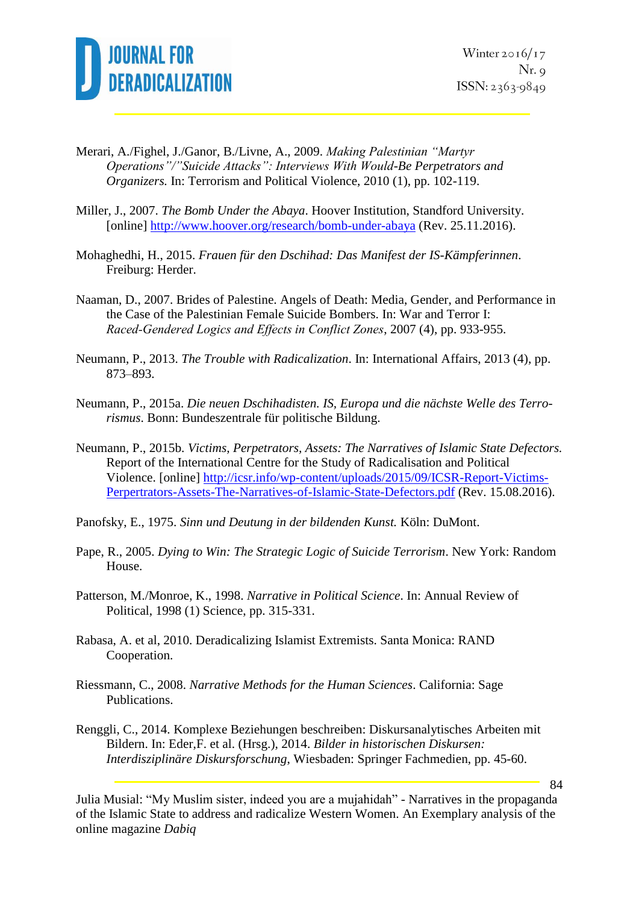

- Merari, A./Fighel, J./Ganor, B./Livne, A., 2009. *Making Palestinian "Martyr Operations"/"Suicide Attacks": Interviews With Would-Be Perpetrators and Organizers.* In: Terrorism and Political Violence, 2010 (1), pp. 102-119.
- Miller, J., 2007. *The Bomb Under the Abaya*. Hoover Institution, Standford University. [online]<http://www.hoover.org/research/bomb-under-abaya> (Rev. 25.11.2016).
- Mohaghedhi, H., 2015. *Frauen für den Dschihad: Das Manifest der IS-Kämpferinnen*. Freiburg: Herder.
- Naaman, D., 2007. Brides of Palestine. Angels of Death: Media, Gender, and Performance in the Case of the Palestinian Female Suicide Bombers. In: War and Terror I: *Raced‐Gendered Logics and Effects in Conflict Zones*, 2007 (4), pp. 933-955.
- Neumann, P., 2013. *The Trouble with Radicalization*. In: International Affairs, 2013 (4), pp. 873–893.
- Neumann, P., 2015a. *Die neuen Dschihadisten. IS, Europa und die nächste Welle des Terrorismus*. Bonn: Bundeszentrale für politische Bildung.
- Neumann, P., 2015b. *Victims, Perpetrators, Assets: The Narratives of Islamic State Defectors.* Report of the International Centre for the Study of Radicalisation and Political Violence. [online] [http://icsr.info/wp-content/uploads/2015/09/ICSR-Report-Victims-](http://icsr.info/wp-content/uploads/2015/09/ICSR-Report-Victims-Perpertrators-Assets-The-Narratives-of-Islamic-State-Defectors.pdf)[Perpertrators-Assets-The-Narratives-of-Islamic-State-Defectors.pdf](http://icsr.info/wp-content/uploads/2015/09/ICSR-Report-Victims-Perpertrators-Assets-The-Narratives-of-Islamic-State-Defectors.pdf) (Rev. 15.08.2016).
- Panofsky, E., 1975. *Sinn und Deutung in der bildenden Kunst.* Köln: DuMont.
- Pape, R., 2005. *Dying to Win: The Strategic Logic of Suicide Terrorism*. New York: Random House.
- Patterson, M./Monroe, K., 1998. *Narrative in Political Science*. In: Annual Review of Political, 1998 (1) Science, pp. 315-331.
- Rabasa, A. et al, 2010. Deradicalizing Islamist Extremists. Santa Monica: RAND Cooperation.
- Riessmann, C., 2008. *Narrative Methods for the Human Sciences*. California: Sage Publications.
- Renggli, C., 2014. Komplexe Beziehungen beschreiben: Diskursanalytisches Arbeiten mit Bildern. In: Eder,F. et al. (Hrsg.), 2014. *Bilder in historischen Diskursen: Interdisziplinäre Diskursforschung*, Wiesbaden: Springer Fachmedien, pp. 45-60.

Julia Musial: "My Muslim sister, indeed you are a mujahidah" - Narratives in the propaganda of the Islamic State to address and radicalize Western Women. An Exemplary analysis of the online magazine *Dabiq*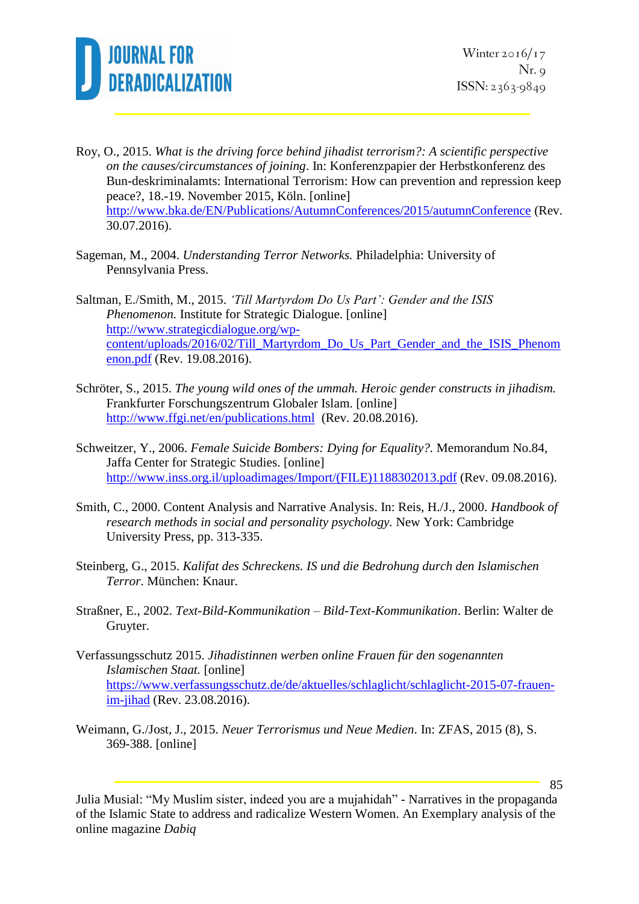

- Roy, O., 2015. *What is the driving force behind jihadist terrorism?: A scientific perspective on the causes/circumstances of joining*. In: Konferenzpapier der Herbstkonferenz des Bun-deskriminalamts: International Terrorism: How can prevention and repression keep peace?, 18.-19. November 2015, Köln. [online] <http://www.bka.de/EN/Publications/AutumnConferences/2015/autumnConference> (Rev. 30.07.2016).
- Sageman, M., 2004. *Understanding Terror Networks.* Philadelphia: University of Pennsylvania Press.

Saltman, E./Smith, M., 2015. *'Till Martyrdom Do Us Part': Gender and the ISIS Phenomenon.* Institute for Strategic Dialogue. [online] [http://www.strategicdialogue.org/wp](http://www.strategicdialogue.org/wp-content/uploads/2016/02/Till_Martyrdom_Do_Us_Part_Gender_and_the_ISIS_Phenomenon.pdf)[content/uploads/2016/02/Till\\_Martyrdom\\_Do\\_Us\\_Part\\_Gender\\_and\\_the\\_ISIS\\_Phenom](http://www.strategicdialogue.org/wp-content/uploads/2016/02/Till_Martyrdom_Do_Us_Part_Gender_and_the_ISIS_Phenomenon.pdf) [enon.pdf](http://www.strategicdialogue.org/wp-content/uploads/2016/02/Till_Martyrdom_Do_Us_Part_Gender_and_the_ISIS_Phenomenon.pdf) (Rev. 19.08.2016).

- Schröter, S., 2015. *The young wild ones of the ummah. Heroic gender constructs in jihadism.* Frankfurter Forschungszentrum Globaler Islam. [online] <http://www.ffgi.net/en/publications.html> (Rev. 20.08.2016).
- Schweitzer, Y., 2006. *Female Suicide Bombers: Dying for Equality?.* Memorandum No.84, Jaffa Center for Strategic Studies. [online] [http://www.inss.org.il/uploadimages/Import/\(FILE\)1188302013.pdf](http://www.inss.org.il/uploadimages/Import/(FILE)1188302013.pdf) (Rev. 09.08.2016).
- Smith, C., 2000. Content Analysis and Narrative Analysis. In: Reis, H./J., 2000. *Handbook of research methods in social and personality psychology.* New York: Cambridge University Press, pp. 313-335.
- Steinberg, G., 2015. *Kalifat des Schreckens. IS und die Bedrohung durch den Islamischen Terror*. München: Knaur.
- Straßner, E., 2002. *Text-Bild-Kommunikation – Bild-Text-Kommunikation*. Berlin: Walter de Gruyter.
- Verfassungsschutz 2015. *Jihadistinnen werben online Frauen für den sogenannten Islamischen Staat.* [online] [https://www.verfassungsschutz.de/de/aktuelles/schlaglicht/schlaglicht-2015-07-frauen](https://www.verfassungsschutz.de/de/aktuelles/schlaglicht/schlaglicht-2015-07-frauen-im-jihad)[im-jihad](https://www.verfassungsschutz.de/de/aktuelles/schlaglicht/schlaglicht-2015-07-frauen-im-jihad) (Rev. 23.08.2016).
- Weimann, G./Jost, J., 2015. *Neuer Terrorismus und Neue Medien*. In: ZFAS, 2015 (8), S. 369-388. [online]

Julia Musial: "My Muslim sister, indeed you are a mujahidah" - Narratives in the propaganda of the Islamic State to address and radicalize Western Women. An Exemplary analysis of the online magazine *Dabiq*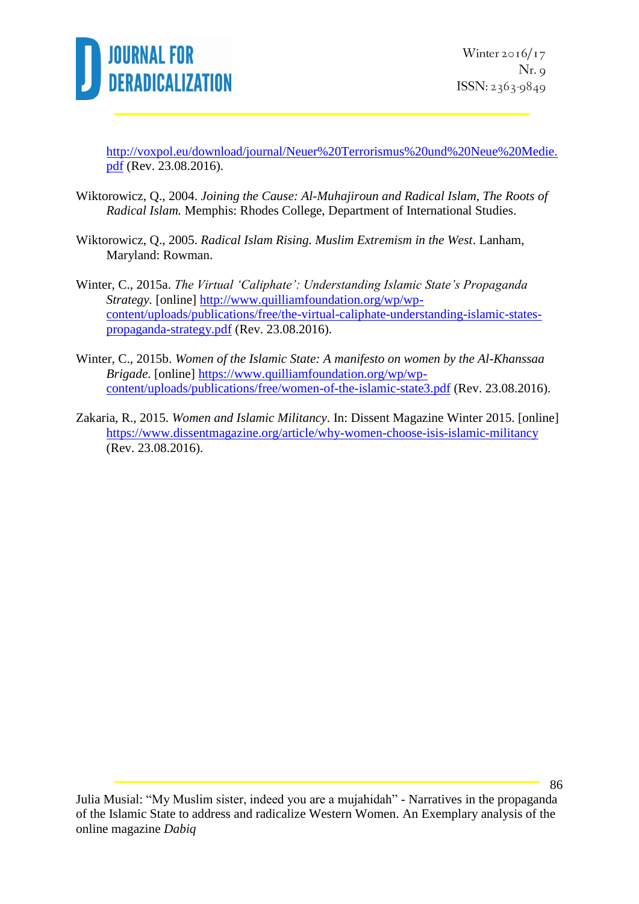

[http://voxpol.eu/download/journal/Neuer%20Terrorismus%20und%20Neue%20Medie.](http://voxpol.eu/download/journal/Neuer%20Terrorismus%20und%20Neue%20Medie.pdf) [pdf](http://voxpol.eu/download/journal/Neuer%20Terrorismus%20und%20Neue%20Medie.pdf) (Rev. 23.08.2016).

- Wiktorowicz, Q., 2004. *Joining the Cause: Al-Muhajiroun and Radical Islam, The Roots of Radical Islam.* Memphis: Rhodes College, Department of International Studies.
- Wiktorowicz, Q., 2005. *Radical Islam Rising. Muslim Extremism in the West*. Lanham, Maryland: Rowman.
- Winter, C., 2015a. *The Virtual 'Caliphate': Understanding Islamic State's Propaganda Strategy.* [online] [http://www.quilliamfoundation.org/wp/wp](http://www.quilliamfoundation.org/wp/wp-content/uploads/publications/free/the-virtual-caliphate-understanding-islamic-states-propaganda-strategy.pdf)[content/uploads/publications/free/the-virtual-caliphate-understanding-islamic-states](http://www.quilliamfoundation.org/wp/wp-content/uploads/publications/free/the-virtual-caliphate-understanding-islamic-states-propaganda-strategy.pdf)[propaganda-strategy.pdf](http://www.quilliamfoundation.org/wp/wp-content/uploads/publications/free/the-virtual-caliphate-understanding-islamic-states-propaganda-strategy.pdf) (Rev. 23.08.2016).
- Winter, C., 2015b. *Women of the Islamic State: A manifesto on women by the Al-Khanssaa Brigade*. [online] [https://www.quilliamfoundation.org/wp/wp](https://www.quilliamfoundation.org/wp/wp-content/uploads/publications/free/women-of-the-islamic-state3.pdf)[content/uploads/publications/free/women-of-the-islamic-state3.pdf](https://www.quilliamfoundation.org/wp/wp-content/uploads/publications/free/women-of-the-islamic-state3.pdf) (Rev. 23.08.2016).
- Zakaria, R., 2015. *Women and Islamic Militancy*. In: Dissent Magazine Winter 2015. [online] <https://www.dissentmagazine.org/article/why-women-choose-isis-islamic-militancy> (Rev. 23.08.2016).

Julia Musial: "My Muslim sister, indeed you are a mujahidah" - Narratives in the propaganda of the Islamic State to address and radicalize Western Women. An Exemplary analysis of the online magazine *Dabiq*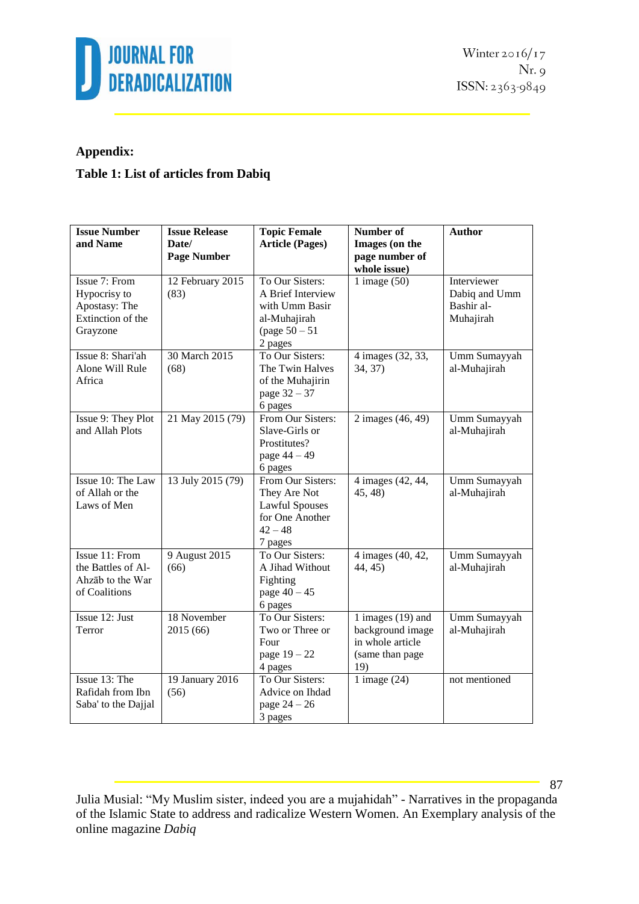

### **Appendix:**

### **Table 1: List of articles from Dabiq**

| <b>Issue Number</b><br>and Name                                                 | <b>Issue Release</b><br>Date/<br><b>Page Number</b> | <b>Topic Female</b><br><b>Article (Pages)</b>                                                         | Number of<br>Images (on the<br>page number of<br>whole issue)                         | <b>Author</b>                                           |
|---------------------------------------------------------------------------------|-----------------------------------------------------|-------------------------------------------------------------------------------------------------------|---------------------------------------------------------------------------------------|---------------------------------------------------------|
| Issue 7: From<br>Hypocrisy to<br>Apostasy: The<br>Extinction of the<br>Grayzone | 12 February 2015<br>(83)                            | To Our Sisters:<br>A Brief Interview<br>with Umm Basir<br>al-Muhajirah<br>(page $50 - 51$<br>2 pages  | 1 image $(50)$                                                                        | Interviewer<br>Dabiq and Umm<br>Bashir al-<br>Muhajirah |
| Issue 8: Shari'ah<br>Alone Will Rule<br>Africa                                  | 30 March 2015<br>(68)                               | To Our Sisters:<br>The Twin Halves<br>of the Muhajirin<br>page 32 - 37<br>6 pages                     | 4 images (32, 33,<br>34, 37)                                                          | Umm Sumayyah<br>al-Muhajirah                            |
| Issue 9: They Plot<br>and Allah Plots                                           | 21 May 2015 (79)                                    | From Our Sisters:<br>Slave-Girls or<br>Prostitutes?<br>page $44 - 49$<br>6 pages                      | 2 images (46, 49)                                                                     | Umm Sumayyah<br>al-Muhajirah                            |
| Issue 10: The Law<br>of Allah or the<br>Laws of Men                             | 13 July 2015 (79)                                   | From Our Sisters:<br>They Are Not<br><b>Lawful Spouses</b><br>for One Another<br>$42 - 48$<br>7 pages | 4 images (42, 44,<br>45, 48)                                                          | Umm Sumayyah<br>al-Muhajirah                            |
| Issue 11: From<br>the Battles of Al-<br>Ahzāb to the War<br>of Coalitions       | 9 August 2015<br>(66)                               | To Our Sisters:<br>A Jihad Without<br>Fighting<br>page $40 - 45$<br>6 pages                           | 4 images (40, 42,<br>44, 45)                                                          | Umm Sumayyah<br>al-Muhajirah                            |
| Issue 12: Just<br>Terror                                                        | 18 November<br>2015 (66)                            | To Our Sisters:<br>Two or Three or<br>Four<br>page $19 - 22$<br>4 pages                               | 1 images $(19)$ and<br>background image<br>in whole article<br>(same than page<br>19) | Umm Sumayyah<br>al-Muhajirah                            |
| Issue 13: The<br>Rafidah from Ibn<br>Saba' to the Dajjal                        | 19 January 2016<br>(56)                             | To Our Sisters:<br>Advice on Ihdad<br>page $24 - 26$<br>3 pages                                       | 1 image $(24)$                                                                        | not mentioned                                           |

Julia Musial: "My Muslim sister, indeed you are a mujahidah" - Narratives in the propaganda of the Islamic State to address and radicalize Western Women. An Exemplary analysis of the online magazine *Dabiq*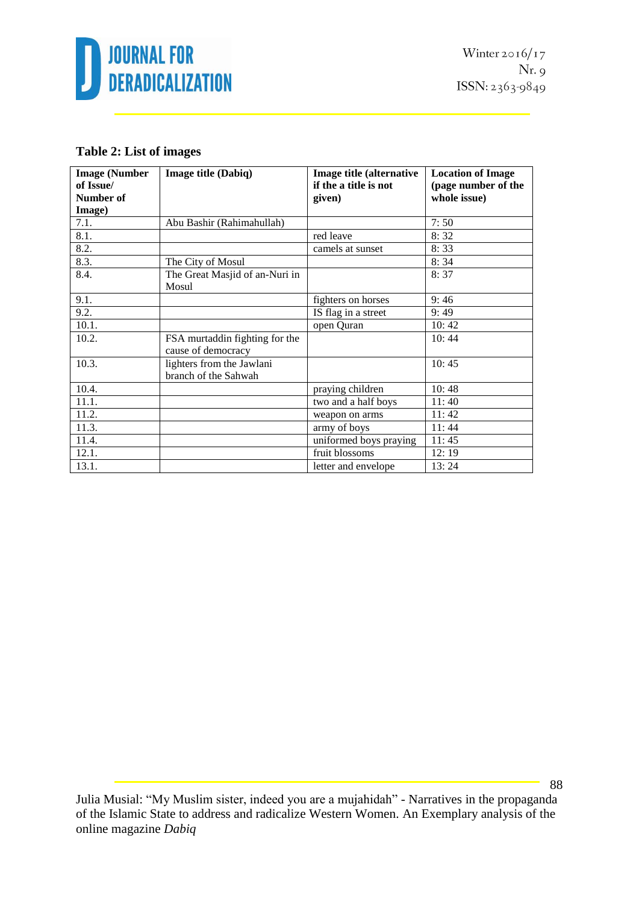

### **Table 2: List of images**

| <b>Image (Number</b> | Image title (Dabiq)                                  | Image title (alternative | <b>Location of Image</b> |
|----------------------|------------------------------------------------------|--------------------------|--------------------------|
| of Issue/            |                                                      | if the a title is not    | (page number of the      |
| Number of            |                                                      | given)                   | whole issue)             |
| Image)               |                                                      |                          |                          |
| 7.1.                 | Abu Bashir (Rahimahullah)                            |                          | 7:50                     |
| 8.1.                 |                                                      | red leave                | 8:32                     |
| 8.2.                 |                                                      | camels at sunset         | 8:33                     |
| 8.3.                 | The City of Mosul                                    |                          | 8:34                     |
| 8.4.                 | The Great Masjid of an-Nuri in<br>Mosul              |                          | 8:37                     |
| 9.1.                 |                                                      | fighters on horses       | 9:46                     |
| 9.2.                 |                                                      | IS flag in a street      | 9:49                     |
| 10.1.                |                                                      | open Quran               | 10:42                    |
| 10.2.                | FSA murtaddin fighting for the<br>cause of democracy |                          | 10:44                    |
| 10.3.                | lighters from the Jawlani<br>branch of the Sahwah    |                          | 10:45                    |
| 10.4.                |                                                      | praying children         | 10:48                    |
| 11.1.                |                                                      | two and a half boys      | 11:40                    |
| 11.2.                |                                                      | weapon on arms           | 11:42                    |
| 11.3.                |                                                      | army of boys             | 11:44                    |
| 11.4.                |                                                      | uniformed boys praying   | 11:45                    |
| 12.1.                |                                                      | fruit blossoms           | 12:19                    |
| 13.1.                |                                                      | letter and envelope      | 13:24                    |

Julia Musial: "My Muslim sister, indeed you are a mujahidah" - Narratives in the propaganda of the Islamic State to address and radicalize Western Women. An Exemplary analysis of the online magazine *Dabiq*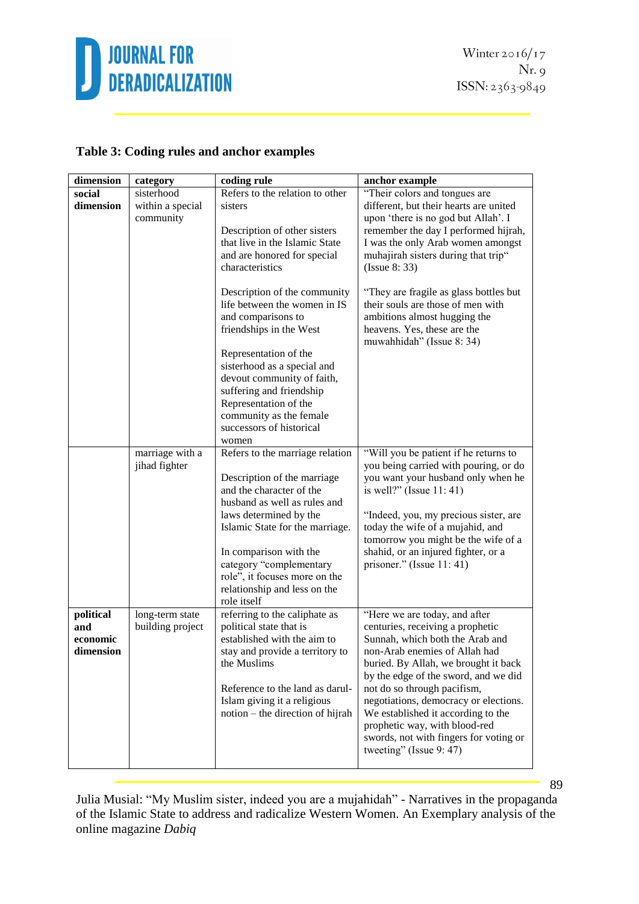

Winter  $2016/17$  $Nr.9$ ISSN: 2363-9849

### **Table 3: Coding rules and anchor examples**

| dimension                                 | category                                    | coding rule                                                                                                                                                                                                                                                                                                                  | anchor example                                                                                                                                                                                                                                                                                                                                                                                                                            |
|-------------------------------------------|---------------------------------------------|------------------------------------------------------------------------------------------------------------------------------------------------------------------------------------------------------------------------------------------------------------------------------------------------------------------------------|-------------------------------------------------------------------------------------------------------------------------------------------------------------------------------------------------------------------------------------------------------------------------------------------------------------------------------------------------------------------------------------------------------------------------------------------|
| social<br>dimension                       | sisterhood<br>within a special<br>community | Refers to the relation to other<br>sisters<br>Description of other sisters<br>that live in the Islamic State                                                                                                                                                                                                                 | "Their colors and tongues are<br>different, but their hearts are united<br>upon 'there is no god but Allah'. I<br>remember the day I performed hijrah,<br>I was the only Arab women amongst                                                                                                                                                                                                                                               |
|                                           |                                             | and are honored for special<br>characteristics                                                                                                                                                                                                                                                                               | muhajirah sisters during that trip"<br>(Issue 8: 33)                                                                                                                                                                                                                                                                                                                                                                                      |
|                                           |                                             | Description of the community<br>life between the women in IS<br>and comparisons to<br>friendships in the West                                                                                                                                                                                                                | "They are fragile as glass bottles but<br>their souls are those of men with<br>ambitions almost hugging the<br>heavens. Yes, these are the<br>muwahhidah" (Issue 8: 34)                                                                                                                                                                                                                                                                   |
|                                           |                                             | Representation of the<br>sisterhood as a special and<br>devout community of faith,<br>suffering and friendship<br>Representation of the<br>community as the female<br>successors of historical<br>women                                                                                                                      |                                                                                                                                                                                                                                                                                                                                                                                                                                           |
|                                           | marriage with a<br>jihad fighter            | Refers to the marriage relation<br>Description of the marriage<br>and the character of the<br>husband as well as rules and<br>laws determined by the<br>Islamic State for the marriage.<br>In comparison with the<br>category "complementary<br>role", it focuses more on the<br>relationship and less on the<br>role itself | "Will you be patient if he returns to<br>you being carried with pouring, or do<br>you want your husband only when he<br>is well?" (Issue $11:41$ )<br>"Indeed, you, my precious sister, are<br>today the wife of a mujahid, and<br>tomorrow you might be the wife of a<br>shahid, or an injured fighter, or a<br>prisoner." (Issue $11:41$ )                                                                                              |
| political<br>and<br>economic<br>dimension | long-term state<br>building project         | referring to the caliphate as<br>political state that is<br>established with the aim to<br>stay and provide a territory to<br>the Muslims<br>Reference to the land as darul-<br>Islam giving it a religious<br>notion – the direction of hijrah                                                                              | "Here we are today, and after<br>centuries, receiving a prophetic<br>Sunnah, which both the Arab and<br>non-Arab enemies of Allah had<br>buried. By Allah, we brought it back<br>by the edge of the sword, and we did<br>not do so through pacifism,<br>negotiations, democracy or elections.<br>We established it according to the<br>prophetic way, with blood-red<br>swords, not with fingers for voting or<br>tweeting" (Issue 9: 47) |

Julia Musial: "My Muslim sister, indeed you are a mujahidah" - Narratives in the propaganda of the Islamic State to address and radicalize Western Women. An Exemplary analysis of the online magazine *Dabiq*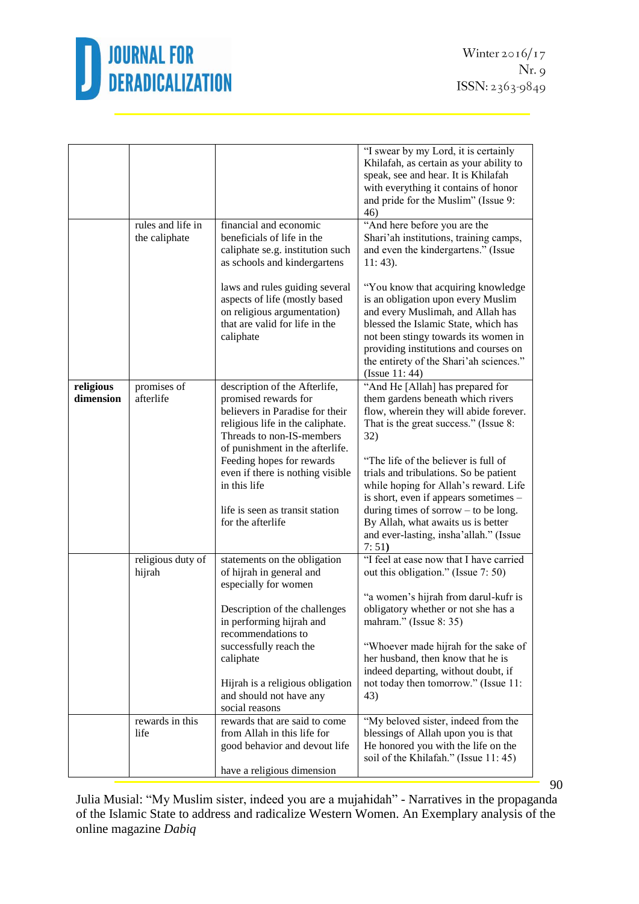

|                        | rules and life in           | financial and economic                                                                                                                                                                                                                                                        | "I swear by my Lord, it is certainly<br>Khilafah, as certain as your ability to<br>speak, see and hear. It is Khilafah<br>with everything it contains of honor<br>and pride for the Muslim" (Issue 9:<br>46)<br>"And here before you are the                                                                                        |
|------------------------|-----------------------------|-------------------------------------------------------------------------------------------------------------------------------------------------------------------------------------------------------------------------------------------------------------------------------|-------------------------------------------------------------------------------------------------------------------------------------------------------------------------------------------------------------------------------------------------------------------------------------------------------------------------------------|
|                        | the caliphate               | beneficials of life in the<br>caliphate se.g. institution such<br>as schools and kindergartens                                                                                                                                                                                | Shari'ah institutions, training camps,<br>and even the kindergartens." (Issue<br>$11:43$ ).                                                                                                                                                                                                                                         |
|                        |                             | laws and rules guiding several<br>aspects of life (mostly based<br>on religious argumentation)<br>that are valid for life in the<br>caliphate                                                                                                                                 | "You know that acquiring knowledge<br>is an obligation upon every Muslim<br>and every Muslimah, and Allah has<br>blessed the Islamic State, which has<br>not been stingy towards its women in<br>providing institutions and courses on<br>the entirety of the Shari'ah sciences."<br>(Issue $11:44$ )                               |
| religious<br>dimension | promises of<br>afterlife    | description of the Afterlife,<br>promised rewards for<br>believers in Paradise for their<br>religious life in the caliphate.<br>Threads to non-IS-members<br>of punishment in the afterlife.<br>Feeding hopes for rewards<br>even if there is nothing visible<br>in this life | "And He [Allah] has prepared for<br>them gardens beneath which rivers<br>flow, wherein they will abide forever.<br>That is the great success." (Issue 8:<br>32)<br>"The life of the believer is full of<br>trials and tribulations. So be patient<br>while hoping for Allah's reward. Life<br>is short, even if appears sometimes – |
|                        |                             | life is seen as transit station<br>for the afterlife                                                                                                                                                                                                                          | during times of sorrow $-$ to be long.<br>By Allah, what awaits us is better<br>and ever-lasting, insha'allah." (Issue<br>7:51)                                                                                                                                                                                                     |
|                        | religious duty of<br>hijrah | statements on the obligation<br>of hijrah in general and<br>especially for women                                                                                                                                                                                              | "I feel at ease now that I have carried<br>out this obligation." (Issue 7: 50)                                                                                                                                                                                                                                                      |
|                        |                             | Description of the challenges<br>in performing hijrah and<br>recommendations to<br>successfully reach the                                                                                                                                                                     | "a women's hijrah from darul-kufr is<br>obligatory whether or not she has a<br>mahram." (Issue 8: 35)<br>"Whoever made hijrah for the sake of                                                                                                                                                                                       |
|                        |                             | caliphate<br>Hijrah is a religious obligation<br>and should not have any<br>social reasons                                                                                                                                                                                    | her husband, then know that he is<br>indeed departing, without doubt, if<br>not today then tomorrow." (Issue 11:<br>43)                                                                                                                                                                                                             |
|                        | rewards in this<br>life     | rewards that are said to come<br>from Allah in this life for<br>good behavior and devout life<br>have a religious dimension                                                                                                                                                   | "My beloved sister, indeed from the<br>blessings of Allah upon you is that<br>He honored you with the life on the<br>soil of the Khilafah." (Issue 11:45)                                                                                                                                                                           |

Julia Musial: "My Muslim sister, indeed you are a mujahidah" - Narratives in the propaganda of the Islamic State to address and radicalize Western Women. An Exemplary analysis of the online magazine *Dabiq*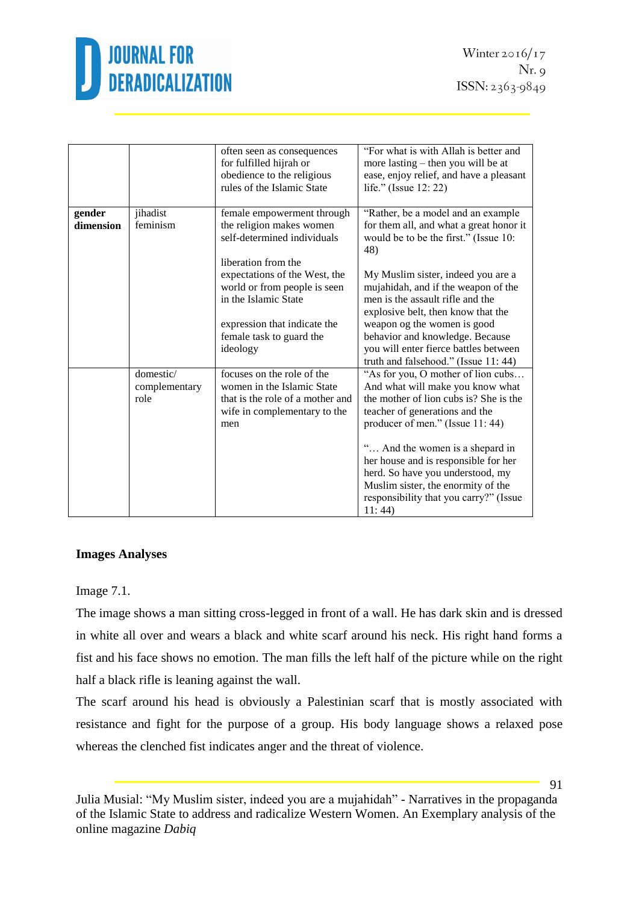

|           |                                    | often seen as consequences<br>for fulfilled hijrah or<br>obedience to the religious<br>rules of the Islamic State | "For what is with Allah is better and<br>more lasting – then you will be at<br>ease, enjoy relief, and have a pleasant<br>life." (Issue 12: 22)     |
|-----------|------------------------------------|-------------------------------------------------------------------------------------------------------------------|-----------------------------------------------------------------------------------------------------------------------------------------------------|
| gender    | jihadist                           | female empowerment through                                                                                        | "Rather, be a model and an example                                                                                                                  |
| dimension | feminism                           | the religion makes women<br>self-determined individuals                                                           | for them all, and what a great honor it<br>would be to be the first." (Issue 10:<br>48)                                                             |
|           |                                    | liberation from the                                                                                               |                                                                                                                                                     |
|           |                                    | expectations of the West, the<br>world or from people is seen<br>in the Islamic State                             | My Muslim sister, indeed you are a<br>mujahidah, and if the weapon of the<br>men is the assault rifle and the<br>explosive belt, then know that the |
|           |                                    | expression that indicate the                                                                                      | weapon og the women is good                                                                                                                         |
|           |                                    | female task to guard the                                                                                          | behavior and knowledge. Because                                                                                                                     |
|           |                                    | ideology                                                                                                          | you will enter fierce battles between                                                                                                               |
|           |                                    |                                                                                                                   | truth and falsehood." (Issue 11:44)                                                                                                                 |
|           | domestic/<br>complementary<br>role | focuses on the role of the<br>women in the Islamic State<br>that is the role of a mother and                      | "As for you, O mother of lion cubs<br>And what will make you know what<br>the mother of lion cubs is? She is the                                    |
|           |                                    | wife in complementary to the                                                                                      | teacher of generations and the                                                                                                                      |
|           |                                    | men                                                                                                               | producer of men." (Issue 11:44)                                                                                                                     |
|           |                                    |                                                                                                                   |                                                                                                                                                     |
|           |                                    |                                                                                                                   | " And the women is a shepard in                                                                                                                     |
|           |                                    |                                                                                                                   | her house and is responsible for her<br>herd. So have you understood, my                                                                            |
|           |                                    |                                                                                                                   | Muslim sister, the enormity of the                                                                                                                  |
|           |                                    |                                                                                                                   | responsibility that you carry?" (Issue                                                                                                              |
|           |                                    |                                                                                                                   | 11:44                                                                                                                                               |

#### **Images Analyses**

#### Image 7.1.

The image shows a man sitting cross-legged in front of a wall. He has dark skin and is dressed in white all over and wears a black and white scarf around his neck. His right hand forms a fist and his face shows no emotion. The man fills the left half of the picture while on the right half a black rifle is leaning against the wall.

The scarf around his head is obviously a Palestinian scarf that is mostly associated with resistance and fight for the purpose of a group. His body language shows a relaxed pose whereas the clenched fist indicates anger and the threat of violence.

Julia Musial: "My Muslim sister, indeed you are a mujahidah" - Narratives in the propaganda of the Islamic State to address and radicalize Western Women. An Exemplary analysis of the online magazine *Dabiq*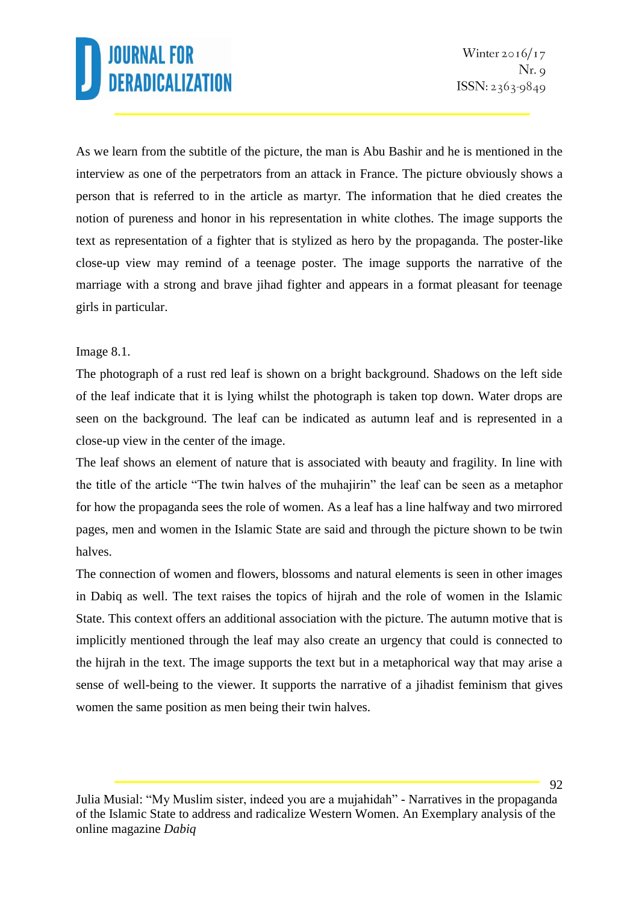As we learn from the subtitle of the picture, the man is Abu Bashir and he is mentioned in the interview as one of the perpetrators from an attack in France. The picture obviously shows a person that is referred to in the article as martyr. The information that he died creates the notion of pureness and honor in his representation in white clothes. The image supports the text as representation of a fighter that is stylized as hero by the propaganda. The poster-like close-up view may remind of a teenage poster. The image supports the narrative of the marriage with a strong and brave jihad fighter and appears in a format pleasant for teenage girls in particular.

### Image 8.1.

The photograph of a rust red leaf is shown on a bright background. Shadows on the left side of the leaf indicate that it is lying whilst the photograph is taken top down. Water drops are seen on the background. The leaf can be indicated as autumn leaf and is represented in a close-up view in the center of the image.

The leaf shows an element of nature that is associated with beauty and fragility. In line with the title of the article "The twin halves of the muhajirin" the leaf can be seen as a metaphor for how the propaganda sees the role of women. As a leaf has a line halfway and two mirrored pages, men and women in the Islamic State are said and through the picture shown to be twin halves.

The connection of women and flowers, blossoms and natural elements is seen in other images in Dabiq as well. The text raises the topics of hijrah and the role of women in the Islamic State. This context offers an additional association with the picture. The autumn motive that is implicitly mentioned through the leaf may also create an urgency that could is connected to the hijrah in the text. The image supports the text but in a metaphorical way that may arise a sense of well-being to the viewer. It supports the narrative of a jihadist feminism that gives women the same position as men being their twin halves.

Julia Musial: "My Muslim sister, indeed you are a mujahidah" - Narratives in the propaganda of the Islamic State to address and radicalize Western Women. An Exemplary analysis of the online magazine *Dabiq*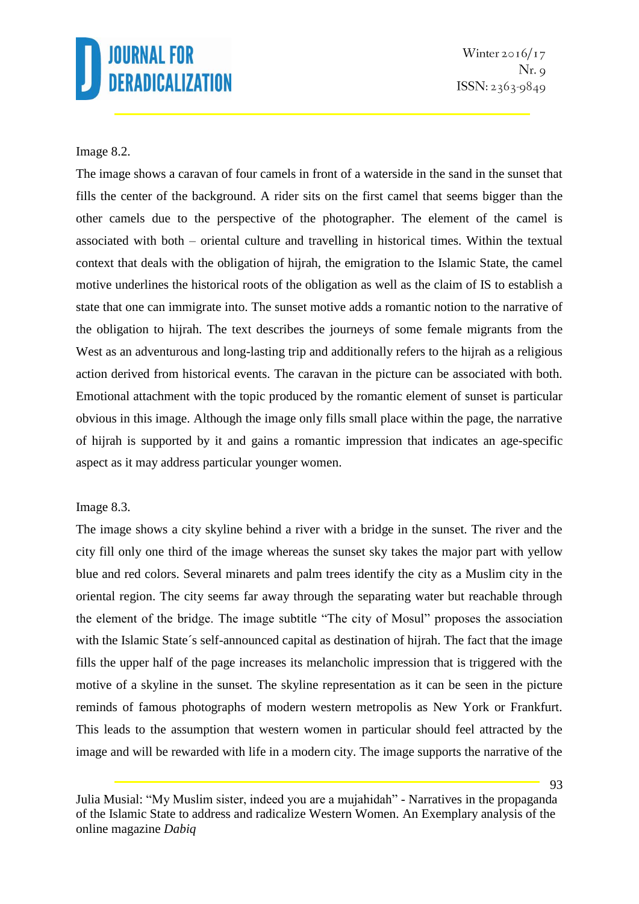Winter  $2016/17$  $Nr. q$  $ISSN: 2363-9849$ 

#### Image 8.2.

The image shows a caravan of four camels in front of a waterside in the sand in the sunset that fills the center of the background. A rider sits on the first camel that seems bigger than the other camels due to the perspective of the photographer. The element of the camel is associated with both – oriental culture and travelling in historical times. Within the textual context that deals with the obligation of hijrah, the emigration to the Islamic State, the camel motive underlines the historical roots of the obligation as well as the claim of IS to establish a state that one can immigrate into. The sunset motive adds a romantic notion to the narrative of the obligation to hijrah. The text describes the journeys of some female migrants from the West as an adventurous and long-lasting trip and additionally refers to the hijrah as a religious action derived from historical events. The caravan in the picture can be associated with both. Emotional attachment with the topic produced by the romantic element of sunset is particular obvious in this image. Although the image only fills small place within the page, the narrative of hijrah is supported by it and gains a romantic impression that indicates an age-specific aspect as it may address particular younger women.

#### Image 8.3.

The image shows a city skyline behind a river with a bridge in the sunset. The river and the city fill only one third of the image whereas the sunset sky takes the major part with yellow blue and red colors. Several minarets and palm trees identify the city as a Muslim city in the oriental region. The city seems far away through the separating water but reachable through the element of the bridge. The image subtitle "The city of Mosul" proposes the association with the Islamic State's self-announced capital as destination of hijrah. The fact that the image fills the upper half of the page increases its melancholic impression that is triggered with the motive of a skyline in the sunset. The skyline representation as it can be seen in the picture reminds of famous photographs of modern western metropolis as New York or Frankfurt. This leads to the assumption that western women in particular should feel attracted by the image and will be rewarded with life in a modern city. The image supports the narrative of the

Julia Musial: "My Muslim sister, indeed you are a mujahidah" - Narratives in the propaganda of the Islamic State to address and radicalize Western Women. An Exemplary analysis of the online magazine *Dabiq*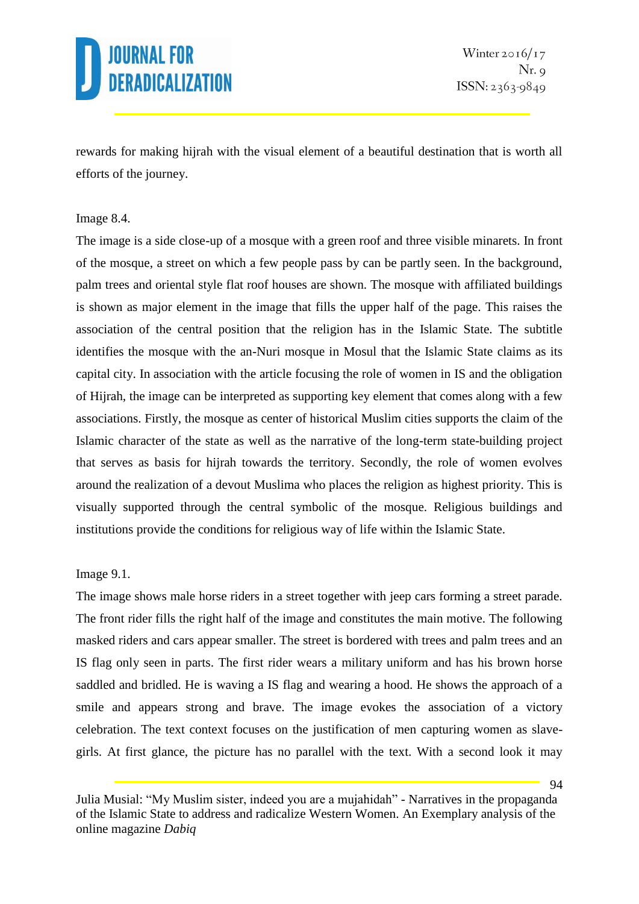

rewards for making hijrah with the visual element of a beautiful destination that is worth all efforts of the journey.

#### Image 8.4.

The image is a side close-up of a mosque with a green roof and three visible minarets. In front of the mosque, a street on which a few people pass by can be partly seen. In the background, palm trees and oriental style flat roof houses are shown. The mosque with affiliated buildings is shown as major element in the image that fills the upper half of the page. This raises the association of the central position that the religion has in the Islamic State. The subtitle identifies the mosque with the an-Nuri mosque in Mosul that the Islamic State claims as its capital city. In association with the article focusing the role of women in IS and the obligation of Hijrah, the image can be interpreted as supporting key element that comes along with a few associations. Firstly, the mosque as center of historical Muslim cities supports the claim of the Islamic character of the state as well as the narrative of the long-term state-building project that serves as basis for hijrah towards the territory. Secondly, the role of women evolves around the realization of a devout Muslima who places the religion as highest priority. This is visually supported through the central symbolic of the mosque. Religious buildings and institutions provide the conditions for religious way of life within the Islamic State.

### Image 9.1.

The image shows male horse riders in a street together with jeep cars forming a street parade. The front rider fills the right half of the image and constitutes the main motive. The following masked riders and cars appear smaller. The street is bordered with trees and palm trees and an IS flag only seen in parts. The first rider wears a military uniform and has his brown horse saddled and bridled. He is waving a IS flag and wearing a hood. He shows the approach of a smile and appears strong and brave. The image evokes the association of a victory celebration. The text context focuses on the justification of men capturing women as slavegirls. At first glance, the picture has no parallel with the text. With a second look it may

Julia Musial: "My Muslim sister, indeed you are a mujahidah" - Narratives in the propaganda of the Islamic State to address and radicalize Western Women. An Exemplary analysis of the online magazine *Dabiq*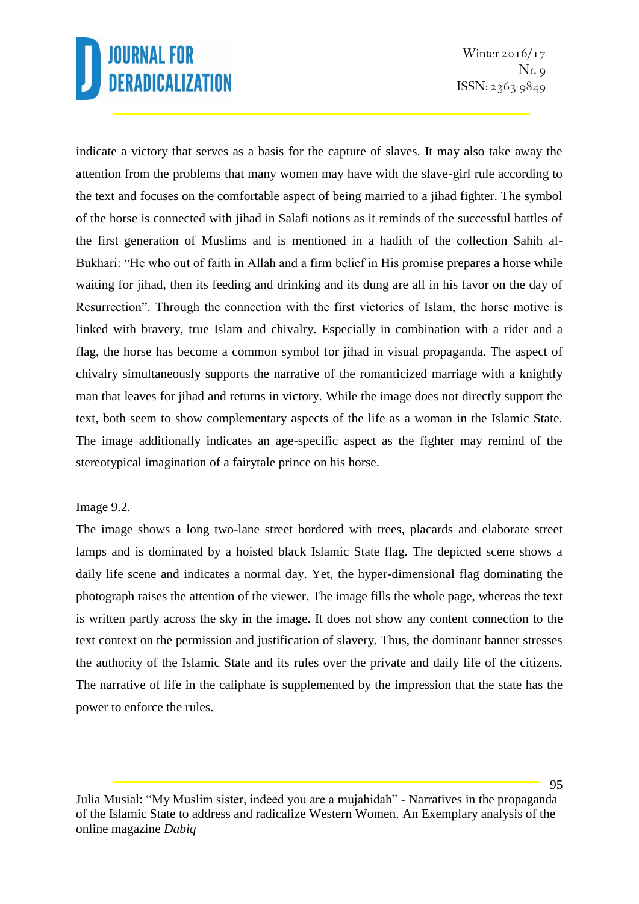Winter  $2016/17$  $Nr. q$  $ISSN: 2363-9849$ 

indicate a victory that serves as a basis for the capture of slaves. It may also take away the attention from the problems that many women may have with the slave-girl rule according to the text and focuses on the comfortable aspect of being married to a jihad fighter. The symbol of the horse is connected with jihad in Salafi notions as it reminds of the successful battles of the first generation of Muslims and is mentioned in a hadith of the collection Sahih al-Bukhari: "He who out of faith in Allah and a firm belief in His promise prepares a horse while waiting for jihad, then its feeding and drinking and its dung are all in his favor on the day of Resurrection". Through the connection with the first victories of Islam, the horse motive is linked with bravery, true Islam and chivalry. Especially in combination with a rider and a flag, the horse has become a common symbol for jihad in visual propaganda. The aspect of chivalry simultaneously supports the narrative of the romanticized marriage with a knightly man that leaves for jihad and returns in victory. While the image does not directly support the text, both seem to show complementary aspects of the life as a woman in the Islamic State. The image additionally indicates an age-specific aspect as the fighter may remind of the stereotypical imagination of a fairytale prince on his horse.

#### Image 9.2.

The image shows a long two-lane street bordered with trees, placards and elaborate street lamps and is dominated by a hoisted black Islamic State flag. The depicted scene shows a daily life scene and indicates a normal day. Yet, the hyper-dimensional flag dominating the photograph raises the attention of the viewer. The image fills the whole page, whereas the text is written partly across the sky in the image. It does not show any content connection to the text context on the permission and justification of slavery. Thus, the dominant banner stresses the authority of the Islamic State and its rules over the private and daily life of the citizens. The narrative of life in the caliphate is supplemented by the impression that the state has the power to enforce the rules.

Julia Musial: "My Muslim sister, indeed you are a mujahidah" - Narratives in the propaganda of the Islamic State to address and radicalize Western Women. An Exemplary analysis of the online magazine *Dabiq*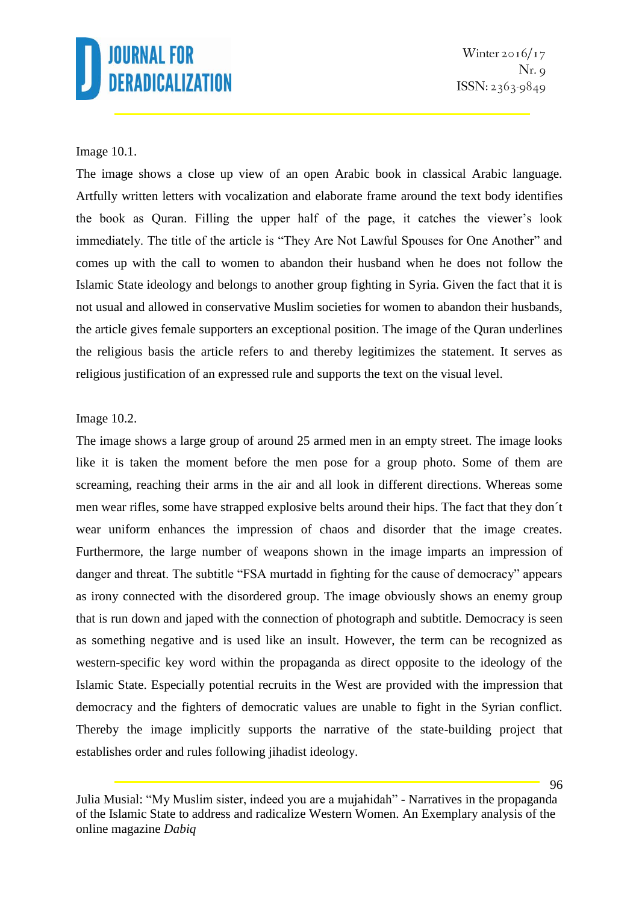Winter  $2016/17$  $Nr. q$  $ISSN: 2363-9849$ 

#### Image 10.1.

The image shows a close up view of an open Arabic book in classical Arabic language. Artfully written letters with vocalization and elaborate frame around the text body identifies the book as Quran. Filling the upper half of the page, it catches the viewer's look immediately. The title of the article is "They Are Not Lawful Spouses for One Another" and comes up with the call to women to abandon their husband when he does not follow the Islamic State ideology and belongs to another group fighting in Syria. Given the fact that it is not usual and allowed in conservative Muslim societies for women to abandon their husbands, the article gives female supporters an exceptional position. The image of the Quran underlines the religious basis the article refers to and thereby legitimizes the statement. It serves as religious justification of an expressed rule and supports the text on the visual level.

#### Image 10.2.

The image shows a large group of around 25 armed men in an empty street. The image looks like it is taken the moment before the men pose for a group photo. Some of them are screaming, reaching their arms in the air and all look in different directions. Whereas some men wear rifles, some have strapped explosive belts around their hips. The fact that they don´t wear uniform enhances the impression of chaos and disorder that the image creates. Furthermore, the large number of weapons shown in the image imparts an impression of danger and threat. The subtitle "FSA murtadd in fighting for the cause of democracy" appears as irony connected with the disordered group. The image obviously shows an enemy group that is run down and japed with the connection of photograph and subtitle. Democracy is seen as something negative and is used like an insult. However, the term can be recognized as western-specific key word within the propaganda as direct opposite to the ideology of the Islamic State. Especially potential recruits in the West are provided with the impression that democracy and the fighters of democratic values are unable to fight in the Syrian conflict. Thereby the image implicitly supports the narrative of the state-building project that establishes order and rules following jihadist ideology.

Julia Musial: "My Muslim sister, indeed you are a mujahidah" - Narratives in the propaganda of the Islamic State to address and radicalize Western Women. An Exemplary analysis of the online magazine *Dabiq*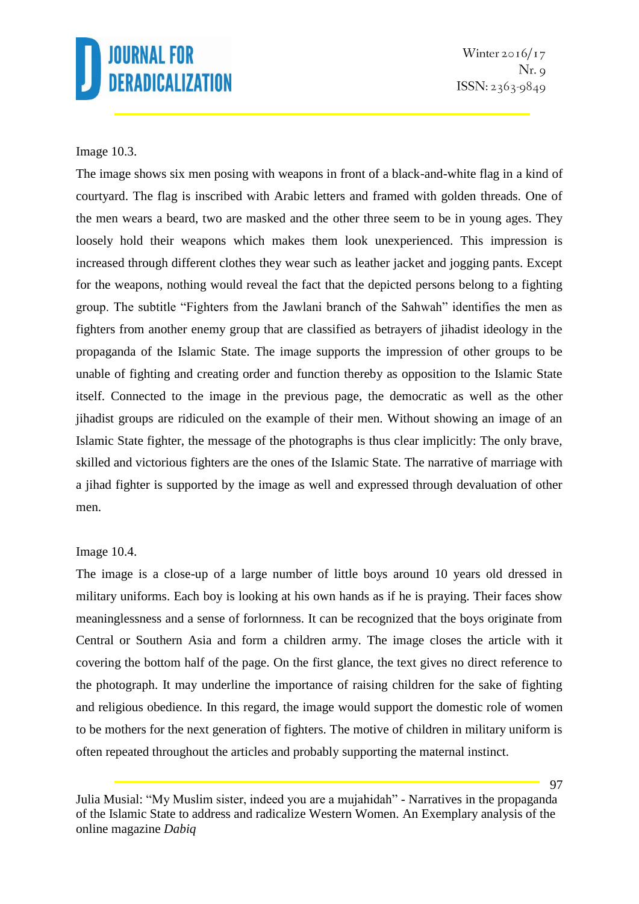Winter  $2016/17$  $Nr. q$  $ISSN: 2363-9849$ 

### Image 10.3.

The image shows six men posing with weapons in front of a black-and-white flag in a kind of courtyard. The flag is inscribed with Arabic letters and framed with golden threads. One of the men wears a beard, two are masked and the other three seem to be in young ages. They loosely hold their weapons which makes them look unexperienced. This impression is increased through different clothes they wear such as leather jacket and jogging pants. Except for the weapons, nothing would reveal the fact that the depicted persons belong to a fighting group. The subtitle "Fighters from the Jawlani branch of the Sahwah" identifies the men as fighters from another enemy group that are classified as betrayers of jihadist ideology in the propaganda of the Islamic State. The image supports the impression of other groups to be unable of fighting and creating order and function thereby as opposition to the Islamic State itself. Connected to the image in the previous page, the democratic as well as the other jihadist groups are ridiculed on the example of their men. Without showing an image of an Islamic State fighter, the message of the photographs is thus clear implicitly: The only brave, skilled and victorious fighters are the ones of the Islamic State. The narrative of marriage with a jihad fighter is supported by the image as well and expressed through devaluation of other men.

#### Image 10.4.

The image is a close-up of a large number of little boys around 10 years old dressed in military uniforms. Each boy is looking at his own hands as if he is praying. Their faces show meaninglessness and a sense of forlornness. It can be recognized that the boys originate from Central or Southern Asia and form a children army. The image closes the article with it covering the bottom half of the page. On the first glance, the text gives no direct reference to the photograph. It may underline the importance of raising children for the sake of fighting and religious obedience. In this regard, the image would support the domestic role of women to be mothers for the next generation of fighters. The motive of children in military uniform is often repeated throughout the articles and probably supporting the maternal instinct.

Julia Musial: "My Muslim sister, indeed you are a mujahidah" - Narratives in the propaganda of the Islamic State to address and radicalize Western Women. An Exemplary analysis of the online magazine *Dabiq*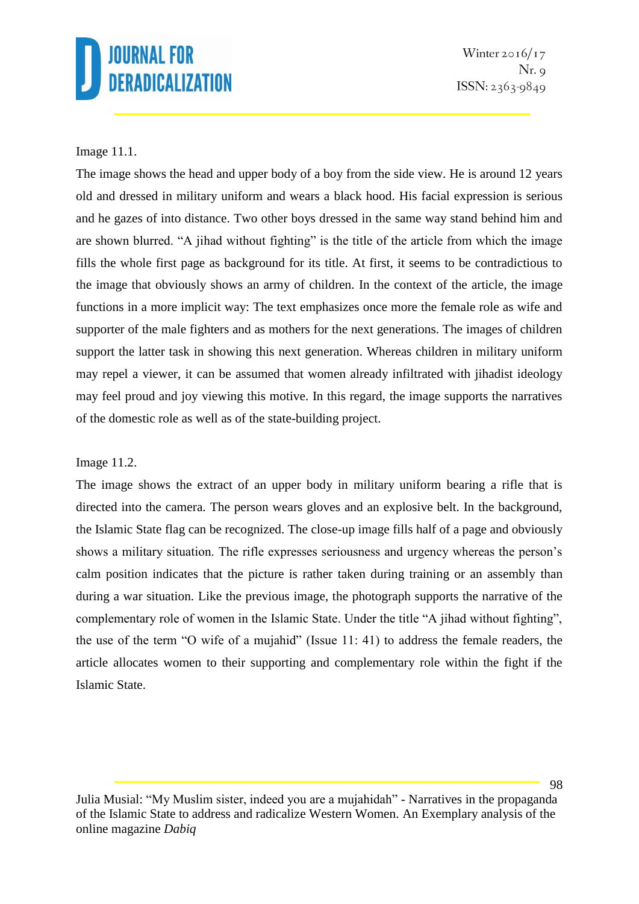Winter  $2016/17$  $Nr. q$ ISSN: 2363-9849

### Image 11.1.

The image shows the head and upper body of a boy from the side view. He is around 12 years old and dressed in military uniform and wears a black hood. His facial expression is serious and he gazes of into distance. Two other boys dressed in the same way stand behind him and are shown blurred. "A jihad without fighting" is the title of the article from which the image fills the whole first page as background for its title. At first, it seems to be contradictious to the image that obviously shows an army of children. In the context of the article, the image functions in a more implicit way: The text emphasizes once more the female role as wife and supporter of the male fighters and as mothers for the next generations. The images of children support the latter task in showing this next generation. Whereas children in military uniform may repel a viewer, it can be assumed that women already infiltrated with jihadist ideology may feel proud and joy viewing this motive. In this regard, the image supports the narratives of the domestic role as well as of the state-building project.

### Image 11.2.

The image shows the extract of an upper body in military uniform bearing a rifle that is directed into the camera. The person wears gloves and an explosive belt. In the background, the Islamic State flag can be recognized. The close-up image fills half of a page and obviously shows a military situation. The rifle expresses seriousness and urgency whereas the person's calm position indicates that the picture is rather taken during training or an assembly than during a war situation. Like the previous image, the photograph supports the narrative of the complementary role of women in the Islamic State. Under the title "A jihad without fighting", the use of the term "O wife of a mujahid" (Issue 11: 41) to address the female readers, the article allocates women to their supporting and complementary role within the fight if the Islamic State.

Julia Musial: "My Muslim sister, indeed you are a mujahidah" - Narratives in the propaganda of the Islamic State to address and radicalize Western Women. An Exemplary analysis of the online magazine *Dabiq*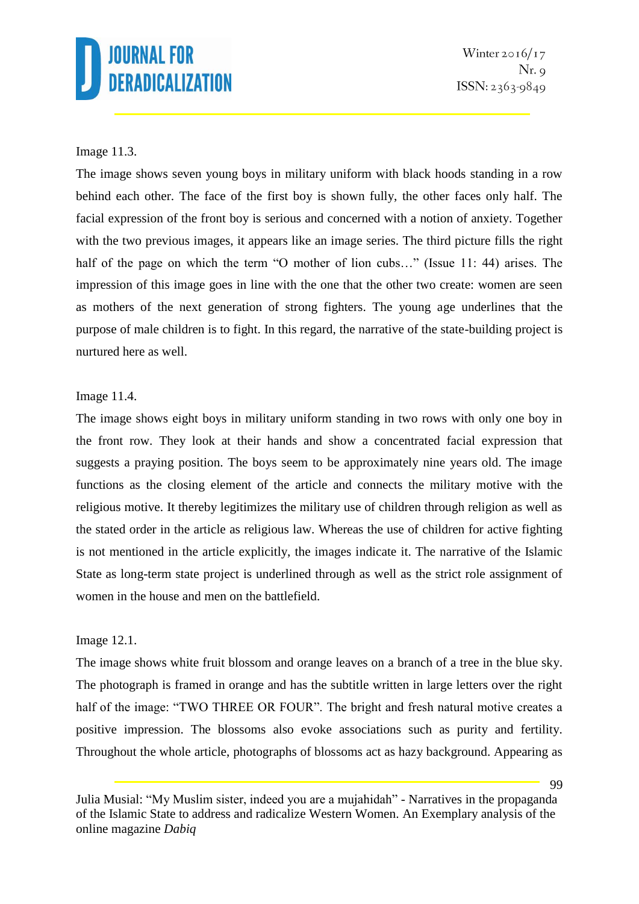### Image 11.3.

The image shows seven young boys in military uniform with black hoods standing in a row behind each other. The face of the first boy is shown fully, the other faces only half. The facial expression of the front boy is serious and concerned with a notion of anxiety. Together with the two previous images, it appears like an image series. The third picture fills the right half of the page on which the term "O mother of lion cubs..." (Issue 11: 44) arises. The impression of this image goes in line with the one that the other two create: women are seen as mothers of the next generation of strong fighters. The young age underlines that the purpose of male children is to fight. In this regard, the narrative of the state-building project is nurtured here as well.

### Image 11.4.

The image shows eight boys in military uniform standing in two rows with only one boy in the front row. They look at their hands and show a concentrated facial expression that suggests a praying position. The boys seem to be approximately nine years old. The image functions as the closing element of the article and connects the military motive with the religious motive. It thereby legitimizes the military use of children through religion as well as the stated order in the article as religious law. Whereas the use of children for active fighting is not mentioned in the article explicitly, the images indicate it. The narrative of the Islamic State as long-term state project is underlined through as well as the strict role assignment of women in the house and men on the battlefield.

### Image 12.1.

The image shows white fruit blossom and orange leaves on a branch of a tree in the blue sky. The photograph is framed in orange and has the subtitle written in large letters over the right half of the image: "TWO THREE OR FOUR". The bright and fresh natural motive creates a positive impression. The blossoms also evoke associations such as purity and fertility. Throughout the whole article, photographs of blossoms act as hazy background. Appearing as

Julia Musial: "My Muslim sister, indeed you are a mujahidah" - Narratives in the propaganda of the Islamic State to address and radicalize Western Women. An Exemplary analysis of the online magazine *Dabiq*